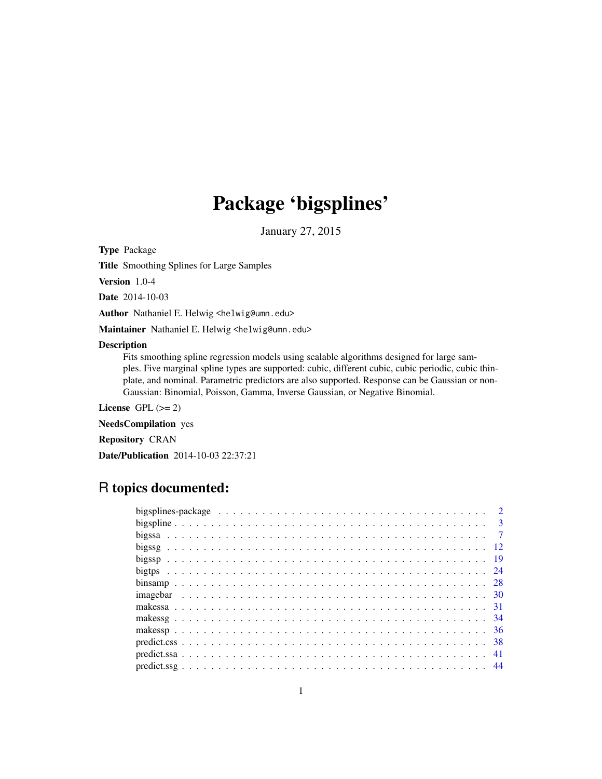# Package 'bigsplines'

January 27, 2015

<span id="page-0-0"></span>Type Package

Title Smoothing Splines for Large Samples

Version 1.0-4

Date 2014-10-03

Author Nathaniel E. Helwig <helwig@umn.edu>

Maintainer Nathaniel E. Helwig <helwig@umn.edu>

#### Description

Fits smoothing spline regression models using scalable algorithms designed for large samples. Five marginal spline types are supported: cubic, different cubic, cubic periodic, cubic thinplate, and nominal. Parametric predictors are also supported. Response can be Gaussian or non-Gaussian: Binomial, Poisson, Gamma, Inverse Gaussian, or Negative Binomial.

License GPL  $(>= 2)$ 

NeedsCompilation yes

Repository CRAN

Date/Publication 2014-10-03 22:37:21

# R topics documented: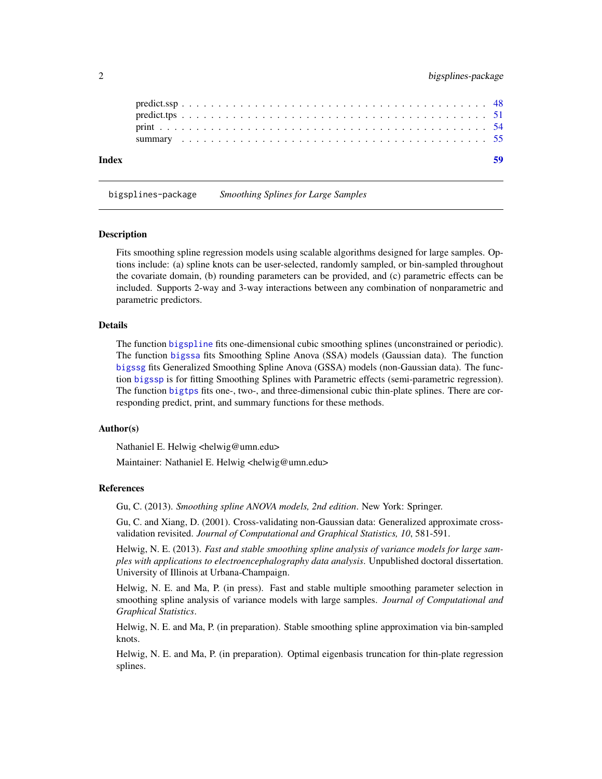<span id="page-1-0"></span>

| Index |  |  |  |  |  |  |  |  |  |  |  |  |  |  |  |  |  |  |  |  |  |
|-------|--|--|--|--|--|--|--|--|--|--|--|--|--|--|--|--|--|--|--|--|--|
|       |  |  |  |  |  |  |  |  |  |  |  |  |  |  |  |  |  |  |  |  |  |
|       |  |  |  |  |  |  |  |  |  |  |  |  |  |  |  |  |  |  |  |  |  |
|       |  |  |  |  |  |  |  |  |  |  |  |  |  |  |  |  |  |  |  |  |  |
|       |  |  |  |  |  |  |  |  |  |  |  |  |  |  |  |  |  |  |  |  |  |
|       |  |  |  |  |  |  |  |  |  |  |  |  |  |  |  |  |  |  |  |  |  |

bigsplines-package *Smoothing Splines for Large Samples*

#### **Description**

Fits smoothing spline regression models using scalable algorithms designed for large samples. Options include: (a) spline knots can be user-selected, randomly sampled, or bin-sampled throughout the covariate domain, (b) rounding parameters can be provided, and (c) parametric effects can be included. Supports 2-way and 3-way interactions between any combination of nonparametric and parametric predictors.

#### Details

The function [bigspline](#page-2-1) fits one-dimensional cubic smoothing splines (unconstrained or periodic). The function [bigssa](#page-6-1) fits Smoothing Spline Anova (SSA) models (Gaussian data). The function [bigssg](#page-11-1) fits Generalized Smoothing Spline Anova (GSSA) models (non-Gaussian data). The function [bigssp](#page-18-1) is for fitting Smoothing Splines with Parametric effects (semi-parametric regression). The function [bigtps](#page-23-1) fits one-, two-, and three-dimensional cubic thin-plate splines. There are corresponding predict, print, and summary functions for these methods.

# Author(s)

Nathaniel E. Helwig <helwig@umn.edu>

Maintainer: Nathaniel E. Helwig <helwig@umn.edu>

#### References

Gu, C. (2013). *Smoothing spline ANOVA models, 2nd edition*. New York: Springer.

Gu, C. and Xiang, D. (2001). Cross-validating non-Gaussian data: Generalized approximate crossvalidation revisited. *Journal of Computational and Graphical Statistics, 10*, 581-591.

Helwig, N. E. (2013). *Fast and stable smoothing spline analysis of variance models for large samples with applications to electroencephalography data analysis*. Unpublished doctoral dissertation. University of Illinois at Urbana-Champaign.

Helwig, N. E. and Ma, P. (in press). Fast and stable multiple smoothing parameter selection in smoothing spline analysis of variance models with large samples. *Journal of Computational and Graphical Statistics*.

Helwig, N. E. and Ma, P. (in preparation). Stable smoothing spline approximation via bin-sampled knots.

Helwig, N. E. and Ma, P. (in preparation). Optimal eigenbasis truncation for thin-plate regression splines.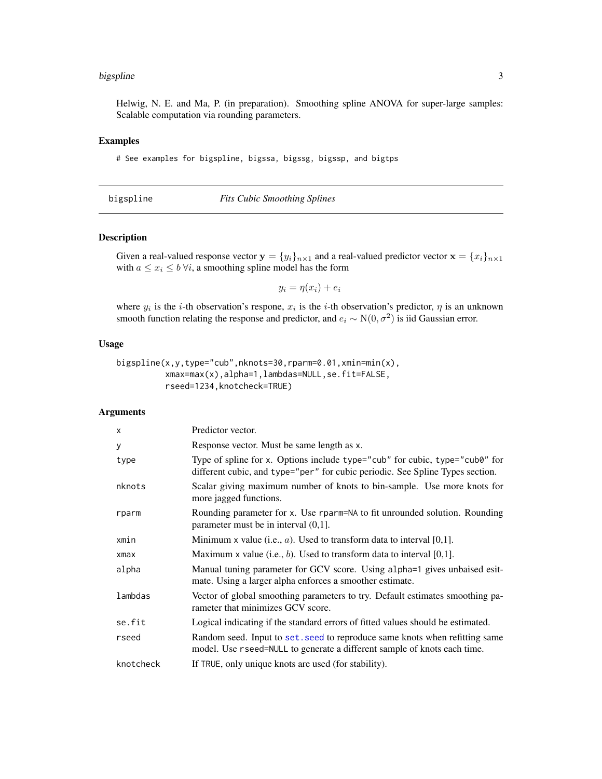#### <span id="page-2-0"></span>bigspline 3

Helwig, N. E. and Ma, P. (in preparation). Smoothing spline ANOVA for super-large samples: Scalable computation via rounding parameters.

# Examples

# See examples for bigspline, bigssa, bigssg, bigssp, and bigtps

<span id="page-2-1"></span>

| bigspline |  |  |  |
|-----------|--|--|--|
|           |  |  |  |
|           |  |  |  |
|           |  |  |  |

# bigspline *Fits Cubic Smoothing Splines*

# Description

Given a real-valued response vector  $\mathbf{y} = \{y_i\}_{i \in \mathbb{N}}$  and a real-valued predictor vector  $\mathbf{x} = \{x_i\}_{i \in \mathbb{N}}$ with  $a \leq x_i \leq b \,\forall i$ , a smoothing spline model has the form

$$
y_i = \eta(x_i) + e_i
$$

where  $y_i$  is the *i*-th observation's respone,  $x_i$  is the *i*-th observation's predictor,  $\eta$  is an unknown smooth function relating the response and predictor, and  $e_i \sim N(0, \sigma^2)$  is iid Gaussian error.

# Usage

```
bigspline(x,y,type="cub",nknots=30,rparm=0.01,xmin=min(x),
         xmax=max(x),alpha=1,lambdas=NULL,se.fit=FALSE,
         rseed=1234,knotcheck=TRUE)
```
# Arguments

| X         | Predictor vector.                                                                                                                                            |
|-----------|--------------------------------------------------------------------------------------------------------------------------------------------------------------|
| У         | Response vector. Must be same length as x.                                                                                                                   |
| type      | Type of spline for x. Options include type="cub" for cubic, type="cub0" for<br>different cubic, and type="per" for cubic periodic. See Spline Types section. |
| nknots    | Scalar giving maximum number of knots to bin-sample. Use more knots for<br>more jagged functions.                                                            |
| rparm     | Rounding parameter for x. Use rparm=NA to fit unrounded solution. Rounding<br>parameter must be in interval $(0,1]$ .                                        |
| xmin      | Minimum x value (i.e., $a$ ). Used to transform data to interval [0,1].                                                                                      |
| xmax      | Maximum x value (i.e., $b$ ). Used to transform data to interval [0,1].                                                                                      |
| alpha     | Manual tuning parameter for GCV score. Using alpha=1 gives unbaised esit-<br>mate. Using a larger alpha enforces a smoother estimate.                        |
| lambdas   | Vector of global smoothing parameters to try. Default estimates smoothing pa-<br>rameter that minimizes GCV score.                                           |
| se.fit    | Logical indicating if the standard errors of fitted values should be estimated.                                                                              |
| rseed     | Random seed. Input to set, seed to reproduce same knots when refitting same<br>model. Use rseed=NULL to generate a different sample of knots each time.      |
| knotcheck | If TRUE, only unique knots are used (for stability).                                                                                                         |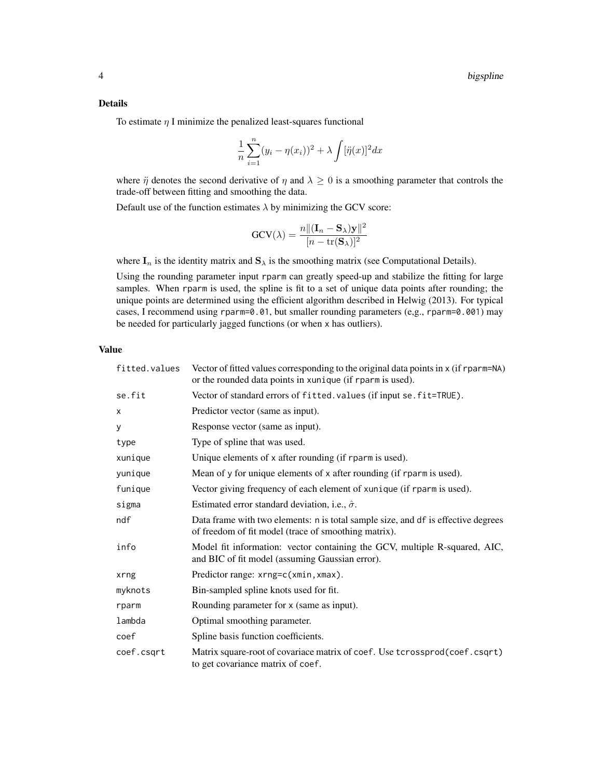### Details

To estimate  $\eta$  I minimize the penalized least-squares functional

$$
\frac{1}{n}\sum_{i=1}^{n}(y_i-\eta(x_i))^2+\lambda\int[\ddot{\eta}(x)]^2dx
$$

where  $\ddot{\eta}$  denotes the second derivative of  $\eta$  and  $\lambda \geq 0$  is a smoothing parameter that controls the trade-off between fitting and smoothing the data.

Default use of the function estimates  $\lambda$  by minimizing the GCV score:

$$
GCV(\lambda) = \frac{n||(\mathbf{I}_n - \mathbf{S}_{\lambda})\mathbf{y}||^2}{[n - tr(\mathbf{S}_{\lambda})]^2}
$$

where  $I_n$  is the identity matrix and  $S_\lambda$  is the smoothing matrix (see Computational Details).

Using the rounding parameter input rparm can greatly speed-up and stabilize the fitting for large samples. When rparm is used, the spline is fit to a set of unique data points after rounding; the unique points are determined using the efficient algorithm described in Helwig (2013). For typical cases, I recommend using rparm=0.01, but smaller rounding parameters (e,g., rparm=0.001) may be needed for particularly jagged functions (or when x has outliers).

#### Value

| fitted.values | Vector of fitted values corresponding to the original data points in x (if rparm=NA)<br>or the rounded data points in xunique (if rparm is used). |
|---------------|---------------------------------------------------------------------------------------------------------------------------------------------------|
| se.fit        | Vector of standard errors of fitted. values (if input se. fit=TRUE).                                                                              |
| X             | Predictor vector (same as input).                                                                                                                 |
| у             | Response vector (same as input).                                                                                                                  |
| type          | Type of spline that was used.                                                                                                                     |
| xunique       | Unique elements of x after rounding (if rparm is used).                                                                                           |
| yunique       | Mean of y for unique elements of x after rounding (if rparm is used).                                                                             |
| funique       | Vector giving frequency of each element of xunique (if rparm is used).                                                                            |
| sigma         | Estimated error standard deviation, i.e., $\hat{\sigma}$ .                                                                                        |
| ndf           | Data frame with two elements: n is total sample size, and df is effective degrees<br>of freedom of fit model (trace of smoothing matrix).         |
| info          | Model fit information: vector containing the GCV, multiple R-squared, AIC,<br>and BIC of fit model (assuming Gaussian error).                     |
| xrng          | Predictor range: xrng=c(xmin, xmax).                                                                                                              |
| myknots       | Bin-sampled spline knots used for fit.                                                                                                            |
| rparm         | Rounding parameter for x (same as input).                                                                                                         |
| lambda        | Optimal smoothing parameter.                                                                                                                      |
| coef          | Spline basis function coefficients.                                                                                                               |
| coef.csqrt    | Matrix square-root of covariace matrix of coef. Use tcrossprod(coef.csqrt)<br>to get covariance matrix of coef.                                   |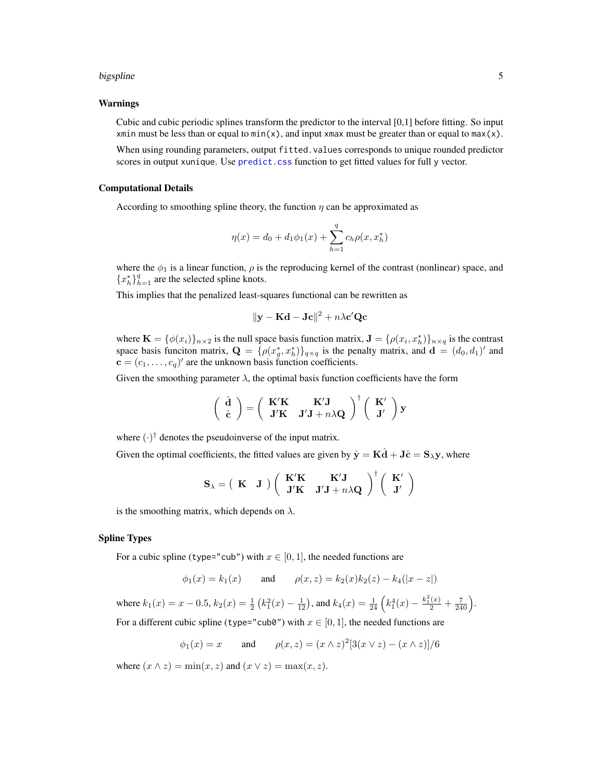#### <span id="page-4-0"></span>bigspline 5

#### Warnings

Cubic and cubic periodic splines transform the predictor to the interval [0,1] before fitting. So input xmin must be less than or equal to  $min(x)$ , and input xmax must be greater than or equal to max(x).

When using rounding parameters, output fitted.values corresponds to unique rounded predictor scores in output xunique. Use [predict.css](#page-37-1) function to get fitted values for full y vector.

#### Computational Details

According to smoothing spline theory, the function  $\eta$  can be approximated as

$$
\eta(x) = d_0 + d_1 \phi_1(x) + \sum_{h=1}^{q} c_h \rho(x, x_h^*)
$$

where the  $\phi_1$  is a linear function,  $\rho$  is the reproducing kernel of the contrast (nonlinear) space, and  ${x_h^*}$  $_{h=1}^q$  are the selected spline knots.

This implies that the penalized least-squares functional can be rewritten as

$$
\|\mathbf{y} - \mathbf{K}\mathbf{d} - \mathbf{Jc}\|^2 + n\lambda \mathbf{c}' \mathbf{Qc}
$$

where  $\mathbf{K} = \{\phi(x_i)\}_{n \times 2}$  is the null space basis function matrix,  $\mathbf{J} = \{\rho(x_i, x_h^*)\}_{n \times q}$  is the contrast space basis funciton matrix,  $\mathbf{Q} = \{ \rho(x_g^*, x_h^*) \}_{q \times q}$  is the penalty matrix, and  $\mathbf{d} = (d_0, d_1)'$  and  $\mathbf{c} = (c_1, \dots, c_q)$ ' are the unknown basis function coefficients.

Given the smoothing parameter  $\lambda$ , the optimal basis function coefficients have the form

$$
\begin{pmatrix}\n\hat{\mathbf{d}} \\
\hat{\mathbf{c}}\n\end{pmatrix} = \begin{pmatrix}\n\mathbf{K}'\mathbf{K} & \mathbf{K}'\mathbf{J} \\
\mathbf{J}'\mathbf{K} & \mathbf{J}'\mathbf{J} + n\lambda\mathbf{Q}\n\end{pmatrix}^\dagger \begin{pmatrix}\n\mathbf{K}' \\
\mathbf{J}'\n\end{pmatrix} \mathbf{y}
$$

where  $(\cdot)^\dagger$  denotes the pseudoinverse of the input matrix.

Given the optimal coefficients, the fitted values are given by  $\hat{\mathbf{y}} = \mathbf{K}\hat{\mathbf{d}} + \mathbf{J}\hat{\mathbf{c}} = \mathbf{S}_{\lambda}\mathbf{y}$ , where

$$
\mathbf{S}_{\lambda} = \left( \begin{array}{cc} \mathbf{K} & \mathbf{J} \end{array} \right) \left( \begin{array}{cc} \mathbf{K}'\mathbf{K} & \mathbf{K}'\mathbf{J} \\ \mathbf{J}'\mathbf{K} & \mathbf{J}'\mathbf{J} + n\lambda\mathbf{Q} \end{array} \right)^{\dagger} \left( \begin{array}{c} \mathbf{K}' \\ \mathbf{J}' \end{array} \right)
$$

is the smoothing matrix, which depends on  $\lambda$ .

#### Spline Types

For a cubic spline (type="cub") with  $x \in [0, 1]$ , the needed functions are

$$
\phi_1(x) = k_1(x)
$$
 and  $\rho(x, z) = k_2(x)k_2(z) - k_4(|x - z|)$ 

where  $k_1(x) = x - 0.5$ ,  $k_2(x) = \frac{1}{2} (k_1^2(x) - \frac{1}{12})$ , and  $k_4(x) = \frac{1}{24} (k_1^4(x) - \frac{k_1^2(x)}{2} + \frac{7}{240})$ .

For a different cubic spline (type="cub0") with  $x \in [0, 1]$ , the needed functions are

$$
\phi_1(x) = x
$$
 and  $\rho(x, z) = (x \wedge z)^2 [3(x \vee z) - (x \wedge z)]/6$ 

where  $(x \wedge z) = \min(x, z)$  and  $(x \vee z) = \max(x, z)$ .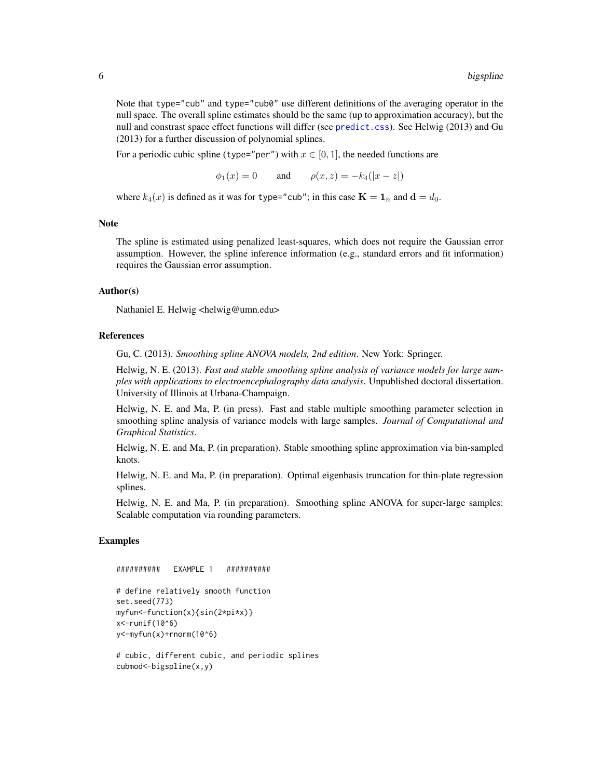<span id="page-5-0"></span>Note that type="cub" and type="cub0" use different definitions of the averaging operator in the null space. The overall spline estimates should be the same (up to approximation accuracy), but the null and constrast space effect functions will differ (see [predict.css](#page-37-1)). See Helwig (2013) and Gu (2013) for a further discussion of polynomial splines.

For a periodic cubic spline (type="per") with  $x \in [0, 1]$ , the needed functions are

 $\phi_1(x) = 0$  and  $\rho(x, z) = -k_4(|x - z|)$ 

where  $k_4(x)$  is defined as it was for type="cub"; in this case  $\mathbf{K} = \mathbf{1}_n$  and  $\mathbf{d} = d_0$ .

#### Note

The spline is estimated using penalized least-squares, which does not require the Gaussian error assumption. However, the spline inference information (e.g., standard errors and fit information) requires the Gaussian error assumption.

#### Author(s)

Nathaniel E. Helwig <helwig@umn.edu>

#### References

Gu, C. (2013). *Smoothing spline ANOVA models, 2nd edition*. New York: Springer.

Helwig, N. E. (2013). *Fast and stable smoothing spline analysis of variance models for large samples with applications to electroencephalography data analysis*. Unpublished doctoral dissertation. University of Illinois at Urbana-Champaign.

Helwig, N. E. and Ma, P. (in press). Fast and stable multiple smoothing parameter selection in smoothing spline analysis of variance models with large samples. *Journal of Computational and Graphical Statistics*.

Helwig, N. E. and Ma, P. (in preparation). Stable smoothing spline approximation via bin-sampled knots.

Helwig, N. E. and Ma, P. (in preparation). Optimal eigenbasis truncation for thin-plate regression splines.

Helwig, N. E. and Ma, P. (in preparation). Smoothing spline ANOVA for super-large samples: Scalable computation via rounding parameters.

# Examples

```
########## EXAMPLE 1 ##########
```

```
# define relatively smooth function
set.seed(773)
myfun<-function(x){sin(2*pi*x)}
x<-runif(10^6)
y<-myfun(x)+rnorm(10^6)
```

```
# cubic, different cubic, and periodic splines
cubmod<-bigspline(x,y)
```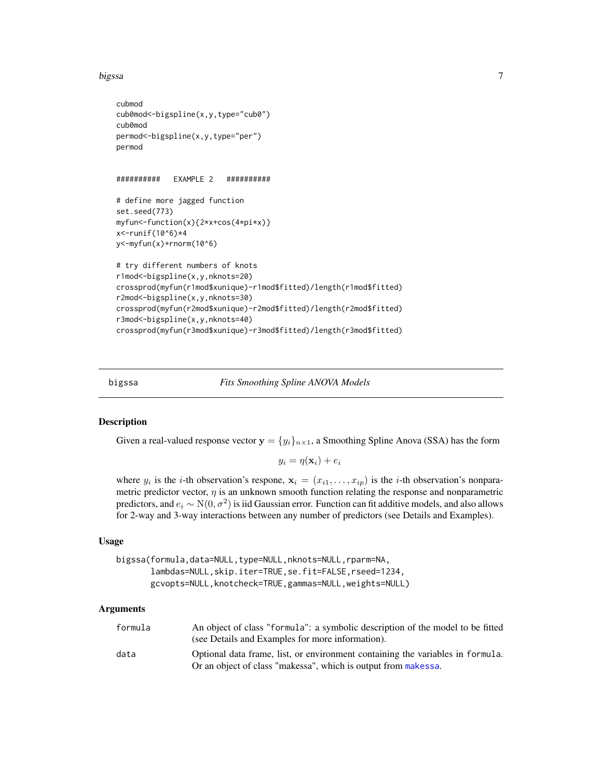#### <span id="page-6-0"></span>bigssa 7

```
cubmod
cub0mod<-bigspline(x,y,type="cub0")
cub0mod
permod<-bigspline(x,y,type="per")
permod
########## EXAMPLE 2 ##########
# define more jagged function
set.seed(773)
myfun<-function(x){2*x+cos(4*pi*x)}
x<-runif(10^6)*4
y<-myfun(x)+rnorm(10^6)
# try different numbers of knots
r1mod<-bigspline(x,y,nknots=20)
crossprod(myfun(r1mod$xunique)-r1mod$fitted)/length(r1mod$fitted)
r2mod<-bigspline(x,y,nknots=30)
crossprod(myfun(r2mod$xunique)-r2mod$fitted)/length(r2mod$fitted)
r3mod<-bigspline(x,y,nknots=40)
crossprod(myfun(r3mod$xunique)-r3mod$fitted)/length(r3mod$fitted)
```
<span id="page-6-1"></span>

bigssa *Fits Smoothing Spline ANOVA Models*

# Description

Given a real-valued response vector  $y = {y_i}_{n \times 1}$ , a Smoothing Spline Anova (SSA) has the form

 $y_i = \eta(\mathbf{x}_i) + e_i$ 

where  $y_i$  is the *i*-th observation's respone,  $\mathbf{x}_i = (x_{i1}, \dots, x_{ip})$  is the *i*-th observation's nonparametric predictor vector,  $\eta$  is an unknown smooth function relating the response and nonparametric predictors, and  $e_i \sim N(0, \sigma^2)$  is iid Gaussian error. Function can fit additive models, and also allows for 2-way and 3-way interactions between any number of predictors (see Details and Examples).

#### Usage

```
bigssa(formula,data=NULL,type=NULL,nknots=NULL,rparm=NA,
       lambdas=NULL,skip.iter=TRUE,se.fit=FALSE,rseed=1234,
       gcvopts=NULL,knotcheck=TRUE,gammas=NULL,weights=NULL)
```
#### Arguments

| formula | An object of class "formula": a symbolic description of the model to be fitted |
|---------|--------------------------------------------------------------------------------|
|         | (see Details and Examples for more information).                               |
| data    | Optional data frame, list, or environment containing the variables in formula. |
|         | Or an object of class "makessa", which is output from makessa.                 |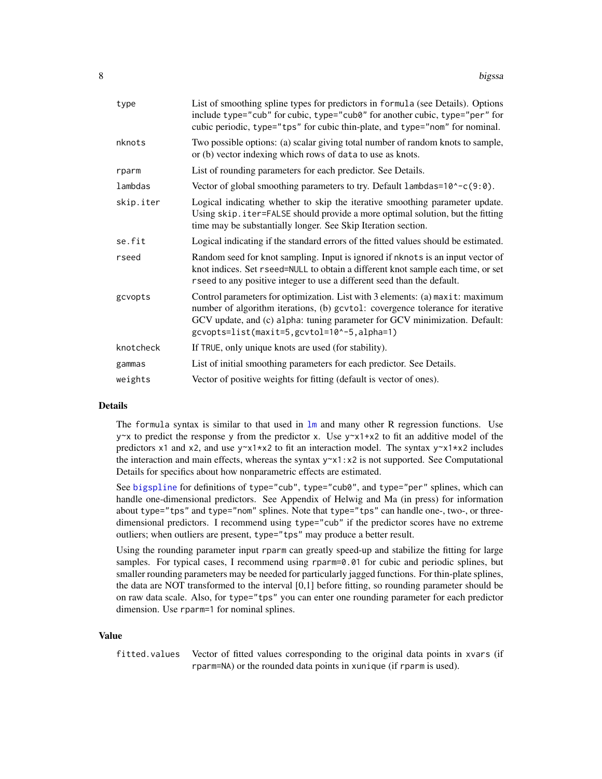<span id="page-7-0"></span>

| type      | List of smoothing spline types for predictors in formula (see Details). Options<br>include type="cub" for cubic, type="cub0" for another cubic, type="per" for<br>cubic periodic, type="tps" for cubic thin-plate, and type="nom" for nominal.                                              |
|-----------|---------------------------------------------------------------------------------------------------------------------------------------------------------------------------------------------------------------------------------------------------------------------------------------------|
| nknots    | Two possible options: (a) scalar giving total number of random knots to sample,<br>or (b) vector indexing which rows of data to use as knots.                                                                                                                                               |
| rparm     | List of rounding parameters for each predictor. See Details.                                                                                                                                                                                                                                |
| lambdas   | Vector of global smoothing parameters to try. Default lambdas=10^-c(9:0).                                                                                                                                                                                                                   |
| skip.iter | Logical indicating whether to skip the iterative smoothing parameter update.<br>Using skip. iter=FALSE should provide a more optimal solution, but the fitting<br>time may be substantially longer. See Skip Iteration section.                                                             |
| se.fit    | Logical indicating if the standard errors of the fitted values should be estimated.                                                                                                                                                                                                         |
| rseed     | Random seed for knot sampling. Input is ignored if nknots is an input vector of<br>knot indices. Set rseed=NULL to obtain a different knot sample each time, or set<br>rseed to any positive integer to use a different seed than the default.                                              |
| gcvopts   | Control parameters for optimization. List with 3 elements: (a) maxit: maximum<br>number of algorithm iterations, (b) gcvtol: covergence tolerance for iterative<br>GCV update, and (c) alpha: tuning parameter for GCV minimization. Default:<br>gcvopts=list(maxit=5,gcvtol=10^-5,alpha=1) |
| knotcheck | If TRUE, only unique knots are used (for stability).                                                                                                                                                                                                                                        |
| gammas    | List of initial smoothing parameters for each predictor. See Details.                                                                                                                                                                                                                       |
| weights   | Vector of positive weights for fitting (default is vector of ones).                                                                                                                                                                                                                         |
|           |                                                                                                                                                                                                                                                                                             |

# Details

The formula syntax is similar to that used in  $\text{lm}$  $\text{lm}$  $\text{lm}$  and many other R regression functions. Use  $y \sim x$  to predict the response y from the predictor x. Use  $y \sim x1+x2$  to fit an additive model of the predictors x1 and x2, and use  $y \sim x1 \times x2$  to fit an interaction model. The syntax  $y \sim x1 \times x2$  includes the interaction and main effects, whereas the syntax  $y \sim x1$ :  $x2$  is not supported. See Computational Details for specifics about how nonparametric effects are estimated.

See [bigspline](#page-2-1) for definitions of type="cub", type="cub0", and type="per" splines, which can handle one-dimensional predictors. See Appendix of Helwig and Ma (in press) for information about type="tps" and type="nom" splines. Note that type="tps" can handle one-, two-, or threedimensional predictors. I recommend using type="cub" if the predictor scores have no extreme outliers; when outliers are present, type="tps" may produce a better result.

Using the rounding parameter input rparm can greatly speed-up and stabilize the fitting for large samples. For typical cases, I recommend using rparm=0.01 for cubic and periodic splines, but smaller rounding parameters may be needed for particularly jagged functions. For thin-plate splines, the data are NOT transformed to the interval [0,1] before fitting, so rounding parameter should be on raw data scale. Also, for type="tps" you can enter one rounding parameter for each predictor dimension. Use rparm=1 for nominal splines.

#### Value

fitted.values Vector of fitted values corresponding to the original data points in xvars (if rparm=NA) or the rounded data points in xunique (if rparm is used).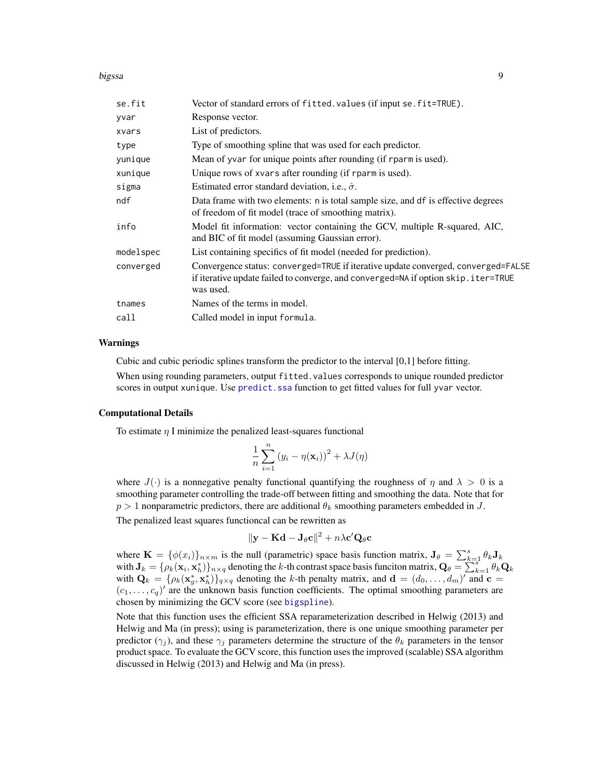#### <span id="page-8-0"></span>bigssa 9

| se.fit    | Vector of standard errors of fitted. values (if input se. fit=TRUE).                                                                                                                |
|-----------|-------------------------------------------------------------------------------------------------------------------------------------------------------------------------------------|
| yvar      | Response vector.                                                                                                                                                                    |
| xvars     | List of predictors.                                                                                                                                                                 |
| type      | Type of smoothing spline that was used for each predictor.                                                                                                                          |
| yunique   | Mean of yvar for unique points after rounding (if rparm is used).                                                                                                                   |
| xunique   | Unique rows of xvars after rounding (if rparm is used).                                                                                                                             |
| sigma     | Estimated error standard deviation, i.e., $\hat{\sigma}$ .                                                                                                                          |
| ndf       | Data frame with two elements: n is total sample size, and df is effective degrees<br>of freedom of fit model (trace of smoothing matrix).                                           |
| info      | Model fit information: vector containing the GCV, multiple R-squared, AIC,<br>and BIC of fit model (assuming Gaussian error).                                                       |
| modelspec | List containing specifics of fit model (needed for prediction).                                                                                                                     |
| converged | Convergence status: converged=TRUE if iterative update converged, converged=FALSE<br>if iterative update failed to converge, and converged=NA if option skip.iter=TRUE<br>was used. |
| tnames    | Names of the terms in model.                                                                                                                                                        |
| call      | Called model in input formula.                                                                                                                                                      |
|           |                                                                                                                                                                                     |

#### Warnings

Cubic and cubic periodic splines transform the predictor to the interval [0,1] before fitting.

When using rounding parameters, output fitted.values corresponds to unique rounded predictor scores in output xunique. Use predict. ssa function to get fitted values for full yvar vector.

#### Computational Details

To estimate  $\eta$  I minimize the penalized least-squares functional

$$
\frac{1}{n}\sum_{i=1}^{n} (y_i - \eta(\mathbf{x}_i))^2 + \lambda J(\eta)
$$

where  $J(\cdot)$  is a nonnegative penalty functional quantifying the roughness of  $\eta$  and  $\lambda > 0$  is a smoothing parameter controlling the trade-off between fitting and smoothing the data. Note that for  $p > 1$  nonparametric predictors, there are additional  $\theta_k$  smoothing parameters embedded in J.

The penalized least squares functioncal can be rewritten as

$$
\|\mathbf{y} - \mathbf{K}\mathbf{d} - \mathbf{J}_{\theta}\mathbf{c}\|^2 + n\lambda\mathbf{c}'\mathbf{Q}_{\theta}\mathbf{c}
$$

where  $\mathbf{K} = {\phi(x_i)}_{n \times m}$  is the null (parametric) space basis function matrix,  $\mathbf{J}_{\theta} = \sum_{k=1}^{s} \theta_k \mathbf{J}_k$ with  $\mathbf{J}_k = \{\rho_k(\mathbf{x}_i, \mathbf{x}_h^*)\}_{n \times q}$  denoting the k-th contrast space basis funciton matrix,  $\mathbf{Q}_{\theta} = \sum_{k=1}^{n-1} \theta_k \mathbf{Q}_k$ with  $\mathbf{Q}_k = \{\rho_k(\mathbf{x}_g^*, \mathbf{x}_h^*)\}_{q \times q}$  denoting the k-th penalty matrix, and  $\mathbf{d} = (d_0, \dots, d_m)'$  and  $\mathbf{c} =$  $(c_1, \ldots, c_q)'$  are the unknown basis function coefficients. The optimal smoothing parameters are chosen by minimizing the GCV score (see [bigspline](#page-2-1)).

Note that this function uses the efficient SSA reparameterization described in Helwig (2013) and Helwig and Ma (in press); using is parameterization, there is one unique smoothing parameter per predictor ( $\gamma_i$ ), and these  $\gamma_i$  parameters determine the structure of the  $\theta_k$  parameters in the tensor product space. To evaluate the GCV score, this function uses the improved (scalable) SSA algorithm discussed in Helwig (2013) and Helwig and Ma (in press).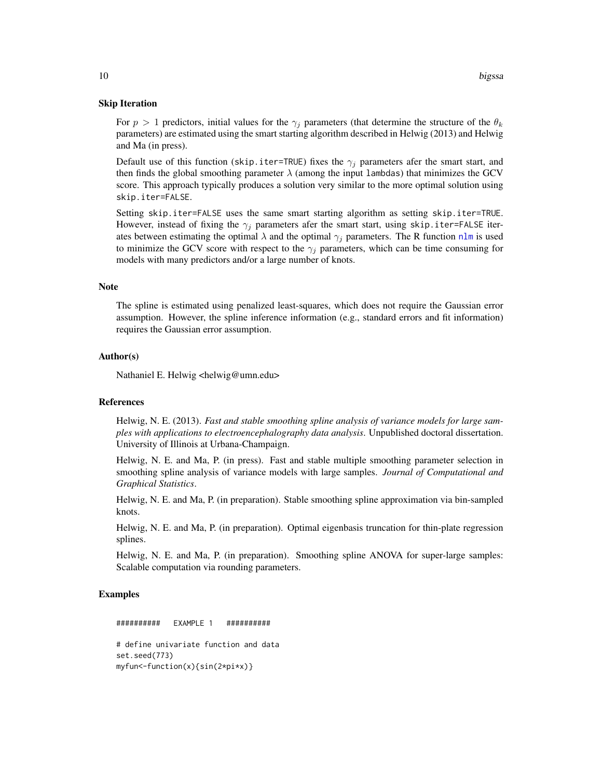#### <span id="page-9-0"></span>Skip Iteration

For  $p > 1$  predictors, initial values for the  $\gamma_i$  parameters (that determine the structure of the  $\theta_k$ parameters) are estimated using the smart starting algorithm described in Helwig (2013) and Helwig and Ma (in press).

Default use of this function (skip.iter=TRUE) fixes the  $\gamma_i$  parameters afer the smart start, and then finds the global smoothing parameter  $\lambda$  (among the input lambdas) that minimizes the GCV score. This approach typically produces a solution very similar to the more optimal solution using skip.iter=FALSE.

Setting skip.iter=FALSE uses the same smart starting algorithm as setting skip.iter=TRUE. However, instead of fixing the  $\gamma_j$  parameters afer the smart start, using skip.iter=FALSE iterates between estimating the optimal  $\lambda$  and the optimal  $\gamma_j$  parameters. The R function [nlm](#page-0-0) is used to minimize the GCV score with respect to the  $\gamma_j$  parameters, which can be time consuming for models with many predictors and/or a large number of knots.

#### **Note**

The spline is estimated using penalized least-squares, which does not require the Gaussian error assumption. However, the spline inference information (e.g., standard errors and fit information) requires the Gaussian error assumption.

#### Author(s)

Nathaniel E. Helwig <helwig@umn.edu>

#### References

Helwig, N. E. (2013). *Fast and stable smoothing spline analysis of variance models for large samples with applications to electroencephalography data analysis*. Unpublished doctoral dissertation. University of Illinois at Urbana-Champaign.

Helwig, N. E. and Ma, P. (in press). Fast and stable multiple smoothing parameter selection in smoothing spline analysis of variance models with large samples. *Journal of Computational and Graphical Statistics*.

Helwig, N. E. and Ma, P. (in preparation). Stable smoothing spline approximation via bin-sampled knots.

Helwig, N. E. and Ma, P. (in preparation). Optimal eigenbasis truncation for thin-plate regression splines.

Helwig, N. E. and Ma, P. (in preparation). Smoothing spline ANOVA for super-large samples: Scalable computation via rounding parameters.

#### Examples

########## EXAMPLE 1 ########## # define univariate function and data set.seed(773) myfun<-function(x){sin(2\*pi\*x)}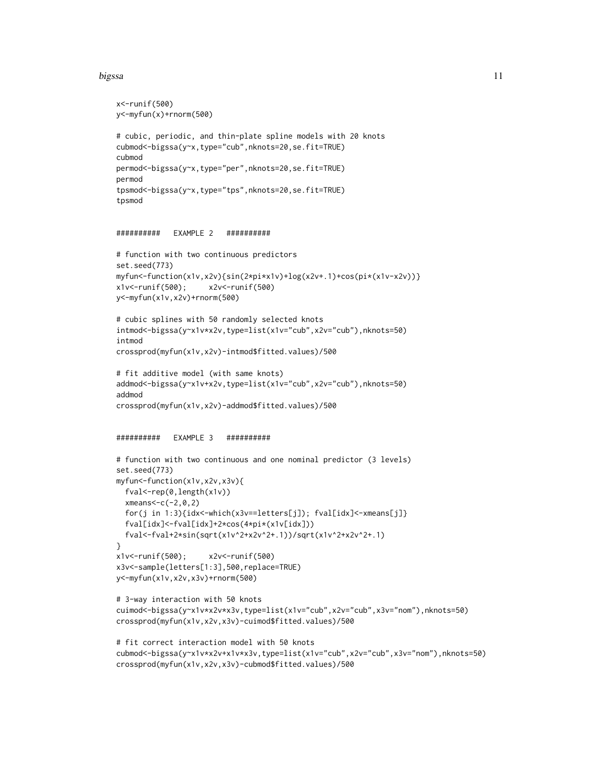#### bigssa 11

```
x<-runif(500)
y<-myfun(x)+rnorm(500)
# cubic, periodic, and thin-plate spline models with 20 knots
cubmod<-bigssa(y~x,type="cub",nknots=20,se.fit=TRUE)
cubmod
permod<-bigssa(y~x,type="per",nknots=20,se.fit=TRUE)
permod
tpsmod<-bigssa(y~x,type="tps",nknots=20,se.fit=TRUE)
tpsmod
########## EXAMPLE 2 ##########
# function with two continuous predictors
set.seed(773)
myfun<-function(x1v,x2v){sin(2*pi*x1v)+log(x2v+.1)+cos(pi*(x1v-x2v))}
x1v<-runif(500); x2v<-runif(500)
y<-myfun(x1v,x2v)+rnorm(500)
# cubic splines with 50 randomly selected knots
intmod<-bigssa(y~x1v*x2v,type=list(x1v="cub",x2v="cub"),nknots=50)
intmod
crossprod(myfun(x1v,x2v)-intmod$fitted.values)/500
# fit additive model (with same knots)
addmod<-bigssa(y~x1v+x2v,type=list(x1v="cub",x2v="cub"),nknots=50)
addmod
crossprod(myfun(x1v,x2v)-addmod$fitted.values)/500
########## EXAMPLE 3 ##########
# function with two continuous and one nominal predictor (3 levels)
set.seed(773)
myfun<-function(x1v,x2v,x3v){
 fval<-rep(0,length(x1v))
 xmeans<-c(-2,0,2)
 for(j in 1:3){idx<-which(x3v==letters[j]); fval[idx]<-xmeans[j]}
 fval[idx]<-fval[idx]+2*cos(4*pi*(x1v[idx]))
 fval<-fval+2*sin(sqrt(x1v^2+x2v^2+.1))/sqrt(x1v^2+x2v^2+.1)
}
x1v<-runif(500); x2v<-runif(500)
x3v<-sample(letters[1:3],500,replace=TRUE)
y<-myfun(x1v,x2v,x3v)+rnorm(500)
# 3-way interaction with 50 knots
cuimod<-bigssa(y~x1v*x2v*x3v,type=list(x1v="cub",x2v="cub",x3v="nom"),nknots=50)
crossprod(myfun(x1v,x2v,x3v)-cuimod$fitted.values)/500
# fit correct interaction model with 50 knots
cubmod<-bigssa(y~x1v*x2v+x1v*x3v,type=list(x1v="cub",x2v="cub",x3v="nom"),nknots=50)
crossprod(myfun(x1v,x2v,x3v)-cubmod$fitted.values)/500
```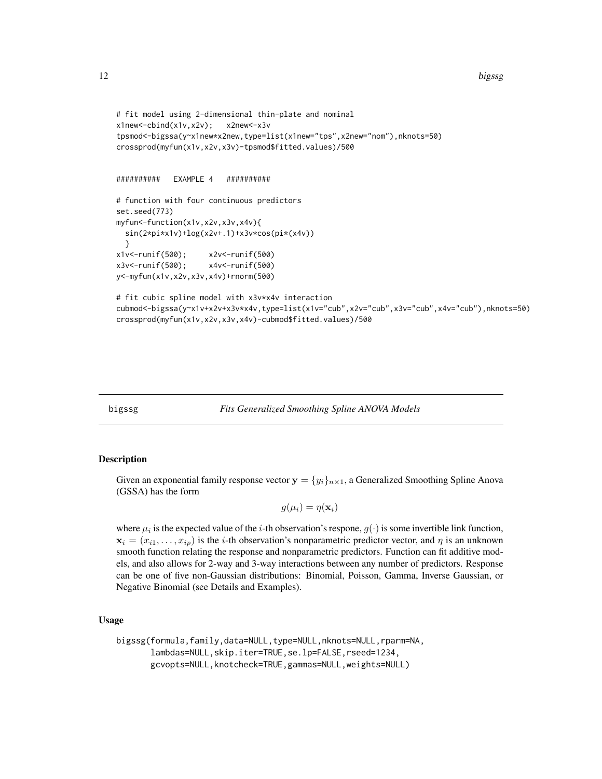```
# fit model using 2-dimensional thin-plate and nominal
x1new<-cbind(x1v,x2v); x2new<-x3v
tpsmod<-bigssa(y~x1new*x2new,type=list(x1new="tps",x2new="nom"),nknots=50)
crossprod(myfun(x1v,x2v,x3v)-tpsmod$fitted.values)/500
########## EXAMPLE 4 ##########
# function with four continuous predictors
set.seed(773)
myfun<-function(x1v,x2v,x3v,x4v){
 sin(2*pi*x1v)+log(x2v+.1)+x3v*cos(pi*(x4v))
 }
x1v<-runif(500); x2v<-runif(500)
x3v<-runif(500); x4v<-runif(500)
y<-myfun(x1v,x2v,x3v,x4v)+rnorm(500)
# fit cubic spline model with x3v*x4v interaction
cubmod<-bigssa(y~x1v+x2v+x3v*x4v,type=list(x1v="cub",x2v="cub",x3v="cub",x4v="cub"),nknots=50)
crossprod(myfun(x1v,x2v,x3v,x4v)-cubmod$fitted.values)/500
```
<span id="page-11-1"></span>

bigssg *Fits Generalized Smoothing Spline ANOVA Models*

#### Description

Given an exponential family response vector  $y = \{y_i\}_{i \in \mathbb{N}}$ , a Generalized Smoothing Spline Anova (GSSA) has the form

$$
g(\mu_i) = \eta(\mathbf{x}_i)
$$

where  $\mu_i$  is the expected value of the *i*-th observation's respone,  $g(\cdot)$  is some invertible link function,  $\mathbf{x}_i = (x_{i1}, \dots, x_{ip})$  is the *i*-th observation's nonparametric predictor vector, and  $\eta$  is an unknown smooth function relating the response and nonparametric predictors. Function can fit additive models, and also allows for 2-way and 3-way interactions between any number of predictors. Response can be one of five non-Gaussian distributions: Binomial, Poisson, Gamma, Inverse Gaussian, or Negative Binomial (see Details and Examples).

#### Usage

```
bigssg(formula,family,data=NULL,type=NULL,nknots=NULL,rparm=NA,
       lambdas=NULL,skip.iter=TRUE,se.lp=FALSE,rseed=1234,
      gcvopts=NULL,knotcheck=TRUE,gammas=NULL,weights=NULL)
```
<span id="page-11-0"></span>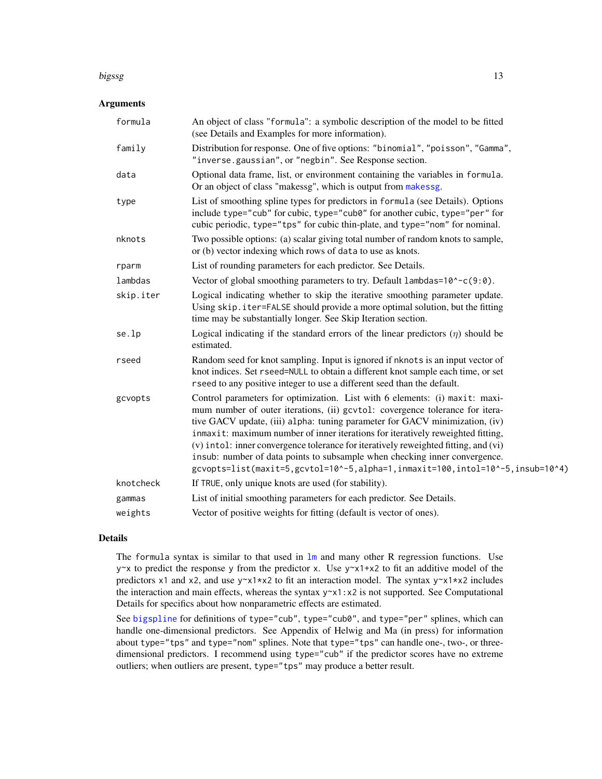#### <span id="page-12-0"></span>bigssg the contract of the contract of the contract of the contract of the contract of the contract of the contract of the contract of the contract of the contract of the contract of the contract of the contract of the con

#### **Arguments**

| formula   | An object of class "formula": a symbolic description of the model to be fitted<br>(see Details and Examples for more information).                                                                                                                                                                                                                                                                                                                                                                                                                                                  |
|-----------|-------------------------------------------------------------------------------------------------------------------------------------------------------------------------------------------------------------------------------------------------------------------------------------------------------------------------------------------------------------------------------------------------------------------------------------------------------------------------------------------------------------------------------------------------------------------------------------|
| family    | Distribution for response. One of five options: "binomial", "poisson", "Gamma",<br>"inverse.gaussian", or "negbin". See Response section.                                                                                                                                                                                                                                                                                                                                                                                                                                           |
| data      | Optional data frame, list, or environment containing the variables in formula.<br>Or an object of class "makessg", which is output from makessg.                                                                                                                                                                                                                                                                                                                                                                                                                                    |
| type      | List of smoothing spline types for predictors in formula (see Details). Options<br>include type="cub" for cubic, type="cub0" for another cubic, type="per" for<br>cubic periodic, type="tps" for cubic thin-plate, and type="nom" for nominal.                                                                                                                                                                                                                                                                                                                                      |
| nknots    | Two possible options: (a) scalar giving total number of random knots to sample,<br>or (b) vector indexing which rows of data to use as knots.                                                                                                                                                                                                                                                                                                                                                                                                                                       |
| rparm     | List of rounding parameters for each predictor. See Details.                                                                                                                                                                                                                                                                                                                                                                                                                                                                                                                        |
| lambdas   | Vector of global smoothing parameters to try. Default lambdas=10^-c(9:0).                                                                                                                                                                                                                                                                                                                                                                                                                                                                                                           |
| skip.iter | Logical indicating whether to skip the iterative smoothing parameter update.<br>Using skip. iter=FALSE should provide a more optimal solution, but the fitting<br>time may be substantially longer. See Skip Iteration section.                                                                                                                                                                                                                                                                                                                                                     |
| se.lp     | Logical indicating if the standard errors of the linear predictors $(\eta)$ should be<br>estimated.                                                                                                                                                                                                                                                                                                                                                                                                                                                                                 |
| rseed     | Random seed for knot sampling. Input is ignored if nknots is an input vector of<br>knot indices. Set rseed=NULL to obtain a different knot sample each time, or set<br>rseed to any positive integer to use a different seed than the default.                                                                                                                                                                                                                                                                                                                                      |
| gcvopts   | Control parameters for optimization. List with 6 elements: (i) maxit: maxi-<br>mum number of outer iterations, (ii) gcvtol: covergence tolerance for itera-<br>tive GACV update, (iii) alpha: tuning parameter for GACV minimization, (iv)<br>inmaxit: maximum number of inner iterations for iteratively reweighted fitting,<br>(v) intol: inner convergence tolerance for iteratively reweighted fitting, and (vi)<br>insub: number of data points to subsample when checking inner convergence.<br>gcvopts=list(maxit=5,gcvtol=10^-5,alpha=1,inmaxit=100,intol=10^-5,insub=10^4) |
| knotcheck | If TRUE, only unique knots are used (for stability).                                                                                                                                                                                                                                                                                                                                                                                                                                                                                                                                |
| gammas    | List of initial smoothing parameters for each predictor. See Details.                                                                                                                                                                                                                                                                                                                                                                                                                                                                                                               |
| weights   | Vector of positive weights for fitting (default is vector of ones).                                                                                                                                                                                                                                                                                                                                                                                                                                                                                                                 |

# Details

The formula syntax is similar to that used in [lm](#page-0-0) and many other R regression functions. Use  $y \sim x$  to predict the response y from the predictor x. Use  $y \sim x1+x2$  to fit an additive model of the predictors x1 and x2, and use  $y \sim x1 \times x2$  to fit an interaction model. The syntax  $y \sim x1 \times x2$  includes the interaction and main effects, whereas the syntax  $y \sim x1$ :  $x2$  is not supported. See Computational Details for specifics about how nonparametric effects are estimated.

See [bigspline](#page-2-1) for definitions of type="cub", type="cub0", and type="per" splines, which can handle one-dimensional predictors. See Appendix of Helwig and Ma (in press) for information about type="tps" and type="nom" splines. Note that type="tps" can handle one-, two-, or threedimensional predictors. I recommend using type="cub" if the predictor scores have no extreme outliers; when outliers are present, type="tps" may produce a better result.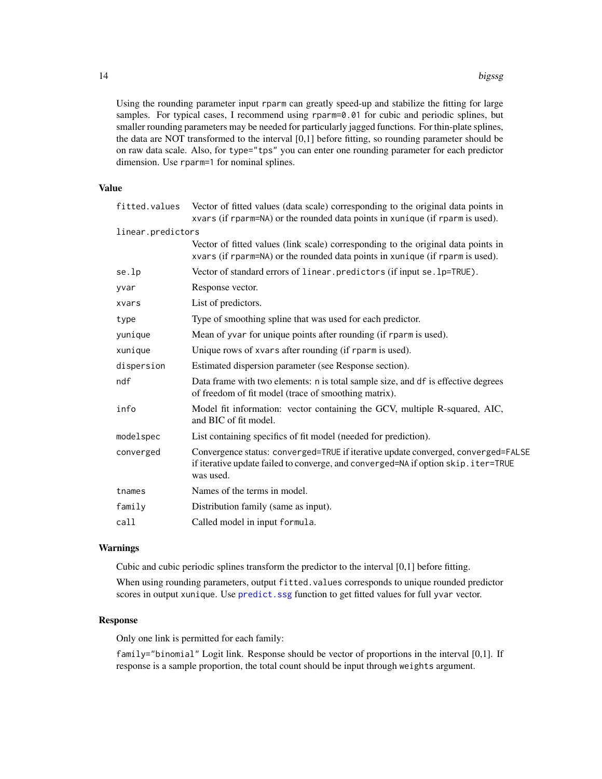<span id="page-13-0"></span>Using the rounding parameter input rparm can greatly speed-up and stabilize the fitting for large samples. For typical cases, I recommend using rparm=0.01 for cubic and periodic splines, but smaller rounding parameters may be needed for particularly jagged functions. For thin-plate splines, the data are NOT transformed to the interval [0,1] before fitting, so rounding parameter should be on raw data scale. Also, for type="tps" you can enter one rounding parameter for each predictor dimension. Use rparm=1 for nominal splines.

# Value

| fitted.values     | Vector of fitted values (data scale) corresponding to the original data points in<br>xvars (if rparm=NA) or the rounded data points in xunique (if rparm is used).                  |
|-------------------|-------------------------------------------------------------------------------------------------------------------------------------------------------------------------------------|
| linear.predictors |                                                                                                                                                                                     |
|                   | Vector of fitted values (link scale) corresponding to the original data points in<br>xvars (if rparm=NA) or the rounded data points in xunique (if rparm is used).                  |
| se.lp             | Vector of standard errors of linear.predictors (if input se. lp=TRUE).                                                                                                              |
| yvar              | Response vector.                                                                                                                                                                    |
| xvars             | List of predictors.                                                                                                                                                                 |
| type              | Type of smoothing spline that was used for each predictor.                                                                                                                          |
| yunique           | Mean of yvar for unique points after rounding (if rparm is used).                                                                                                                   |
| xunique           | Unique rows of xvars after rounding (if rparm is used).                                                                                                                             |
| dispersion        | Estimated dispersion parameter (see Response section).                                                                                                                              |
| ndf               | Data frame with two elements: n is total sample size, and df is effective degrees<br>of freedom of fit model (trace of smoothing matrix).                                           |
| info              | Model fit information: vector containing the GCV, multiple R-squared, AIC,<br>and BIC of fit model.                                                                                 |
| modelspec         | List containing specifics of fit model (needed for prediction).                                                                                                                     |
| converged         | Convergence status: converged=TRUE if iterative update converged, converged=FALSE<br>if iterative update failed to converge, and converged=NA if option skip.iter=TRUE<br>was used. |
| tnames            | Names of the terms in model.                                                                                                                                                        |
| family            | Distribution family (same as input).                                                                                                                                                |
| call              | Called model in input formula.                                                                                                                                                      |

# Warnings

Cubic and cubic periodic splines transform the predictor to the interval [0,1] before fitting.

When using rounding parameters, output fitted.values corresponds to unique rounded predictor scores in output xunique. Use predict. ssg function to get fitted values for full yvar vector.

#### Response

Only one link is permitted for each family:

family="binomial" Logit link. Response should be vector of proportions in the interval [0,1]. If response is a sample proportion, the total count should be input through weights argument.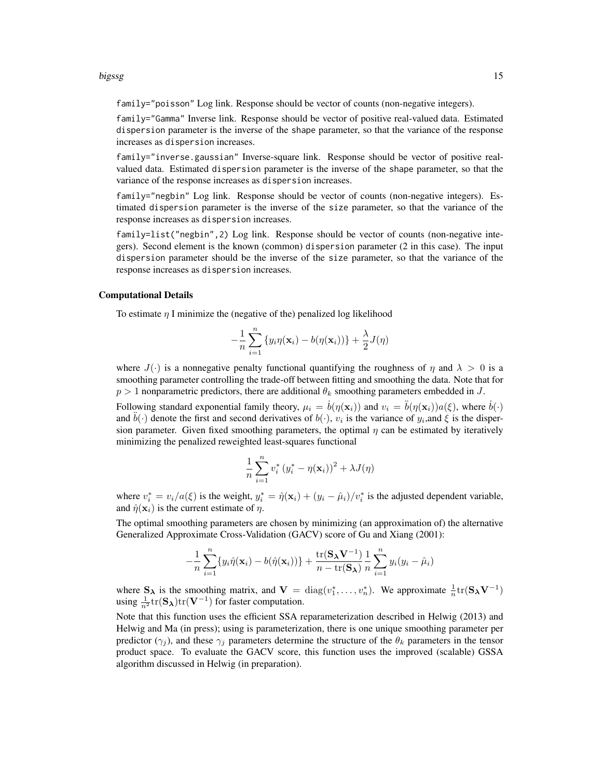#### bigssg the contract of the contract of the contract of the contract of the contract of the contract of the contract of the contract of the contract of the contract of the contract of the contract of the contract of the con

family="poisson" Log link. Response should be vector of counts (non-negative integers).

family="Gamma" Inverse link. Response should be vector of positive real-valued data. Estimated dispersion parameter is the inverse of the shape parameter, so that the variance of the response increases as dispersion increases.

family="inverse.gaussian" Inverse-square link. Response should be vector of positive realvalued data. Estimated dispersion parameter is the inverse of the shape parameter, so that the variance of the response increases as dispersion increases.

family="negbin" Log link. Response should be vector of counts (non-negative integers). Estimated dispersion parameter is the inverse of the size parameter, so that the variance of the response increases as dispersion increases.

family=list("negbin", 2) Log link. Response should be vector of counts (non-negative integers). Second element is the known (common) dispersion parameter (2 in this case). The input dispersion parameter should be the inverse of the size parameter, so that the variance of the response increases as dispersion increases.

#### Computational Details

To estimate  $\eta$  I minimize the (negative of the) penalized log likelihood

$$
-\frac{1}{n}\sum_{i=1}^n\left\{y_i\eta(\mathbf{x}_i)-b(\eta(\mathbf{x}_i))\right\}+\frac{\lambda}{2}J(\eta)
$$

where  $J(\cdot)$  is a nonnegative penalty functional quantifying the roughness of  $\eta$  and  $\lambda > 0$  is a smoothing parameter controlling the trade-off between fitting and smoothing the data. Note that for  $p > 1$  nonparametric predictors, there are additional  $\theta_k$  smoothing parameters embedded in J.

Following standard exponential family theory,  $\mu_i = \dot{b}(\eta(\mathbf{x}_i))$  and  $v_i = \ddot{b}(\eta(\mathbf{x}_i))a(\xi)$ , where  $\dot{b}(\cdot)$ and  $\ddot{b}(\cdot)$  denote the first and second derivatives of  $b(\cdot)$ ,  $v_i$  is the variance of  $y_i$ , and  $\xi$  is the dispersion parameter. Given fixed smoothing parameters, the optimal  $\eta$  can be estimated by iteratively minimizing the penalized reweighted least-squares functional

$$
\frac{1}{n}\sum_{i=1}^n v_i^* (y_i^* - \eta(\mathbf{x}_i))^2 + \lambda J(\eta)
$$

where  $v_i^* = v_i/a(\xi)$  is the weight,  $y_i^* = \hat{\eta}(\mathbf{x}_i) + (y_i - \hat{\mu}_i)/v_i^*$  is the adjusted dependent variable, and  $\hat{\eta}(\mathbf{x}_i)$  is the current estimate of  $\eta$ .

The optimal smoothing parameters are chosen by minimizing (an approximation of) the alternative Generalized Approximate Cross-Validation (GACV) score of Gu and Xiang (2001):

$$
-\frac{1}{n}\sum_{i=1}^n \{y_i\hat{\eta}(\mathbf{x}_i) - b(\hat{\eta}(\mathbf{x}_i))\} + \frac{\text{tr}(\mathbf{S}_{\boldsymbol{\lambda}}\mathbf{V}^{-1})}{n - \text{tr}(\mathbf{S}_{\boldsymbol{\lambda}})}\frac{1}{n}\sum_{i=1}^n y_i(y_i - \hat{\mu}_i)
$$

where  $S_{\lambda}$  is the smoothing matrix, and  $V = diag(v_1^*, \dots, v_n^*)$ . We approximate  $\frac{1}{n} tr(S_{\lambda} V^{-1})$ using  $\frac{1}{n^2}$ tr $(\mathbf{S}_{\lambda})$ tr $(\mathbf{V}^{-1})$  for faster computation.

Note that this function uses the efficient SSA reparameterization described in Helwig (2013) and Helwig and Ma (in press); using is parameterization, there is one unique smoothing parameter per predictor ( $\gamma_i$ ), and these  $\gamma_i$  parameters determine the structure of the  $\theta_k$  parameters in the tensor product space. To evaluate the GACV score, this function uses the improved (scalable) GSSA algorithm discussed in Helwig (in preparation).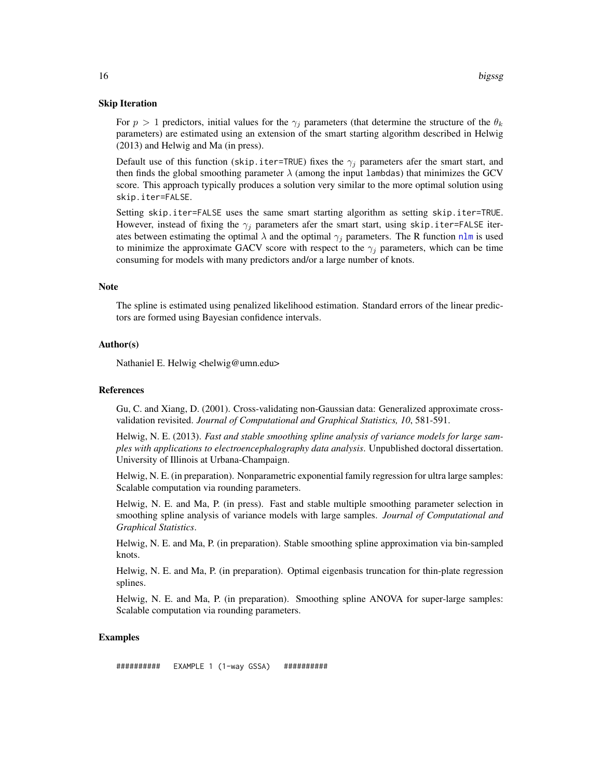#### <span id="page-15-0"></span>Skip Iteration

For  $p > 1$  predictors, initial values for the  $\gamma_i$  parameters (that determine the structure of the  $\theta_k$ parameters) are estimated using an extension of the smart starting algorithm described in Helwig (2013) and Helwig and Ma (in press).

Default use of this function (skip.iter=TRUE) fixes the  $\gamma_i$  parameters afer the smart start, and then finds the global smoothing parameter  $\lambda$  (among the input lambdas) that minimizes the GCV score. This approach typically produces a solution very similar to the more optimal solution using skip.iter=FALSE.

Setting skip.iter=FALSE uses the same smart starting algorithm as setting skip.iter=TRUE. However, instead of fixing the  $\gamma_i$  parameters afer the smart start, using skip.iter=FALSE iterates between estimating the optimal  $\lambda$  and the optimal  $\gamma_j$  parameters. The R function [nlm](#page-0-0) is used to minimize the approximate GACV score with respect to the  $\gamma_j$  parameters, which can be time consuming for models with many predictors and/or a large number of knots.

#### Note

The spline is estimated using penalized likelihood estimation. Standard errors of the linear predictors are formed using Bayesian confidence intervals.

#### Author(s)

Nathaniel E. Helwig <helwig@umn.edu>

#### References

Gu, C. and Xiang, D. (2001). Cross-validating non-Gaussian data: Generalized approximate crossvalidation revisited. *Journal of Computational and Graphical Statistics, 10*, 581-591.

Helwig, N. E. (2013). *Fast and stable smoothing spline analysis of variance models for large samples with applications to electroencephalography data analysis*. Unpublished doctoral dissertation. University of Illinois at Urbana-Champaign.

Helwig, N. E. (in preparation). Nonparametric exponential family regression for ultra large samples: Scalable computation via rounding parameters.

Helwig, N. E. and Ma, P. (in press). Fast and stable multiple smoothing parameter selection in smoothing spline analysis of variance models with large samples. *Journal of Computational and Graphical Statistics*.

Helwig, N. E. and Ma, P. (in preparation). Stable smoothing spline approximation via bin-sampled knots.

Helwig, N. E. and Ma, P. (in preparation). Optimal eigenbasis truncation for thin-plate regression splines.

Helwig, N. E. and Ma, P. (in preparation). Smoothing spline ANOVA for super-large samples: Scalable computation via rounding parameters.

#### Examples

########## EXAMPLE 1 (1-way GSSA) ##########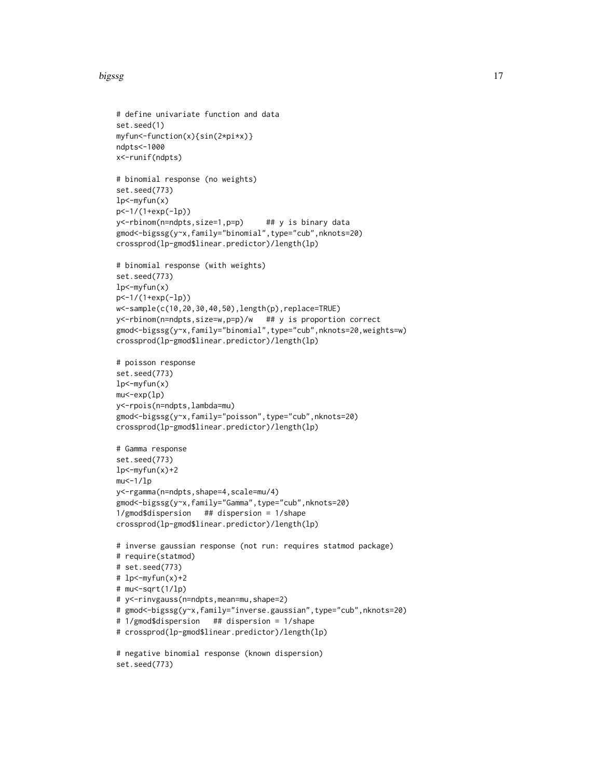#### bigssg 17

```
# define univariate function and data
set.seed(1)
myfun<-function(x){sin(2*pi*x)}
ndpts<-1000
x<-runif(ndpts)
# binomial response (no weights)
set.seed(773)
lp<-myfun(x)
p<-1/(1+exp(-lp))
y<-rbinom(n=ndpts,size=1,p=p) ## y is binary data
gmod<-bigssg(y~x,family="binomial",type="cub",nknots=20)
crossprod(lp-gmod$linear.predictor)/length(lp)
# binomial response (with weights)
set.seed(773)
lp<-myfun(x)
p<-1/(1+exp(-lp))
w<-sample(c(10,20,30,40,50),length(p),replace=TRUE)
y<-rbinom(n=ndpts,size=w,p=p)/w ## y is proportion correct
gmod<-bigssg(y~x,family="binomial",type="cub",nknots=20,weights=w)
crossprod(lp-gmod$linear.predictor)/length(lp)
# poisson response
set.seed(773)
lp<-myfun(x)
mu<-exp(lp)
y<-rpois(n=ndpts,lambda=mu)
gmod<-bigssg(y~x,family="poisson",type="cub",nknots=20)
crossprod(lp-gmod$linear.predictor)/length(lp)
# Gamma response
set.seed(773)
lp<-\myfun(x)+2mu<-1/lpy<-rgamma(n=ndpts,shape=4,scale=mu/4)
gmod<-bigssg(y~x,family="Gamma",type="cub",nknots=20)
1/gmod$dispersion ## dispersion = 1/shape
crossprod(lp-gmod$linear.predictor)/length(lp)
# inverse gaussian response (not run: requires statmod package)
# require(statmod)
# set.seed(773)
# 1p<-\myfun(x)+2# mu<-sqrt(1/lp)
# y<-rinvgauss(n=ndpts,mean=mu,shape=2)
# gmod<-bigssg(y~x,family="inverse.gaussian",type="cub",nknots=20)
# 1/gmod$dispersion ## dispersion = 1/shape
# crossprod(lp-gmod$linear.predictor)/length(lp)
# negative binomial response (known dispersion)
set.seed(773)
```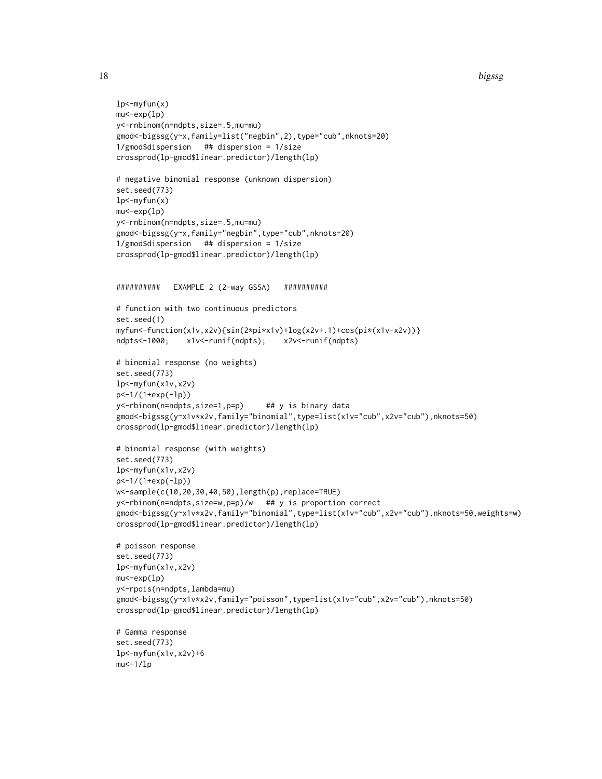18 bigssg

```
lp<-myfun(x)
mu<-exp(lp)
y<-rnbinom(n=ndpts,size=.5,mu=mu)
gmod<-bigssg(y~x,family=list("negbin",2),type="cub",nknots=20)
1/gmod$dispersion ## dispersion = 1/size
crossprod(lp-gmod$linear.predictor)/length(lp)
# negative binomial response (unknown dispersion)
set.seed(773)
lp<-myfun(x)
mu<-exp(lp)
y<-rnbinom(n=ndpts,size=.5,mu=mu)
gmod<-bigssg(y~x,family="negbin",type="cub",nknots=20)
1/gmod$dispersion ## dispersion = 1/size
crossprod(lp-gmod$linear.predictor)/length(lp)
########## EXAMPLE 2 (2-way GSSA) ##########
# function with two continuous predictors
set.seed(1)
myfun<-function(x1v,x2v){sin(2*pi*x1v)+log(x2v+.1)+cos(pi*(x1v-x2v))}
ndpts<-1000; x1v<-runif(ndpts); x2v<-runif(ndpts)
# binomial response (no weights)
set.seed(773)
lp<-myfun(x1v,x2v)
p<-1/(1+exp(-lp))
y<-rbinom(n=ndpts,size=1,p=p) ## y is binary data
gmod<-bigssg(y~x1v*x2v,family="binomial",type=list(x1v="cub",x2v="cub"),nknots=50)
crossprod(lp-gmod$linear.predictor)/length(lp)
# binomial response (with weights)
set.seed(773)
lp<-myfun(x1v,x2v)
p<-1/(1+exp(-lp))
w<-sample(c(10,20,30,40,50),length(p),replace=TRUE)
y<-rbinom(n=ndpts,size=w,p=p)/w ## y is proportion correct
gmod<-bigssg(y~x1v*x2v,family="binomial",type=list(x1v="cub",x2v="cub"),nknots=50,weights=w)
crossprod(lp-gmod$linear.predictor)/length(lp)
# poisson response
set.seed(773)
lp<-myfun(x1v,x2v)
mu<-exp(lp)
y<-rpois(n=ndpts,lambda=mu)
gmod<-bigssg(y~x1v*x2v,family="poisson",type=list(x1v="cub",x2v="cub"),nknots=50)
crossprod(lp-gmod$linear.predictor)/length(lp)
# Gamma response
set.seed(773)
lp<-myfun(x1v,x2v)+6
mu<-1/lp
```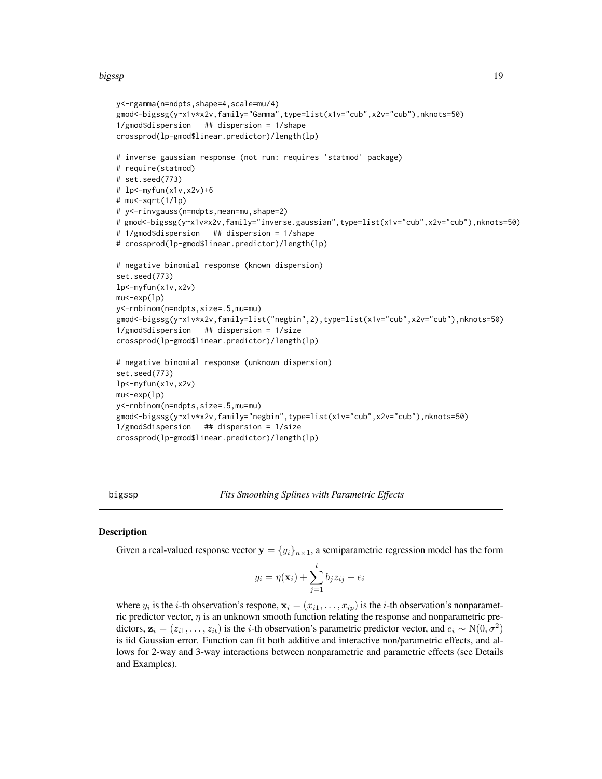#### <span id="page-18-0"></span>bigssp 19

```
y<-rgamma(n=ndpts,shape=4,scale=mu/4)
gmod<-bigssg(y~x1v*x2v,family="Gamma",type=list(x1v="cub",x2v="cub"),nknots=50)
1/gmod$dispersion ## dispersion = 1/shape
crossprod(lp-gmod$linear.predictor)/length(lp)
# inverse gaussian response (not run: requires 'statmod' package)
# require(statmod)
# set.seed(773)
# lp<-myfun(x1v,x2v)+6
# mu<-sqrt(1/lp)
# y<-rinvgauss(n=ndpts,mean=mu,shape=2)
# gmod<-bigssg(y~x1v*x2v,family="inverse.gaussian",type=list(x1v="cub",x2v="cub"),nknots=50)
# 1/gmod$dispersion ## dispersion = 1/shape
# crossprod(lp-gmod$linear.predictor)/length(lp)
# negative binomial response (known dispersion)
set.seed(773)
lp<-myfun(x1v,x2v)
mu<-exp(lp)
y<-rnbinom(n=ndpts,size=.5,mu=mu)
gmod<-bigssg(y~x1v*x2v,family=list("negbin",2),type=list(x1v="cub",x2v="cub"),nknots=50)
1/gmod$dispersion ## dispersion = 1/size
crossprod(lp-gmod$linear.predictor)/length(lp)
# negative binomial response (unknown dispersion)
set.seed(773)
lp<-myfun(x1v,x2v)
mu<-exp(lp)
y<-rnbinom(n=ndpts,size=.5,mu=mu)
gmod<-bigssg(y~x1v*x2v,family="negbin",type=list(x1v="cub",x2v="cub"),nknots=50)
1/gmod$dispersion ## dispersion = 1/size
crossprod(lp-gmod$linear.predictor)/length(lp)
```
<span id="page-18-1"></span>bigssp *Fits Smoothing Splines with Parametric Effects*

#### **Description**

Given a real-valued response vector  $\mathbf{y} = \{y_i\}_{i \in \mathbb{N}}$ , a semiparametric regression model has the form

$$
y_i = \eta(\mathbf{x}_i) + \sum_{j=1}^t b_j z_{ij} + e_i
$$

where  $y_i$  is the *i*-th observation's respone,  $\mathbf{x}_i = (x_{i1}, \dots, x_{ip})$  is the *i*-th observation's nonparametric predictor vector,  $\eta$  is an unknown smooth function relating the response and nonparametric predictors,  $z_i = (z_{i1}, \ldots, z_{it})$  is the *i*-th observation's parametric predictor vector, and  $e_i \sim N(0, \sigma^2)$ is iid Gaussian error. Function can fit both additive and interactive non/parametric effects, and allows for 2-way and 3-way interactions between nonparametric and parametric effects (see Details and Examples).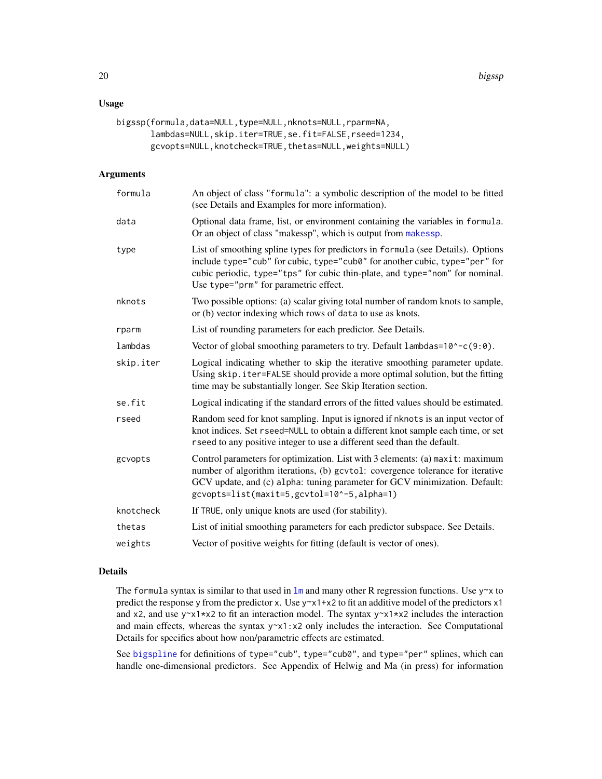# <span id="page-19-0"></span>Usage

```
bigssp(formula,data=NULL,type=NULL,nknots=NULL,rparm=NA,
       lambdas=NULL,skip.iter=TRUE,se.fit=FALSE,rseed=1234,
       gcvopts=NULL,knotcheck=TRUE,thetas=NULL,weights=NULL)
```
# Arguments

| formula   | An object of class "formula": a symbolic description of the model to be fitted<br>(see Details and Examples for more information).                                                                                                                                                          |
|-----------|---------------------------------------------------------------------------------------------------------------------------------------------------------------------------------------------------------------------------------------------------------------------------------------------|
| data      | Optional data frame, list, or environment containing the variables in formula.<br>Or an object of class "makessp", which is output from makessp.                                                                                                                                            |
| type      | List of smoothing spline types for predictors in formula (see Details). Options<br>include type="cub" for cubic, type="cub0" for another cubic, type="per" for<br>cubic periodic, type="tps" for cubic thin-plate, and type="nom" for nominal.<br>Use type="prm" for parametric effect.     |
| nknots    | Two possible options: (a) scalar giving total number of random knots to sample,<br>or (b) vector indexing which rows of data to use as knots.                                                                                                                                               |
| rparm     | List of rounding parameters for each predictor. See Details.                                                                                                                                                                                                                                |
| lambdas   | Vector of global smoothing parameters to try. Default $l$ ambdas= $10^{\circ}$ -c(9:0).                                                                                                                                                                                                     |
| skip.iter | Logical indicating whether to skip the iterative smoothing parameter update.<br>Using skip. iter=FALSE should provide a more optimal solution, but the fitting<br>time may be substantially longer. See Skip Iteration section.                                                             |
| se.fit    | Logical indicating if the standard errors of the fitted values should be estimated.                                                                                                                                                                                                         |
| rseed     | Random seed for knot sampling. Input is ignored if nknots is an input vector of<br>knot indices. Set rseed=NULL to obtain a different knot sample each time, or set<br>rseed to any positive integer to use a different seed than the default.                                              |
| gcvopts   | Control parameters for optimization. List with 3 elements: (a) maxit: maximum<br>number of algorithm iterations, (b) gcvtol: covergence tolerance for iterative<br>GCV update, and (c) alpha: tuning parameter for GCV minimization. Default:<br>gcvopts=list(maxit=5,gcvtol=10^-5,alpha=1) |
| knotcheck | If TRUE, only unique knots are used (for stability).                                                                                                                                                                                                                                        |
| thetas    | List of initial smoothing parameters for each predictor subspace. See Details.                                                                                                                                                                                                              |
| weights   | Vector of positive weights for fitting (default is vector of ones).                                                                                                                                                                                                                         |
|           |                                                                                                                                                                                                                                                                                             |

# Details

The formula syntax is similar to that used in  $\text{Im}$  and many other R regression functions. Use y~x to predict the response y from the predictor x. Use  $y \sim x1+x2$  to fit an additive model of the predictors  $x1$ and x2, and use  $y \sim x1 \star x2$  to fit an interaction model. The syntax  $y \sim x1 \star x2$  includes the interaction and main effects, whereas the syntax  $y \sim x1$ :  $x2$  only includes the interaction. See Computational Details for specifics about how non/parametric effects are estimated.

See [bigspline](#page-2-1) for definitions of type="cub", type="cub0", and type="per" splines, which can handle one-dimensional predictors. See Appendix of Helwig and Ma (in press) for information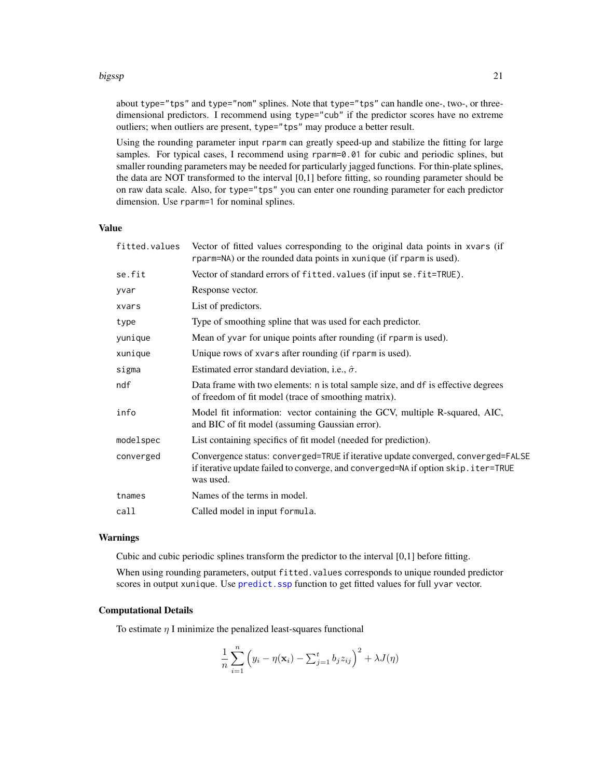#### <span id="page-20-0"></span>bigssp 21

about type="tps" and type="nom" splines. Note that type="tps" can handle one-, two-, or threedimensional predictors. I recommend using type="cub" if the predictor scores have no extreme outliers; when outliers are present, type="tps" may produce a better result.

Using the rounding parameter input rparm can greatly speed-up and stabilize the fitting for large samples. For typical cases, I recommend using rparm=0.01 for cubic and periodic splines, but smaller rounding parameters may be needed for particularly jagged functions. For thin-plate splines, the data are NOT transformed to the interval [0,1] before fitting, so rounding parameter should be on raw data scale. Also, for type="tps" you can enter one rounding parameter for each predictor dimension. Use rparm=1 for nominal splines.

# Value

| fitted.values | Vector of fitted values corresponding to the original data points in xvars (if<br>rparm=NA) or the rounded data points in xunique (if rparm is used).                               |
|---------------|-------------------------------------------------------------------------------------------------------------------------------------------------------------------------------------|
| se.fit        | Vector of standard errors of fitted. values (if input se. fit=TRUE).                                                                                                                |
| yvar          | Response vector.                                                                                                                                                                    |
| xvars         | List of predictors.                                                                                                                                                                 |
| type          | Type of smoothing spline that was used for each predictor.                                                                                                                          |
| yunique       | Mean of yvar for unique points after rounding (if rparm is used).                                                                                                                   |
| xunique       | Unique rows of xvars after rounding (if rparm is used).                                                                                                                             |
| sigma         | Estimated error standard deviation, i.e., $\hat{\sigma}$ .                                                                                                                          |
| ndf           | Data frame with two elements: n is total sample size, and df is effective degrees<br>of freedom of fit model (trace of smoothing matrix).                                           |
| info          | Model fit information: vector containing the GCV, multiple R-squared, AIC,<br>and BIC of fit model (assuming Gaussian error).                                                       |
| modelspec     | List containing specifics of fit model (needed for prediction).                                                                                                                     |
| converged     | Convergence status: converged=TRUE if iterative update converged, converged=FALSE<br>if iterative update failed to converge, and converged=NA if option skip.iter=TRUE<br>was used. |
| tnames        | Names of the terms in model.                                                                                                                                                        |
| call          | Called model in input formula.                                                                                                                                                      |
|               |                                                                                                                                                                                     |

#### Warnings

Cubic and cubic periodic splines transform the predictor to the interval [0,1] before fitting.

When using rounding parameters, output fitted.values corresponds to unique rounded predictor scores in output xunique. Use predict. ssp function to get fitted values for full yvar vector.

# Computational Details

To estimate  $\eta$  I minimize the penalized least-squares functional

$$
\frac{1}{n}\sum_{i=1}^n \left(y_i - \eta(\mathbf{x}_i) - \sum_{j=1}^t b_j z_{ij}\right)^2 + \lambda J(\eta)
$$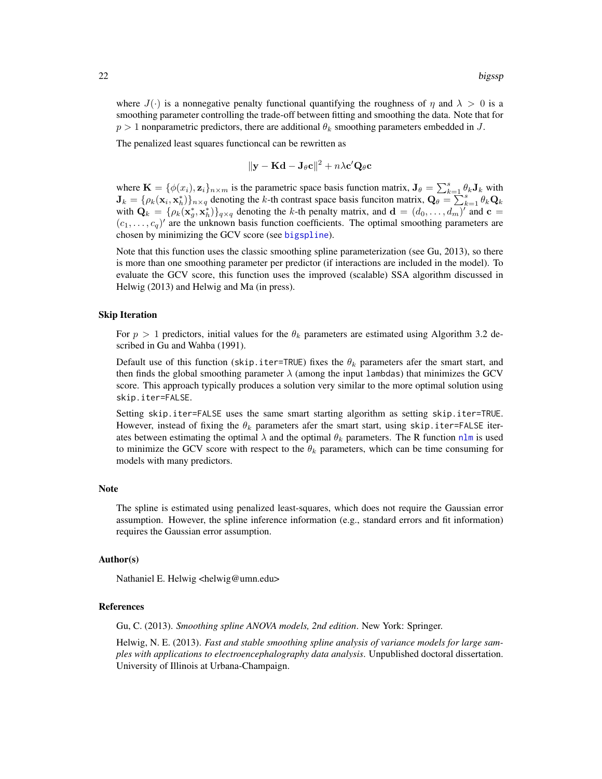<span id="page-21-0"></span>where  $J(\cdot)$  is a nonnegative penalty functional quantifying the roughness of  $\eta$  and  $\lambda > 0$  is a smoothing parameter controlling the trade-off between fitting and smoothing the data. Note that for  $p > 1$  nonparametric predictors, there are additional  $\theta_k$  smoothing parameters embedded in J.

The penalized least squares functioncal can be rewritten as

$$
\|\mathbf{y} - \mathbf{K}\mathbf{d} - \mathbf{J}_{\theta}\mathbf{c}\|^2 + n\lambda \mathbf{c}'\mathbf{Q}_{\theta}\mathbf{c}
$$

where  $\mathbf{K} = \{\phi(x_i), \mathbf{z}_i\}_{n \times m}$  is the parametric space basis function matrix,  $\mathbf{J}_{\theta} = \sum_{k=1}^{s} \theta_k \mathbf{J}_k$  with  $\mathbf{J}_k = {\rho_k(\mathbf{x}_i, \mathbf{x}_h^*)}_{n \times q}$  denoting the k-th contrast space basis funciton matrix,  $\mathbf{Q}_\theta = \sum_{k=1}^{n} \theta_k \mathbf{Q}_k$ with  $\mathbf{Q}_k = {\rho_k(\mathbf{x}_g^*, \mathbf{x}_h^*)}_{{q \times q}}$  denoting the k-th penalty matrix, and  $\mathbf{d} = (d_0, \dots, d_m)$  and  $\mathbf{c} =$  $(c_1, \ldots, c_q)'$  are the unknown basis function coefficients. The optimal smoothing parameters are chosen by minimizing the GCV score (see [bigspline](#page-2-1)).

Note that this function uses the classic smoothing spline parameterization (see Gu, 2013), so there is more than one smoothing parameter per predictor (if interactions are included in the model). To evaluate the GCV score, this function uses the improved (scalable) SSA algorithm discussed in Helwig (2013) and Helwig and Ma (in press).

#### Skip Iteration

For  $p > 1$  predictors, initial values for the  $\theta_k$  parameters are estimated using Algorithm 3.2 described in Gu and Wahba (1991).

Default use of this function (skip.iter=TRUE) fixes the  $\theta_k$  parameters afer the smart start, and then finds the global smoothing parameter  $\lambda$  (among the input lambdas) that minimizes the GCV score. This approach typically produces a solution very similar to the more optimal solution using skip.iter=FALSE.

Setting skip.iter=FALSE uses the same smart starting algorithm as setting skip.iter=TRUE. However, instead of fixing the  $\theta_k$  parameters afer the smart start, using skip.iter=FALSE iterates between estimating the optimal  $\lambda$  and the optimal  $\theta_k$  parameters. The R function [nlm](#page-0-0) is used to minimize the GCV score with respect to the  $\theta_k$  parameters, which can be time consuming for models with many predictors.

#### **Note**

The spline is estimated using penalized least-squares, which does not require the Gaussian error assumption. However, the spline inference information (e.g., standard errors and fit information) requires the Gaussian error assumption.

#### Author(s)

Nathaniel E. Helwig <helwig@umn.edu>

#### References

Gu, C. (2013). *Smoothing spline ANOVA models, 2nd edition*. New York: Springer.

Helwig, N. E. (2013). *Fast and stable smoothing spline analysis of variance models for large samples with applications to electroencephalography data analysis*. Unpublished doctoral dissertation. University of Illinois at Urbana-Champaign.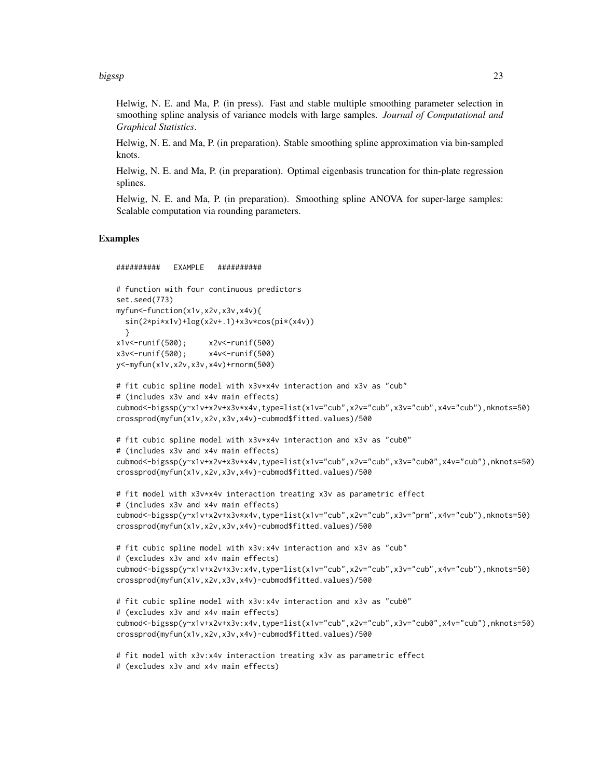bigssp 23

Helwig, N. E. and Ma, P. (in press). Fast and stable multiple smoothing parameter selection in smoothing spline analysis of variance models with large samples. *Journal of Computational and Graphical Statistics*.

Helwig, N. E. and Ma, P. (in preparation). Stable smoothing spline approximation via bin-sampled knots.

Helwig, N. E. and Ma, P. (in preparation). Optimal eigenbasis truncation for thin-plate regression splines.

Helwig, N. E. and Ma, P. (in preparation). Smoothing spline ANOVA for super-large samples: Scalable computation via rounding parameters.

# Examples

```
########## EXAMPLE ##########
# function with four continuous predictors
set.seed(773)
myfun<-function(x1v,x2v,x3v,x4v){
 sin(2*pi*x1v)+log(x2v+.1)+x3v*cos(pi*(x4v))
  }
x1v<-runif(500); x2v<-runif(500)
x3v<-runif(500); x4v<-runif(500)
y<-myfun(x1v,x2v,x3v,x4v)+rnorm(500)
# fit cubic spline model with x3v*x4v interaction and x3v as "cub"
# (includes x3v and x4v main effects)
cubmod<-bigssp(y~x1v+x2v+x3v*x4v,type=list(x1v="cub",x2v="cub",x3v="cub",x4v="cub"),nknots=50)
crossprod(myfun(x1v,x2v,x3v,x4v)-cubmod$fitted.values)/500
# fit cubic spline model with x3v*x4v interaction and x3v as "cub0"
# (includes x3v and x4v main effects)
cubmod<-bigssp(y~x1v+x2v+x3v*x4v,type=list(x1v="cub",x2v="cub",x3v="cub0",x4v="cub"),nknots=50)
crossprod(myfun(x1v,x2v,x3v,x4v)-cubmod$fitted.values)/500
# fit model with x3v*x4v interaction treating x3v as parametric effect
# (includes x3v and x4v main effects)
cubmod<-bigssp(y~x1v+x2v+x3v*x4v,type=list(x1v="cub",x2v="cub",x3v="prm",x4v="cub"),nknots=50)
crossprod(myfun(x1v,x2v,x3v,x4v)-cubmod$fitted.values)/500
# fit cubic spline model with x3v:x4v interaction and x3v as "cub"
# (excludes x3v and x4v main effects)
cubmod<-bigssp(y~x1v+x2v+x3v:x4v,type=list(x1v="cub",x2v="cub",x3v="cub",x4v="cub"),nknots=50)
crossprod(myfun(x1v,x2v,x3v,x4v)-cubmod$fitted.values)/500
# fit cubic spline model with x3v:x4v interaction and x3v as "cub0"
# (excludes x3v and x4v main effects)
cubmod<-bigssp(y~x1v+x2v+x3v:x4v,type=list(x1v="cub",x2v="cub",x3v="cub0",x4v="cub"),nknots=50)
crossprod(myfun(x1v,x2v,x3v,x4v)-cubmod$fitted.values)/500
# fit model with x3v:x4v interaction treating x3v as parametric effect
# (excludes x3v and x4v main effects)
```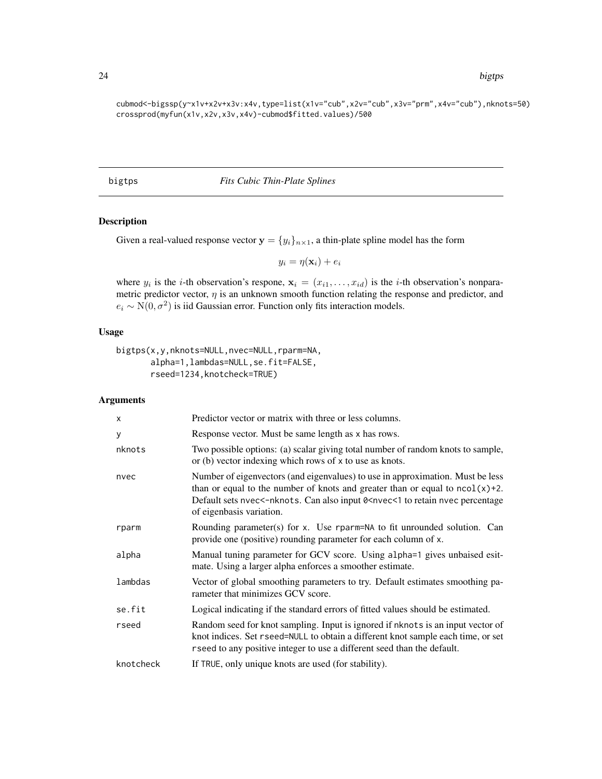cubmod<-bigssp(y~x1v+x2v+x3v:x4v,type=list(x1v="cub",x2v="cub",x3v="prm",x4v="cub"),nknots=50) crossprod(myfun(x1v,x2v,x3v,x4v)-cubmod\$fitted.values)/500

#### <span id="page-23-1"></span>bigtps *Fits Cubic Thin-Plate Splines*

# Description

Given a real-valued response vector  $y = \{y_i\}_{i \in \mathbb{N}}$ , a thin-plate spline model has the form

$$
y_i = \eta(\mathbf{x}_i) + e_i
$$

where  $y_i$  is the *i*-th observation's respone,  $\mathbf{x}_i = (x_{i1}, \dots, x_{id})$  is the *i*-th observation's nonparametric predictor vector,  $\eta$  is an unknown smooth function relating the response and predictor, and  $e_i \sim N(0, \sigma^2)$  is iid Gaussian error. Function only fits interaction models.

# Usage

```
bigtps(x,y,nknots=NULL,nvec=NULL,rparm=NA,
       alpha=1,lambdas=NULL,se.fit=FALSE,
       rseed=1234,knotcheck=TRUE)
```
# Arguments

| X         | Predictor vector or matrix with three or less columns.                                                                                                                                                                                                                                              |
|-----------|-----------------------------------------------------------------------------------------------------------------------------------------------------------------------------------------------------------------------------------------------------------------------------------------------------|
| у         | Response vector. Must be same length as x has rows.                                                                                                                                                                                                                                                 |
| nknots    | Two possible options: (a) scalar giving total number of random knots to sample,<br>or (b) vector indexing which rows of x to use as knots.                                                                                                                                                          |
| nvec      | Number of eigenvectors (and eigenvalues) to use in approximation. Must be less<br>than or equal to the number of knots and greater than or equal to $ncol(x)+2$ .<br>Default sets nvec<-nknots. Can also input 0 <nvec<1 nvec="" percentage<br="" retain="" to="">of eigenbasis variation.</nvec<1> |
| rparm     | Rounding parameter(s) for x. Use rparm=NA to fit unrounded solution. Can<br>provide one (positive) rounding parameter for each column of x.                                                                                                                                                         |
| alpha     | Manual tuning parameter for GCV score. Using alpha=1 gives unbaised esit-<br>mate. Using a larger alpha enforces a smoother estimate.                                                                                                                                                               |
| lambdas   | Vector of global smoothing parameters to try. Default estimates smoothing pa-<br>rameter that minimizes GCV score.                                                                                                                                                                                  |
| se.fit    | Logical indicating if the standard errors of fitted values should be estimated.                                                                                                                                                                                                                     |
| rseed     | Random seed for knot sampling. Input is ignored if nknots is an input vector of<br>knot indices. Set rseed=NULL to obtain a different knot sample each time, or set<br>rseed to any positive integer to use a different seed than the default.                                                      |
| knotcheck | If TRUE, only unique knots are used (for stability).                                                                                                                                                                                                                                                |

<span id="page-23-0"></span>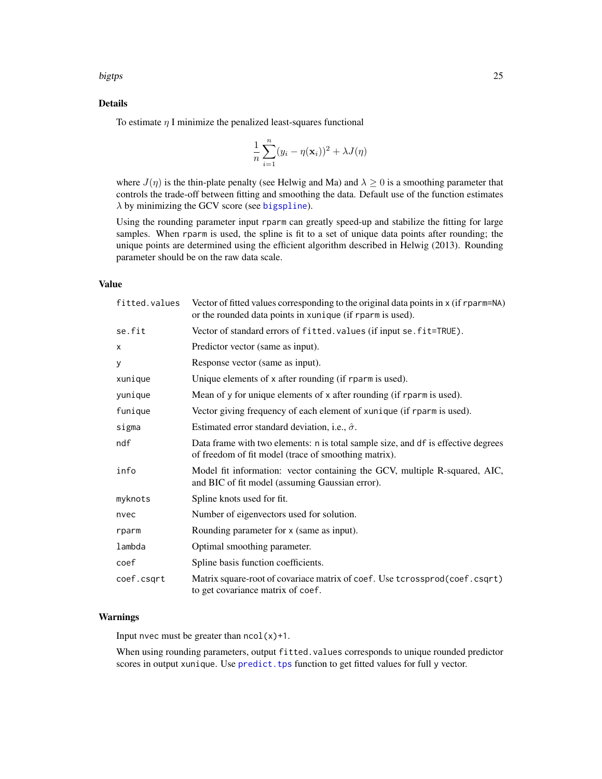#### <span id="page-24-0"></span>bigtps 25

# Details

To estimate  $\eta$  I minimize the penalized least-squares functional

$$
\frac{1}{n}\sum_{i=1}^{n}(y_i-\eta(\mathbf{x}_i))^2+\lambda J(\eta)
$$

where  $J(\eta)$  is the thin-plate penalty (see Helwig and Ma) and  $\lambda \geq 0$  is a smoothing parameter that controls the trade-off between fitting and smoothing the data. Default use of the function estimates  $\lambda$  by minimizing the GCV score (see [bigspline](#page-2-1)).

Using the rounding parameter input rparm can greatly speed-up and stabilize the fitting for large samples. When rparm is used, the spline is fit to a set of unique data points after rounding; the unique points are determined using the efficient algorithm described in Helwig (2013). Rounding parameter should be on the raw data scale.

#### Value

| fitted.values | Vector of fitted values corresponding to the original data points in x (if rparm=NA)<br>or the rounded data points in xunique (if rparm is used). |
|---------------|---------------------------------------------------------------------------------------------------------------------------------------------------|
| se.fit        | Vector of standard errors of fitted. values (if input se. fit=TRUE).                                                                              |
| X             | Predictor vector (same as input).                                                                                                                 |
| У             | Response vector (same as input).                                                                                                                  |
| xunique       | Unique elements of x after rounding (if rparm is used).                                                                                           |
| yunique       | Mean of y for unique elements of x after rounding (if rparm is used).                                                                             |
| funique       | Vector giving frequency of each element of xunique (if rparm is used).                                                                            |
| sigma         | Estimated error standard deviation, i.e., $\hat{\sigma}$ .                                                                                        |
| ndf           | Data frame with two elements: n is total sample size, and df is effective degrees<br>of freedom of fit model (trace of smoothing matrix).         |
| info          | Model fit information: vector containing the GCV, multiple R-squared, AIC,<br>and BIC of fit model (assuming Gaussian error).                     |
| myknots       | Spline knots used for fit.                                                                                                                        |
| nvec          | Number of eigenvectors used for solution.                                                                                                         |
| rparm         | Rounding parameter for x (same as input).                                                                                                         |
| lambda        | Optimal smoothing parameter.                                                                                                                      |
| coef          | Spline basis function coefficients.                                                                                                               |
| coef.csqrt    | Matrix square-root of covariace matrix of coef. Use tcrossprod(coef.csqrt)<br>to get covariance matrix of coef.                                   |

# Warnings

Input nvec must be greater than  $ncol(x)+1$ .

When using rounding parameters, output fitted.values corresponds to unique rounded predictor scores in output xunique. Use predict. tps function to get fitted values for full y vector.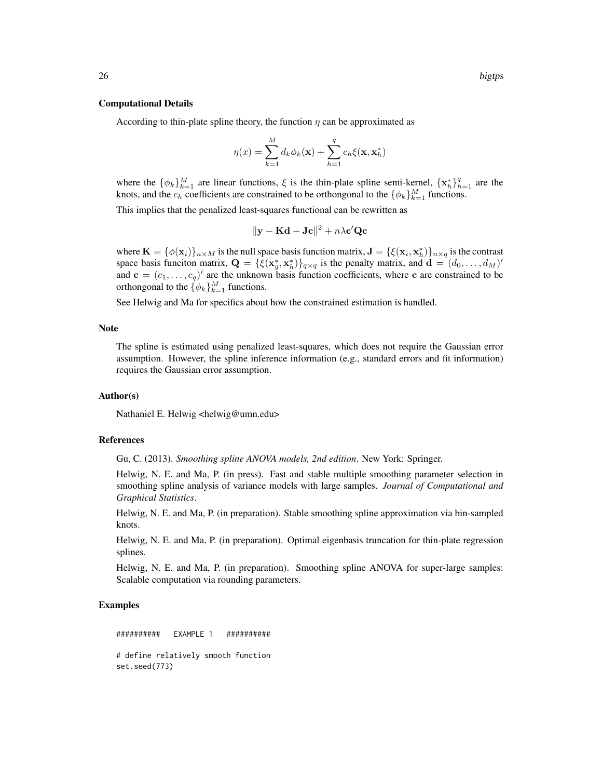#### Computational Details

According to thin-plate spline theory, the function  $\eta$  can be approximated as

$$
\eta(x) = \sum_{k=1}^{M} d_k \phi_k(\mathbf{x}) + \sum_{h=1}^{q} c_h \xi(\mathbf{x}, \mathbf{x}_h^*)
$$

where the  $\{\phi_k\}_{k=1}^M$  are linear functions,  $\xi$  is the thin-plate spline semi-kernel,  $\{x_h^*\}_{h=1}^q$  are the knots, and the  $c_h$  coefficients are constrained to be orthongonal to the  $\{\phi_k\}_{k=1}^M$  functions.

This implies that the penalized least-squares functional can be rewritten as

$$
\|\mathbf{y} - \mathbf{K}\mathbf{d} - \mathbf{Jc}\|^2 + n\lambda \mathbf{c}' \mathbf{Qc}
$$

where  $\mathbf{K} = \{\phi(\mathbf{x}_i)\}_{n \times M}$  is the null space basis function matrix,  $\mathbf{J} = \{\xi(\mathbf{x}_i, \mathbf{x}_h^*)\}_{n \times q}$  is the contrast space basis funciton matrix,  $\mathbf{Q} = {\{\xi(\mathbf{x}_g^*, \mathbf{x}_h^*)\}_{q \times q}}$  is the penalty matrix, and  $\mathbf{d} = (d_0, \dots, d_M)'$ and  $\mathbf{c} = (c_1, \dots, c_q)'$  are the unknown basis function coefficients, where c are constrained to be orthongonal to the  $\{\phi_k\}_{k=1}^M$  functions.

See Helwig and Ma for specifics about how the constrained estimation is handled.

# Note

The spline is estimated using penalized least-squares, which does not require the Gaussian error assumption. However, the spline inference information (e.g., standard errors and fit information) requires the Gaussian error assumption.

#### Author(s)

Nathaniel E. Helwig <helwig@umn.edu>

#### References

Gu, C. (2013). *Smoothing spline ANOVA models, 2nd edition*. New York: Springer.

Helwig, N. E. and Ma, P. (in press). Fast and stable multiple smoothing parameter selection in smoothing spline analysis of variance models with large samples. *Journal of Computational and Graphical Statistics*.

Helwig, N. E. and Ma, P. (in preparation). Stable smoothing spline approximation via bin-sampled knots.

Helwig, N. E. and Ma, P. (in preparation). Optimal eigenbasis truncation for thin-plate regression splines.

Helwig, N. E. and Ma, P. (in preparation). Smoothing spline ANOVA for super-large samples: Scalable computation via rounding parameters.

# Examples

########## EXAMPLE 1 ########## # define relatively smooth function set.seed(773)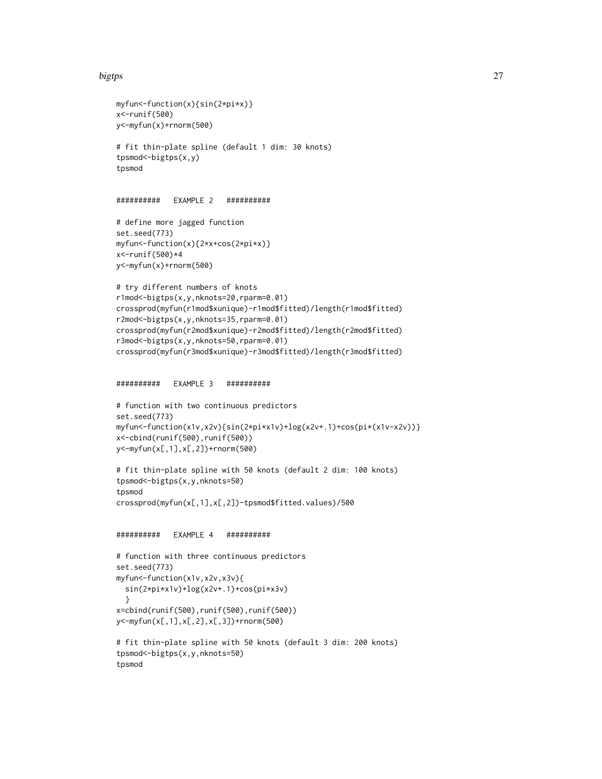#### bigtps 27

```
myfun<-function(x){sin(2*pi*x)}
x<-runif(500)
y<-myfun(x)+rnorm(500)
# fit thin-plate spline (default 1 dim: 30 knots)
tpsmod<-bigtps(x,y)
tpsmod
########## EXAMPLE 2 ##########
# define more jagged function
set.seed(773)
myfun<-function(x){2*x+cos(2*pi*x)}
x<-runif(500)*4
y<-myfun(x)+rnorm(500)
# try different numbers of knots
r1mod<-bigtps(x,y,nknots=20,rparm=0.01)
crossprod(myfun(r1mod$xunique)-r1mod$fitted)/length(r1mod$fitted)
r2mod<-bigtps(x,y,nknots=35,rparm=0.01)
crossprod(myfun(r2mod$xunique)-r2mod$fitted)/length(r2mod$fitted)
r3mod<-bigtps(x,y,nknots=50,rparm=0.01)
crossprod(myfun(r3mod$xunique)-r3mod$fitted)/length(r3mod$fitted)
########## EXAMPLE 3 ##########
# function with two continuous predictors
set.seed(773)
myfun<-function(x1v,x2v){sin(2*pi*x1v)+log(x2v+.1)+cos(pi*(x1v-x2v))}
x<-cbind(runif(500),runif(500))
y<-myfun(x[,1],x[,2])+rnorm(500)
# fit thin-plate spline with 50 knots (default 2 dim: 100 knots)
tpsmod<-bigtps(x,y,nknots=50)
tpsmod
crossprod(myfun(x[,1],x[,2])-tpsmod$fitted.values)/500
########## EXAMPLE 4 ##########
# function with three continuous predictors
set.seed(773)
myfun<-function(x1v,x2v,x3v){
  sin(2*pi*x1v)+log(x2v+.1)+cos(pi*x3v)
  }
x=cbind(runif(500),runif(500),runif(500))
y<-myfun(x[,1],x[,2],x[,3])+rnorm(500)
# fit thin-plate spline with 50 knots (default 3 dim: 200 knots)
tpsmod<-bigtps(x,y,nknots=50)
tpsmod
```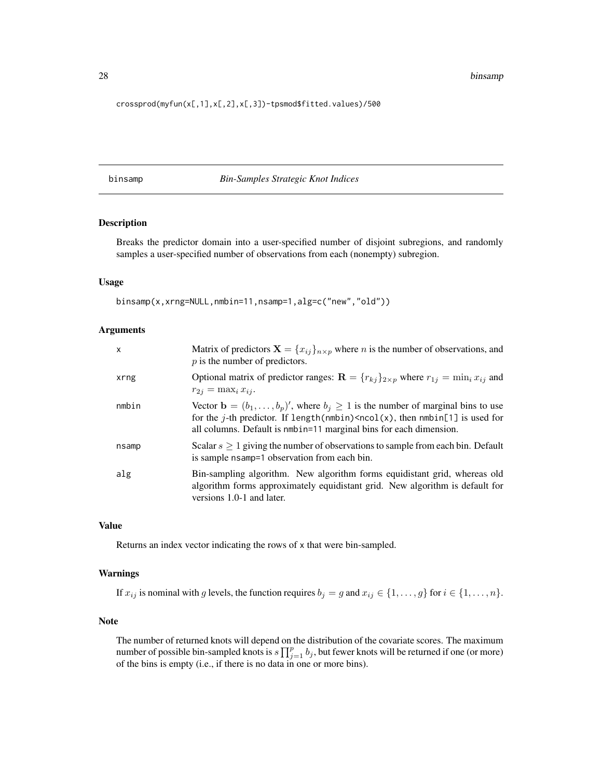<span id="page-27-0"></span>28 binsamp

crossprod(myfun(x[,1],x[,2],x[,3])-tpsmod\$fitted.values)/500

binsamp *Bin-Samples Strategic Knot Indices*

# Description

Breaks the predictor domain into a user-specified number of disjoint subregions, and randomly samples a user-specified number of observations from each (nonempty) subregion.

#### Usage

binsamp(x,xrng=NULL,nmbin=11,nsamp=1,alg=c("new","old"))

# Arguments

| $\mathsf{x}$ | Matrix of predictors $\mathbf{X} = \{x_{ij}\}_{n \times p}$ where <i>n</i> is the number of observations, and<br>$p$ is the number of predictors.                                                                                                                |
|--------------|------------------------------------------------------------------------------------------------------------------------------------------------------------------------------------------------------------------------------------------------------------------|
| xrng         | Optional matrix of predictor ranges: $\mathbf{R} = {r_{kj}}_{2 \times p}$ where $r_{1j} = \min_i x_{ij}$ and<br>$r_{2j} = \max_i x_{ij}.$                                                                                                                        |
| nmbin        | Vector $\mathbf{b} = (b_1, \ldots, b_p)'$ , where $b_i \geq 1$ is the number of marginal bins to use<br>for the j-th predictor. If length(nmbin) $\leq$ ncol(x), then nmbin[1] is used for<br>all columns. Default is nmbin=11 marginal bins for each dimension. |
| nsamp        | Scalar $s \ge 1$ giving the number of observations to sample from each bin. Default<br>is sample nsamp=1 observation from each bin.                                                                                                                              |
| alg          | Bin-sampling algorithm. New algorithm forms equidistant grid, whereas old<br>algorithm forms approximately equidistant grid. New algorithm is default for<br>versions 1.0-1 and later.                                                                           |

# Value

Returns an index vector indicating the rows of x that were bin-sampled.

# Warnings

If  $x_{ij}$  is nominal with g levels, the function requires  $b_j = g$  and  $x_{ij} \in \{1, ..., g\}$  for  $i \in \{1, ..., n\}$ .

#### **Note**

The number of returned knots will depend on the distribution of the covariate scores. The maximum number of possible bin-sampled knots is  $s \prod_{j=1}^p b_j$ , but fewer knots will be returned if one (or more) of the bins is empty (i.e., if there is no data in one or more bins).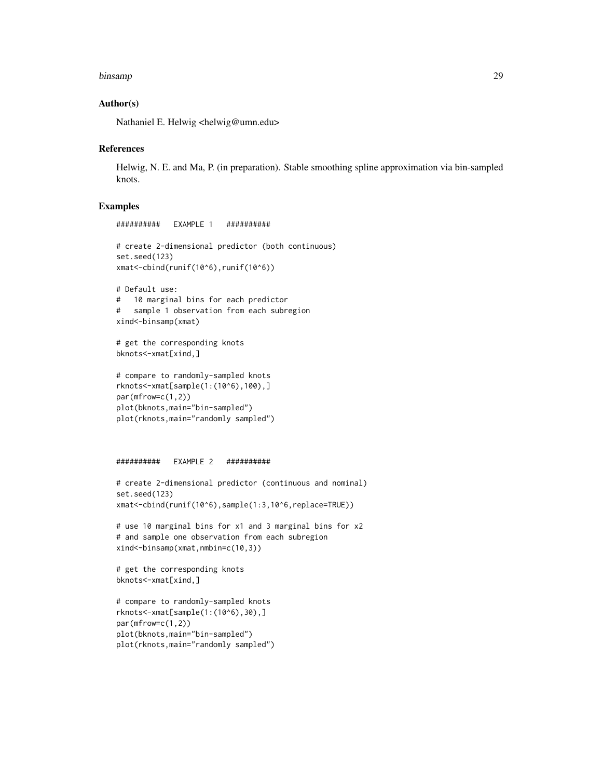#### binsamp 29

# Author(s)

Nathaniel E. Helwig <helwig@umn.edu>

########## EXAMPLE 1 ##########

#### **References**

Helwig, N. E. and Ma, P. (in preparation). Stable smoothing spline approximation via bin-sampled knots.

# Examples

```
# create 2-dimensional predictor (both continuous)
set.seed(123)
xmat<-cbind(runif(10^6),runif(10^6))
# Default use:
# 10 marginal bins for each predictor
# sample 1 observation from each subregion
xind<-binsamp(xmat)
# get the corresponding knots
bknots<-xmat[xind,]
# compare to randomly-sampled knots
rknots<-xmat[sample(1:(10^6),100),]
par(mfrow=c(1,2))
plot(bknots,main="bin-sampled")
plot(rknots,main="randomly sampled")
########## EXAMPLE 2 ##########
# create 2-dimensional predictor (continuous and nominal)
set.seed(123)
xmat<-cbind(runif(10^6),sample(1:3,10^6,replace=TRUE))
# use 10 marginal bins for x1 and 3 marginal bins for x2
# and sample one observation from each subregion
xind<-binsamp(xmat,nmbin=c(10,3))
# get the corresponding knots
bknots<-xmat[xind,]
# compare to randomly-sampled knots
rknots<-xmat[sample(1:(10^6),30),]
par(mfrow=c(1,2))
plot(bknots,main="bin-sampled")
```
plot(rknots,main="randomly sampled")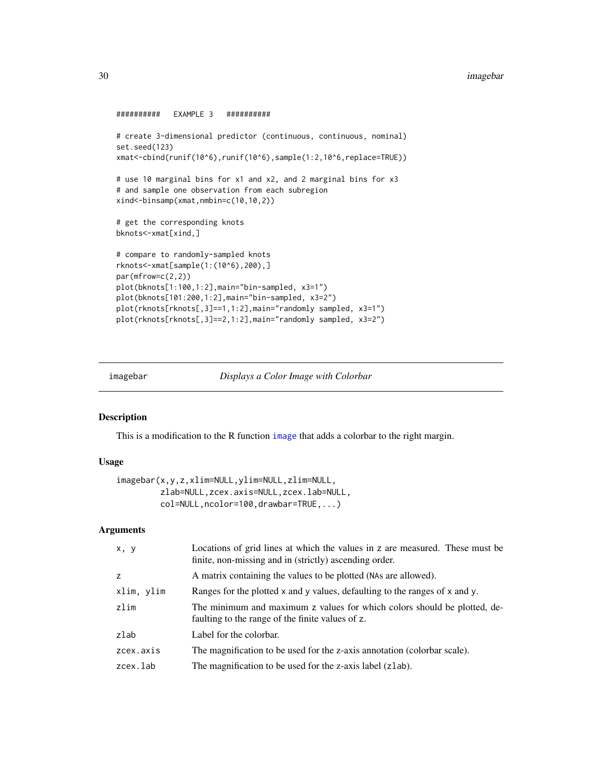#### <span id="page-29-0"></span>30 imagebar 1999 - Santa Carolina and Santa Carolina and Santa Carolina and Santa Carolina and Santa Carolina and Santa Carolina and Santa Carolina and Santa Carolina and Santa Carolina and Santa Carolina and Santa Carolin

```
########## EXAMPLE 3 ##########
```

```
# create 3-dimensional predictor (continuous, continuous, nominal)
set.seed(123)
xmat<-cbind(runif(10^6),runif(10^6),sample(1:2,10^6,replace=TRUE))
# use 10 marginal bins for x1 and x2, and 2 marginal bins for x3
# and sample one observation from each subregion
xind<-binsamp(xmat,nmbin=c(10,10,2))
# get the corresponding knots
bknots<-xmat[xind,]
# compare to randomly-sampled knots
rknots<-xmat[sample(1:(10^6),200),]
par(mfrow=c(2,2))
plot(bknots[1:100,1:2],main="bin-sampled, x3=1")
plot(bknots[101:200,1:2],main="bin-sampled, x3=2")
plot(rknots[rknots[,3]==1,1:2],main="randomly sampled, x3=1")
plot(rknots[rknots[,3]==2,1:2],main="randomly sampled, x3=2")
```
imagebar *Displays a Color Image with Colorbar*

#### Description

This is a modification to the R function [image](#page-0-0) that adds a colorbar to the right margin.

#### Usage

```
imagebar(x,y,z,xlim=NULL,ylim=NULL,zlim=NULL,
        zlab=NULL,zcex.axis=NULL,zcex.lab=NULL,
         col=NULL,ncolor=100,drawbar=TRUE,...)
```
# Arguments

| x, y       | Locations of grid lines at which the values in z are measured. These must be<br>finite, non-missing and in (strictly) ascending order. |
|------------|----------------------------------------------------------------------------------------------------------------------------------------|
| Z          | A matrix containing the values to be plotted (NAs are allowed).                                                                        |
| xlim, ylim | Ranges for the plotted x and y values, defaulting to the ranges of x and y.                                                            |
| zlim       | The minimum and maximum z values for which colors should be plotted, de-<br>faulting to the range of the finite values of z.           |
| zlab       | Label for the colorbar.                                                                                                                |
| zcex.axis  | The magnification to be used for the z-axis annotation (colorbar scale).                                                               |
| zcex.lab   | The magnification to be used for the z-axis label (zlab).                                                                              |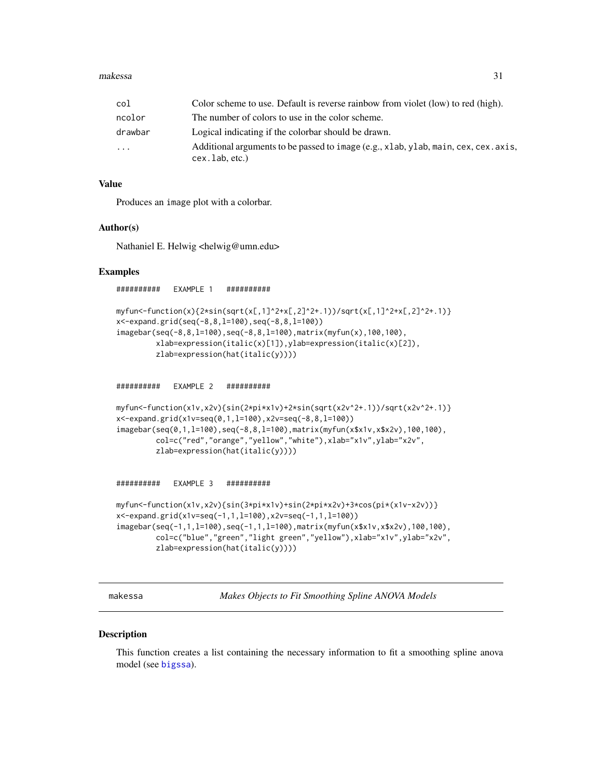<span id="page-30-0"></span>

| col     | Color scheme to use. Default is reverse rainbow from violet (low) to red (high).                            |
|---------|-------------------------------------------------------------------------------------------------------------|
| ncolor  | The number of colors to use in the color scheme.                                                            |
| drawbar | Logical indicating if the colorbar should be drawn.                                                         |
| .       | Additional arguments to be passed to image (e.g., xlab, ylab, main, cex, cex. axis,<br>$cex.$ lab, $etc.$ ) |

#### Value

Produces an image plot with a colorbar.

#### Author(s)

Nathaniel E. Helwig <helwig@umn.edu>

#### Examples

########## EXAMPLE 1 ##########

```
myfun<-function(x){2*sin(sqrt(x[,1]^2+x[,2]^2+.1))/sqrt(x[,1]^2+x[,2]^2+.1)}
x<-expand.grid(seq(-8,8,l=100),seq(-8,8,l=100))
imagebar(seq(-8,8,l=100),seq(-8,8,l=100),matrix(myfun(x),100,100),
         xlab=expression(italic(x)[1]),ylab=expression(italic(x)[2]),
        zlab=expression(hat(italic(y))))
```
########## EXAMPLE 2 ##########

```
myfun<-function(x1v,x2v){sin(2*pi*x1v)+2*sin(sqrt(x2v^2+.1))/sqrt(x2v^2+.1)}
x<-expand.grid(x1v=seq(0,1,l=100),x2v=seq(-8,8,l=100))
imagebar(seq(0,1,l=100),seq(-8,8,l=100),matrix(myfun(x$x1v,x$x2v),100,100),
         col=c("red","orange","yellow","white"),xlab="x1v",ylab="x2v",
        zlab=expression(hat(italic(y))))
```
########## EXAMPLE 3 ##########

```
myfun<-function(x1v,x2v){sin(3*pi*x1v)+sin(2*pi*x2v)+3*cos(pi*(x1v-x2v))}
x<-expand.grid(x1v=seq(-1,1,l=100),x2v=seq(-1,1,l=100))
imagebar(seq(-1,1,l=100),seq(-1,1,l=100),matrix(myfun(x$x1v,x$x2v),100,100),
         col=c("blue","green","light green","yellow"),xlab="x1v",ylab="x2v",
        zlab=expression(hat(italic(y))))
```
<span id="page-30-1"></span>makessa *Makes Objects to Fit Smoothing Spline ANOVA Models*

# Description

This function creates a list containing the necessary information to fit a smoothing spline anova model (see [bigssa](#page-6-1)).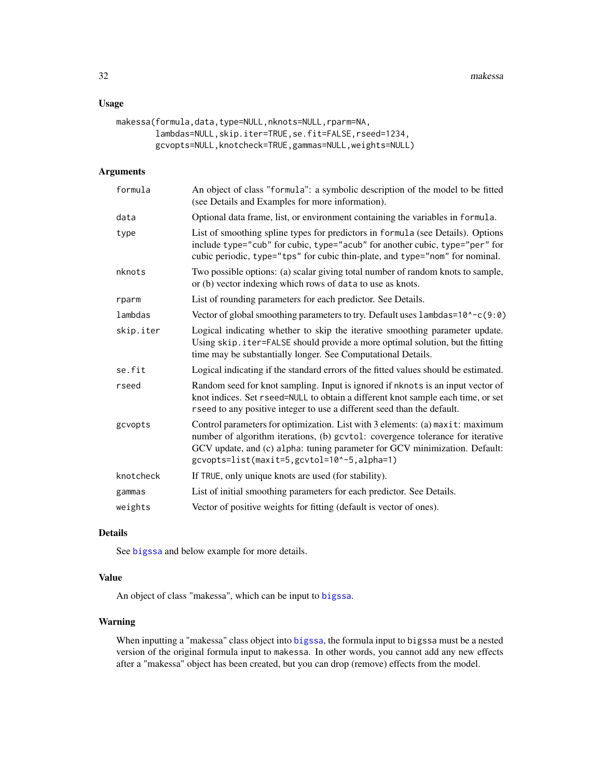# <span id="page-31-0"></span>Usage

```
makessa(formula,data,type=NULL,nknots=NULL,rparm=NA,
        lambdas=NULL,skip.iter=TRUE,se.fit=FALSE,rseed=1234,
        gcvopts=NULL,knotcheck=TRUE,gammas=NULL,weights=NULL)
```
#### Arguments

| formula   | An object of class "formula": a symbolic description of the model to be fitted<br>(see Details and Examples for more information).                                                                                                                                                          |
|-----------|---------------------------------------------------------------------------------------------------------------------------------------------------------------------------------------------------------------------------------------------------------------------------------------------|
| data      | Optional data frame, list, or environment containing the variables in formula.                                                                                                                                                                                                              |
| type      | List of smoothing spline types for predictors in formula (see Details). Options<br>include type="cub" for cubic, type="acub" for another cubic, type="per" for<br>cubic periodic, type="tps" for cubic thin-plate, and type="nom" for nominal.                                              |
| nknots    | Two possible options: (a) scalar giving total number of random knots to sample,<br>or (b) vector indexing which rows of data to use as knots.                                                                                                                                               |
| rparm     | List of rounding parameters for each predictor. See Details.                                                                                                                                                                                                                                |
| lambdas   | Vector of global smoothing parameters to try. Default uses $l$ ambdas= $10^{\circ}$ -c(9:0)                                                                                                                                                                                                 |
| skip.iter | Logical indicating whether to skip the iterative smoothing parameter update.<br>Using skip. iter=FALSE should provide a more optimal solution, but the fitting<br>time may be substantially longer. See Computational Details.                                                              |
| se.fit    | Logical indicating if the standard errors of the fitted values should be estimated.                                                                                                                                                                                                         |
| rseed     | Random seed for knot sampling. Input is ignored if nknots is an input vector of<br>knot indices. Set rseed=NULL to obtain a different knot sample each time, or set<br>rseed to any positive integer to use a different seed than the default.                                              |
| gcvopts   | Control parameters for optimization. List with 3 elements: (a) maxit: maximum<br>number of algorithm iterations, (b) gcvtol: covergence tolerance for iterative<br>GCV update, and (c) alpha: tuning parameter for GCV minimization. Default:<br>gcvopts=list(maxit=5,gcvtol=10^-5,alpha=1) |
| knotcheck | If TRUE, only unique knots are used (for stability).                                                                                                                                                                                                                                        |
| gammas    | List of initial smoothing parameters for each predictor. See Details.                                                                                                                                                                                                                       |
| weights   | Vector of positive weights for fitting (default is vector of ones).                                                                                                                                                                                                                         |

# Details

See [bigssa](#page-6-1) and below example for more details.

# Value

An object of class "makessa", which can be input to [bigssa](#page-6-1).

# Warning

When inputting a "makessa" class object into [bigssa](#page-6-1), the formula input to bigssa must be a nested version of the original formula input to makessa. In other words, you cannot add any new effects after a "makessa" object has been created, but you can drop (remove) effects from the model.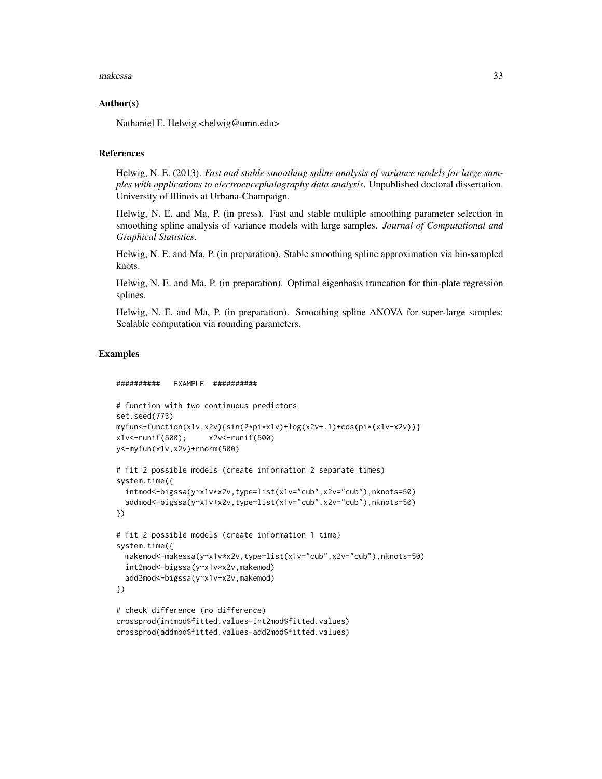#### makessa 33

#### Author(s)

Nathaniel E. Helwig <helwig@umn.edu>

#### References

Helwig, N. E. (2013). *Fast and stable smoothing spline analysis of variance models for large samples with applications to electroencephalography data analysis*. Unpublished doctoral dissertation. University of Illinois at Urbana-Champaign.

Helwig, N. E. and Ma, P. (in press). Fast and stable multiple smoothing parameter selection in smoothing spline analysis of variance models with large samples. *Journal of Computational and Graphical Statistics*.

Helwig, N. E. and Ma, P. (in preparation). Stable smoothing spline approximation via bin-sampled knots.

Helwig, N. E. and Ma, P. (in preparation). Optimal eigenbasis truncation for thin-plate regression splines.

Helwig, N. E. and Ma, P. (in preparation). Smoothing spline ANOVA for super-large samples: Scalable computation via rounding parameters.

#### Examples

```
########## EXAMPLE ##########
```

```
# function with two continuous predictors
set.seed(773)
myfun<-function(x1v,x2v){sin(2*pi*x1v)+log(x2v+.1)+cos(pi*(x1v-x2v))}
x1v<-runif(500); x2v<-runif(500)
y<-myfun(x1v,x2v)+rnorm(500)
```

```
# fit 2 possible models (create information 2 separate times)
system.time({
 intmod<-bigssa(y~x1v*x2v,type=list(x1v="cub",x2v="cub"),nknots=50)
```

```
addmod<-bigssa(y~x1v+x2v,type=list(x1v="cub",x2v="cub"),nknots=50)
})
```

```
# fit 2 possible models (create information 1 time)
system.time({
 makemod<-makessa(y~x1v*x2v,type=list(x1v="cub",x2v="cub"),nknots=50)
 int2mod<-bigssa(y~x1v*x2v,makemod)
 add2mod<-bigssa(y~x1v+x2v,makemod)
})
# check difference (no difference)
```

```
crossprod(intmod$fitted.values-int2mod$fitted.values)
crossprod(addmod$fitted.values-add2mod$fitted.values)
```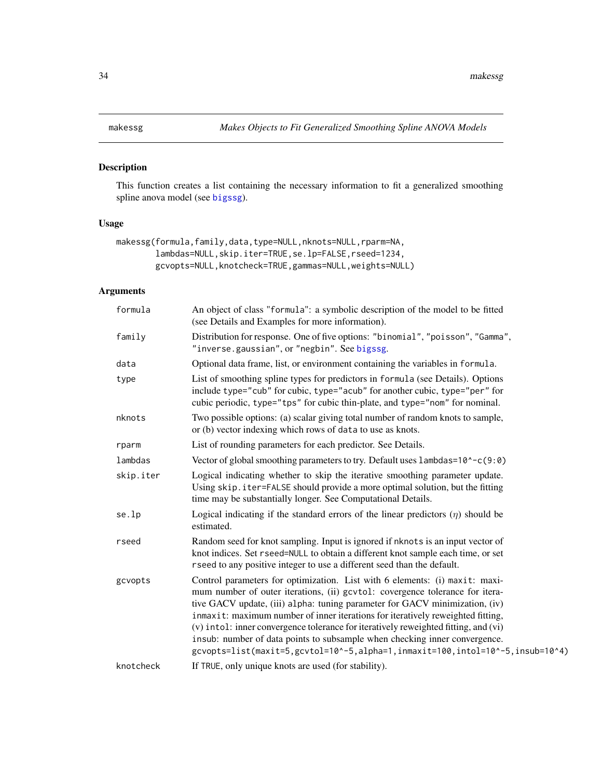# <span id="page-33-1"></span><span id="page-33-0"></span>Description

This function creates a list containing the necessary information to fit a generalized smoothing spline anova model (see [bigssg](#page-11-1)).

# Usage

```
makessg(formula,family,data,type=NULL,nknots=NULL,rparm=NA,
        lambdas=NULL,skip.iter=TRUE,se.lp=FALSE,rseed=1234,
        gcvopts=NULL,knotcheck=TRUE,gammas=NULL,weights=NULL)
```
# Arguments

| formula   | An object of class "formula": a symbolic description of the model to be fitted<br>(see Details and Examples for more information).                                                                                                                                                                                                                                                                                                                                                                                                                                                  |
|-----------|-------------------------------------------------------------------------------------------------------------------------------------------------------------------------------------------------------------------------------------------------------------------------------------------------------------------------------------------------------------------------------------------------------------------------------------------------------------------------------------------------------------------------------------------------------------------------------------|
| family    | Distribution for response. One of five options: "binomial", "poisson", "Gamma",<br>"inverse.gaussian", or "negbin". See bigssg.                                                                                                                                                                                                                                                                                                                                                                                                                                                     |
| data      | Optional data frame, list, or environment containing the variables in formula.                                                                                                                                                                                                                                                                                                                                                                                                                                                                                                      |
| type      | List of smoothing spline types for predictors in formula (see Details). Options<br>include type="cub" for cubic, type="acub" for another cubic, type="per" for<br>cubic periodic, type="tps" for cubic thin-plate, and type="nom" for nominal.                                                                                                                                                                                                                                                                                                                                      |
| nknots    | Two possible options: (a) scalar giving total number of random knots to sample,<br>or (b) vector indexing which rows of data to use as knots.                                                                                                                                                                                                                                                                                                                                                                                                                                       |
| rparm     | List of rounding parameters for each predictor. See Details.                                                                                                                                                                                                                                                                                                                                                                                                                                                                                                                        |
| lambdas   | Vector of global smoothing parameters to try. Default uses lambdas=10^-c(9:0)                                                                                                                                                                                                                                                                                                                                                                                                                                                                                                       |
| skip.iter | Logical indicating whether to skip the iterative smoothing parameter update.<br>Using skip. iter=FALSE should provide a more optimal solution, but the fitting<br>time may be substantially longer. See Computational Details.                                                                                                                                                                                                                                                                                                                                                      |
| se.lp     | Logical indicating if the standard errors of the linear predictors $(\eta)$ should be<br>estimated.                                                                                                                                                                                                                                                                                                                                                                                                                                                                                 |
| rseed     | Random seed for knot sampling. Input is ignored if nknots is an input vector of<br>knot indices. Set rseed=NULL to obtain a different knot sample each time, or set<br>rseed to any positive integer to use a different seed than the default.                                                                                                                                                                                                                                                                                                                                      |
| gcvopts   | Control parameters for optimization. List with 6 elements: (i) maxit: maxi-<br>mum number of outer iterations, (ii) gcvtol: covergence tolerance for itera-<br>tive GACV update, (iii) alpha: tuning parameter for GACV minimization, (iv)<br>inmaxit: maximum number of inner iterations for iteratively reweighted fitting,<br>(v) intol: inner convergence tolerance for iteratively reweighted fitting, and (vi)<br>insub: number of data points to subsample when checking inner convergence.<br>gcvopts=list(maxit=5,gcvtol=10^-5,alpha=1,inmaxit=100,intol=10^-5,insub=10^4) |
| knotcheck | If TRUE, only unique knots are used (for stability).                                                                                                                                                                                                                                                                                                                                                                                                                                                                                                                                |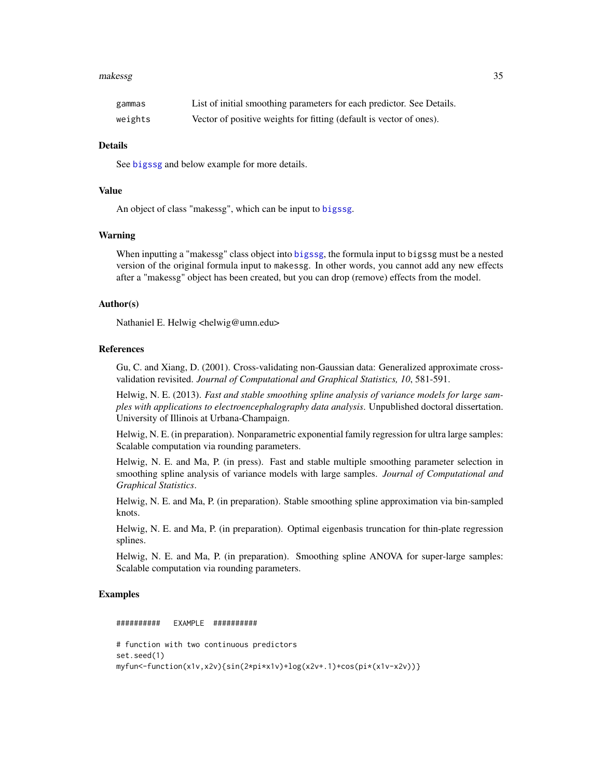#### <span id="page-34-0"></span>makessg 35

| gammas  | List of initial smoothing parameters for each predictor. See Details. |
|---------|-----------------------------------------------------------------------|
| weights | Vector of positive weights for fitting (default is vector of ones).   |

# Details

See [bigssg](#page-11-1) and below example for more details.

# Value

An object of class "makessg", which can be input to [bigssg](#page-11-1).

#### Warning

When inputting a "makessg" class object into [bigssg](#page-11-1), the formula input to bigssg must be a nested version of the original formula input to makessg. In other words, you cannot add any new effects after a "makessg" object has been created, but you can drop (remove) effects from the model.

#### Author(s)

Nathaniel E. Helwig <helwig@umn.edu>

### **References**

Gu, C. and Xiang, D. (2001). Cross-validating non-Gaussian data: Generalized approximate crossvalidation revisited. *Journal of Computational and Graphical Statistics, 10*, 581-591.

Helwig, N. E. (2013). *Fast and stable smoothing spline analysis of variance models for large samples with applications to electroencephalography data analysis*. Unpublished doctoral dissertation. University of Illinois at Urbana-Champaign.

Helwig, N. E. (in preparation). Nonparametric exponential family regression for ultra large samples: Scalable computation via rounding parameters.

Helwig, N. E. and Ma, P. (in press). Fast and stable multiple smoothing parameter selection in smoothing spline analysis of variance models with large samples. *Journal of Computational and Graphical Statistics*.

Helwig, N. E. and Ma, P. (in preparation). Stable smoothing spline approximation via bin-sampled knots.

Helwig, N. E. and Ma, P. (in preparation). Optimal eigenbasis truncation for thin-plate regression splines.

Helwig, N. E. and Ma, P. (in preparation). Smoothing spline ANOVA for super-large samples: Scalable computation via rounding parameters.

#### Examples

########## EXAMPLE ########## # function with two continuous predictors set.seed(1) myfun<-function(x1v,x2v){sin(2\*pi\*x1v)+log(x2v+.1)+cos(pi\*(x1v-x2v))}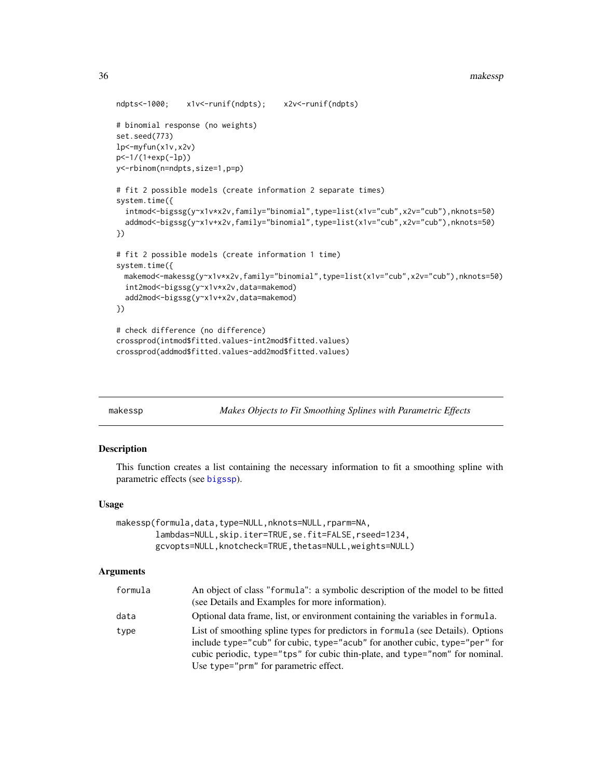<span id="page-35-0"></span>36 makessp

```
ndpts<-1000; x1v<-runif(ndpts); x2v<-runif(ndpts)
# binomial response (no weights)
set.seed(773)
lp<-myfun(x1v,x2v)
p<-1/(1+exp(-lp))
y<-rbinom(n=ndpts,size=1,p=p)
# fit 2 possible models (create information 2 separate times)
system.time({
  intmod<-bigssg(y~x1v*x2v,family="binomial",type=list(x1v="cub",x2v="cub"),nknots=50)
  addmod<-bigssg(y~x1v+x2v,family="binomial",type=list(x1v="cub",x2v="cub"),nknots=50)
})
# fit 2 possible models (create information 1 time)
system.time({
 makemod<-makessg(y~x1v*x2v,family="binomial",type=list(x1v="cub",x2v="cub"),nknots=50)
  int2mod<-bigssg(y~x1v*x2v,data=makemod)
  add2mod<-bigssg(y~x1v+x2v,data=makemod)
})
# check difference (no difference)
crossprod(intmod$fitted.values-int2mod$fitted.values)
crossprod(addmod$fitted.values-add2mod$fitted.values)
```
<span id="page-35-1"></span>

Makes Objects to Fit Smoothing Splines with Parametric Effects

#### Description

This function creates a list containing the necessary information to fit a smoothing spline with parametric effects (see [bigssp](#page-18-1)).

#### Usage

```
makessp(formula,data,type=NULL,nknots=NULL,rparm=NA,
        lambdas=NULL,skip.iter=TRUE,se.fit=FALSE,rseed=1234,
       gcvopts=NULL,knotcheck=TRUE,thetas=NULL,weights=NULL)
```
# **Arguments**

| formula | An object of class "formula": a symbolic description of the model to be fitted<br>(see Details and Examples for more information).                                                                                                                                                      |
|---------|-----------------------------------------------------------------------------------------------------------------------------------------------------------------------------------------------------------------------------------------------------------------------------------------|
| data    | Optional data frame, list, or environment containing the variables in formula.                                                                                                                                                                                                          |
| type    | List of smoothing spline types for predictors in formula (see Details). Options<br>include type="cub" for cubic, type="acub" for another cubic, type="per" for<br>cubic periodic, type="tps" for cubic thin-plate, and type="nom" for nominal.<br>Use type="prm" for parametric effect. |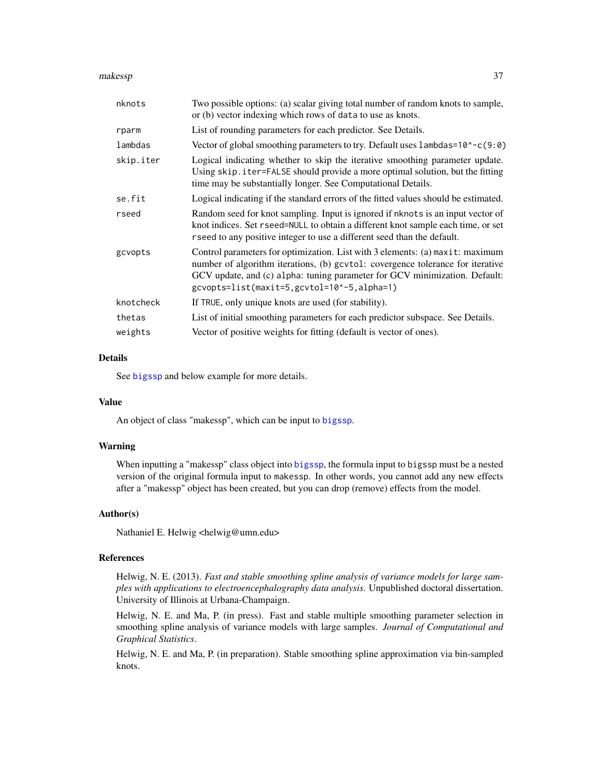#### <span id="page-36-0"></span>makessp 37

| nknots    | Two possible options: (a) scalar giving total number of random knots to sample,<br>or (b) vector indexing which rows of data to use as knots.                                                                                                                                               |
|-----------|---------------------------------------------------------------------------------------------------------------------------------------------------------------------------------------------------------------------------------------------------------------------------------------------|
| rparm     | List of rounding parameters for each predictor. See Details.                                                                                                                                                                                                                                |
| lambdas   | Vector of global smoothing parameters to try. Default uses lambdas=10^-c(9:0)                                                                                                                                                                                                               |
| skip.iter | Logical indicating whether to skip the iterative smoothing parameter update.<br>Using skip. iter=FALSE should provide a more optimal solution, but the fitting<br>time may be substantially longer. See Computational Details.                                                              |
| se.fit    | Logical indicating if the standard errors of the fitted values should be estimated.                                                                                                                                                                                                         |
| rseed     | Random seed for knot sampling. Input is ignored if nknots is an input vector of<br>knot indices. Set rseed=NULL to obtain a different knot sample each time, or set<br>rseed to any positive integer to use a different seed than the default.                                              |
| gcvopts   | Control parameters for optimization. List with 3 elements: (a) maxit: maximum<br>number of algorithm iterations, (b) gcvtol: covergence tolerance for iterative<br>GCV update, and (c) alpha: tuning parameter for GCV minimization. Default:<br>gcvopts=list(maxit=5,gcvtol=10^-5,alpha=1) |
| knotcheck | If TRUE, only unique knots are used (for stability).                                                                                                                                                                                                                                        |
| thetas    | List of initial smoothing parameters for each predictor subspace. See Details.                                                                                                                                                                                                              |
| weights   | Vector of positive weights for fitting (default is vector of ones).                                                                                                                                                                                                                         |
|           |                                                                                                                                                                                                                                                                                             |

#### Details

See [bigssp](#page-18-1) and below example for more details.

#### Value

An object of class "makessp", which can be input to [bigssp](#page-18-1).

### Warning

When inputting a "makessp" class object into [bigssp](#page-18-1), the formula input to bigssp must be a nested version of the original formula input to makessp. In other words, you cannot add any new effects after a "makessp" object has been created, but you can drop (remove) effects from the model.

#### Author(s)

Nathaniel E. Helwig <helwig@umn.edu>

#### References

Helwig, N. E. (2013). *Fast and stable smoothing spline analysis of variance models for large samples with applications to electroencephalography data analysis*. Unpublished doctoral dissertation. University of Illinois at Urbana-Champaign.

Helwig, N. E. and Ma, P. (in press). Fast and stable multiple smoothing parameter selection in smoothing spline analysis of variance models with large samples. *Journal of Computational and Graphical Statistics*.

Helwig, N. E. and Ma, P. (in preparation). Stable smoothing spline approximation via bin-sampled knots.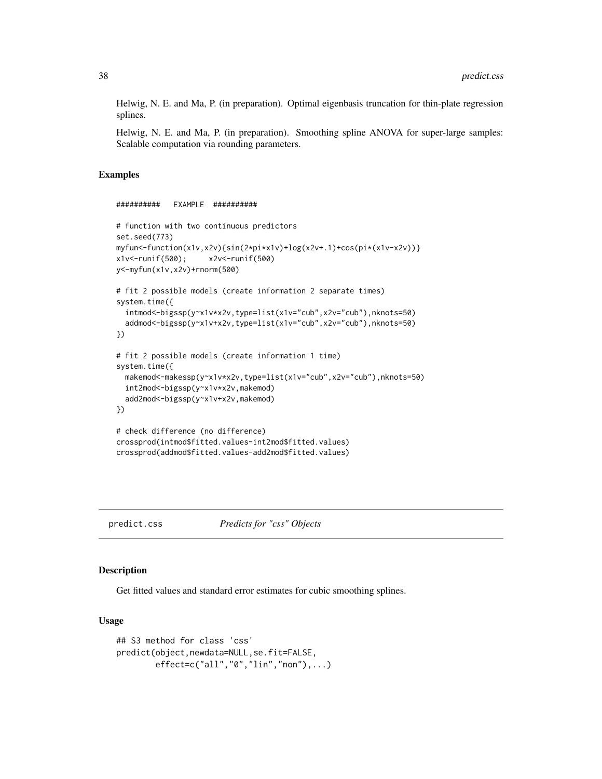<span id="page-37-0"></span>Helwig, N. E. and Ma, P. (in preparation). Optimal eigenbasis truncation for thin-plate regression splines.

Helwig, N. E. and Ma, P. (in preparation). Smoothing spline ANOVA for super-large samples: Scalable computation via rounding parameters.

#### Examples

```
########## EXAMPLE ##########
# function with two continuous predictors
set.seed(773)
myfun<-function(x1v,x2v){sin(2*pi*x1v)+log(x2v+.1)+cos(pi*(x1v-x2v))}
x1v<-runif(500); x2v<-runif(500)
y<-myfun(x1v,x2v)+rnorm(500)
# fit 2 possible models (create information 2 separate times)
system.time({
 intmod<-bigssp(y~x1v*x2v,type=list(x1v="cub",x2v="cub"),nknots=50)
 addmod<-bigssp(y~x1v+x2v,type=list(x1v="cub",x2v="cub"),nknots=50)
})
# fit 2 possible models (create information 1 time)
system.time({
 makemod<-makessp(y~x1v*x2v,type=list(x1v="cub",x2v="cub"),nknots=50)
 int2mod<-bigssp(y~x1v*x2v,makemod)
 add2mod<-bigssp(y~x1v+x2v,makemod)
})
# check difference (no difference)
crossprod(intmod$fitted.values-int2mod$fitted.values)
crossprod(addmod$fitted.values-add2mod$fitted.values)
```
<span id="page-37-1"></span>predict.css *Predicts for "css" Objects*

Description

Get fitted values and standard error estimates for cubic smoothing splines.

#### Usage

```
## S3 method for class 'css'
predict(object,newdata=NULL,se.fit=FALSE,
       effect=c("all","0","lin","non"),...)
```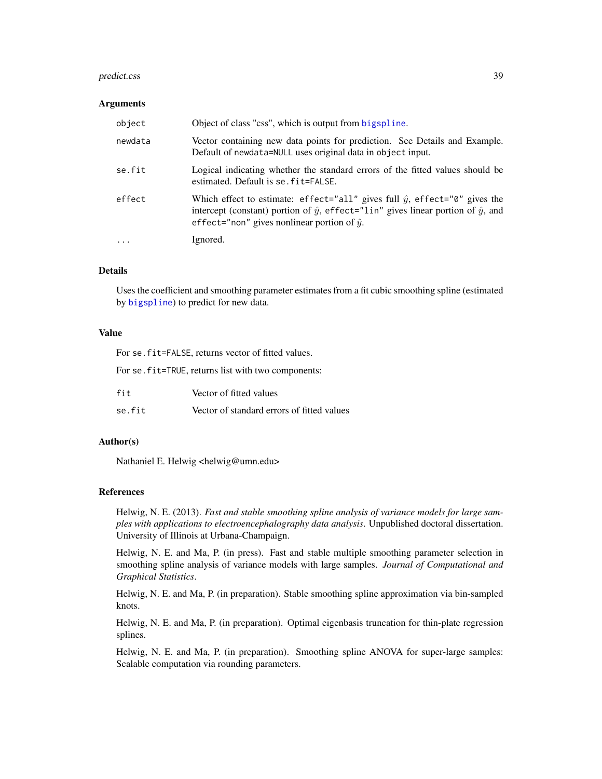#### <span id="page-38-0"></span>predict.css 39

#### Arguments

| object    | Object of class "css", which is output from bigspline.                                                                                                                                                                                        |
|-----------|-----------------------------------------------------------------------------------------------------------------------------------------------------------------------------------------------------------------------------------------------|
| newdata   | Vector containing new data points for prediction. See Details and Example.<br>Default of newdata=NULL uses original data in object input.                                                                                                     |
| se.fit    | Logical indicating whether the standard errors of the fitted values should be<br>estimated. Default is se. fit=FALSE.                                                                                                                         |
| effect    | Which effect to estimate: effect="all" gives full $\hat{y}$ , effect="0" gives the<br>intercept (constant) portion of $\hat{y}$ , effect="lin" gives linear portion of $\hat{y}$ , and<br>effect="non" gives nonlinear portion of $\hat{y}$ . |
| $\ddotsc$ | Ignored.                                                                                                                                                                                                                                      |

# Details

Uses the coefficient and smoothing parameter estimates from a fit cubic smoothing spline (estimated by [bigspline](#page-2-1)) to predict for new data.

# Value

| For se. fit=FALSE, returns vector of fitted values. |                                                     |
|-----------------------------------------------------|-----------------------------------------------------|
|                                                     | For se. fit=TRUE, returns list with two components: |
| fit                                                 | Vector of fitted values                             |
| se.fit                                              | Vector of standard errors of fitted values          |

# Author(s)

Nathaniel E. Helwig <helwig@umn.edu>

# References

Helwig, N. E. (2013). *Fast and stable smoothing spline analysis of variance models for large samples with applications to electroencephalography data analysis*. Unpublished doctoral dissertation. University of Illinois at Urbana-Champaign.

Helwig, N. E. and Ma, P. (in press). Fast and stable multiple smoothing parameter selection in smoothing spline analysis of variance models with large samples. *Journal of Computational and Graphical Statistics*.

Helwig, N. E. and Ma, P. (in preparation). Stable smoothing spline approximation via bin-sampled knots.

Helwig, N. E. and Ma, P. (in preparation). Optimal eigenbasis truncation for thin-plate regression splines.

Helwig, N. E. and Ma, P. (in preparation). Smoothing spline ANOVA for super-large samples: Scalable computation via rounding parameters.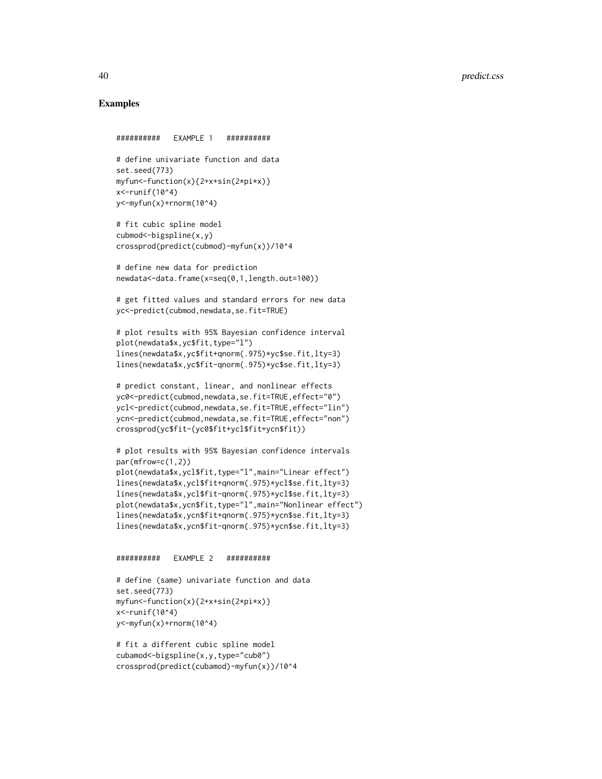# Examples

```
########## EXAMPLE 1 ##########
# define univariate function and data
set.seed(773)
myfun<-function(x){2+x+sin(2*pi*x)}
x<-runif(10^4)
y<-myfun(x)+rnorm(10^4)
# fit cubic spline model
cubmod<-bigspline(x,y)
crossprod(predict(cubmod)-myfun(x))/10^4
# define new data for prediction
newdata<-data.frame(x=seq(0,1,length.out=100))
# get fitted values and standard errors for new data
yc<-predict(cubmod,newdata,se.fit=TRUE)
# plot results with 95% Bayesian confidence interval
plot(newdata$x,yc$fit,type="l")
lines(newdata$x,yc$fit+qnorm(.975)*yc$se.fit,lty=3)
lines(newdata$x,yc$fit-qnorm(.975)*yc$se.fit,lty=3)
# predict constant, linear, and nonlinear effects
yc0<-predict(cubmod,newdata,se.fit=TRUE,effect="0")
ycl<-predict(cubmod,newdata,se.fit=TRUE,effect="lin")
ycn<-predict(cubmod,newdata,se.fit=TRUE,effect="non")
crossprod(yc$fit-(yc0$fit+ycl$fit+ycn$fit))
# plot results with 95% Bayesian confidence intervals
par(mfrow=c(1,2))
plot(newdata$x,ycl$fit,type="l",main="Linear effect")
lines(newdata$x,ycl$fit+qnorm(.975)*ycl$se.fit,lty=3)
lines(newdata$x,ycl$fit-qnorm(.975)*ycl$se.fit,lty=3)
plot(newdata$x,ycn$fit,type="l",main="Nonlinear effect")
lines(newdata$x,ycn$fit+qnorm(.975)*ycn$se.fit,lty=3)
lines(newdata$x,ycn$fit-qnorm(.975)*ycn$se.fit,lty=3)
########## EXAMPLE 2 ##########
# define (same) univariate function and data
set.seed(773)
myfun<-function(x){2+x+sin(2*pi*x)}
```
y<-myfun(x)+rnorm(10^4) # fit a different cubic spline model

x<-runif(10^4)

```
cubamod<-bigspline(x,y,type="cub0")
crossprod(predict(cubamod)-myfun(x))/10^4
```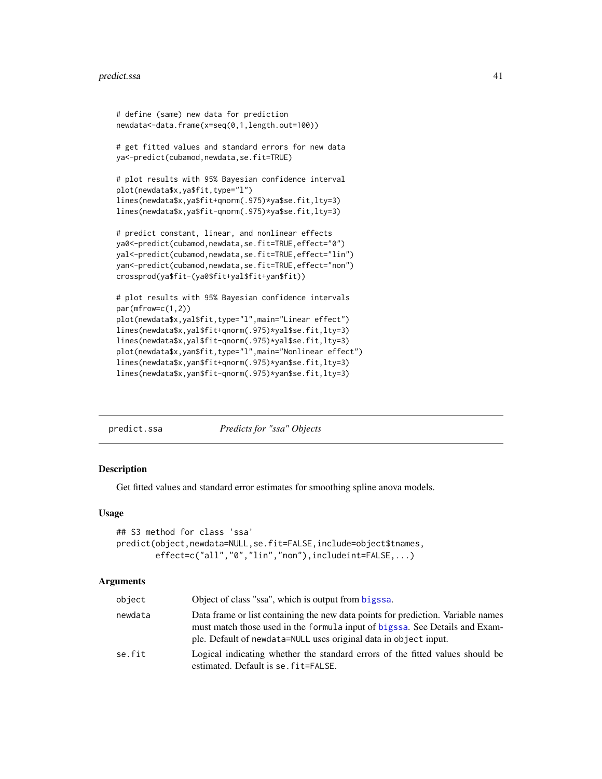```
# define (same) new data for prediction
newdata<-data.frame(x=seq(0,1,length.out=100))
# get fitted values and standard errors for new data
ya<-predict(cubamod,newdata,se.fit=TRUE)
# plot results with 95% Bayesian confidence interval
plot(newdata$x,ya$fit,type="l")
lines(newdata$x,ya$fit+qnorm(.975)*ya$se.fit,lty=3)
lines(newdata$x,ya$fit-qnorm(.975)*ya$se.fit,lty=3)
# predict constant, linear, and nonlinear effects
ya0<-predict(cubamod,newdata,se.fit=TRUE,effect="0")
yal<-predict(cubamod,newdata,se.fit=TRUE,effect="lin")
yan<-predict(cubamod,newdata,se.fit=TRUE,effect="non")
crossprod(ya$fit-(ya0$fit+yal$fit+yan$fit))
# plot results with 95% Bayesian confidence intervals
par(mfrow=c(1,2))
plot(newdata$x,yal$fit,type="l",main="Linear effect")
lines(newdata$x,yal$fit+qnorm(.975)*yal$se.fit,lty=3)
lines(newdata$x,yal$fit-qnorm(.975)*yal$se.fit,lty=3)
plot(newdata$x,yan$fit,type="l",main="Nonlinear effect")
lines(newdata$x,yan$fit+qnorm(.975)*yan$se.fit,lty=3)
lines(newdata$x,yan$fit-qnorm(.975)*yan$se.fit,lty=3)
```
<span id="page-40-1"></span>

| Predicts for "ssa" Objects<br>predict.ssa |
|-------------------------------------------|
|-------------------------------------------|

#### Description

Get fitted values and standard error estimates for smoothing spline anova models.

#### Usage

```
## S3 method for class 'ssa'
predict(object,newdata=NULL,se.fit=FALSE,include=object$tnames,
       effect=c("all","0","lin","non"),includeint=FALSE,...)
```
#### Arguments

| object  | Object of class "ssa", which is output from bigssa.                                                                                                                                                                                 |
|---------|-------------------------------------------------------------------------------------------------------------------------------------------------------------------------------------------------------------------------------------|
| newdata | Data frame or list containing the new data points for prediction. Variable names<br>must match those used in the formula input of bigssa. See Details and Exam-<br>ple. Default of newdata=NULL uses original data in object input. |
| se.fit  | Logical indicating whether the standard errors of the fitted values should be<br>estimated. Default is se. fit=FALSE.                                                                                                               |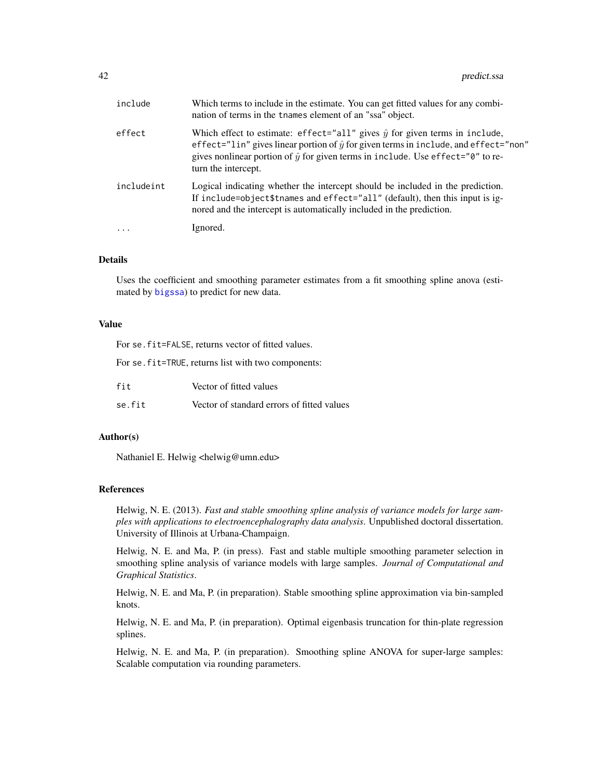<span id="page-41-0"></span>

| include    | Which terms to include in the estimate. You can get fitted values for any combi-<br>nation of terms in the tnames element of an "ssa" object.                                                                                                                                                               |
|------------|-------------------------------------------------------------------------------------------------------------------------------------------------------------------------------------------------------------------------------------------------------------------------------------------------------------|
| effect     | Which effect to estimate: effect="all" gives $\hat{y}$ for given terms in include,<br>effect="lin" gives linear portion of $\hat{y}$ for given terms in include, and effect="non"<br>gives nonlinear portion of $\hat{y}$ for given terms in include. Use effect=" $\theta$ " to re-<br>turn the intercept. |
| includeint | Logical indicating whether the intercept should be included in the prediction.<br>If include=object\$tnames and effect="all" (default), then this input is ig-<br>nored and the intercept is automatically included in the prediction.                                                                      |
| $\cdots$   | Ignored.                                                                                                                                                                                                                                                                                                    |

# Details

Uses the coefficient and smoothing parameter estimates from a fit smoothing spline anova (estimated by [bigssa](#page-6-1)) to predict for new data.

#### Value

For se.fit=FALSE, returns vector of fitted values.

For se.fit=TRUE, returns list with two components:

| fit    | Vector of fitted values                    |
|--------|--------------------------------------------|
| se.fit | Vector of standard errors of fitted values |

# Author(s)

Nathaniel E. Helwig <helwig@umn.edu>

#### References

Helwig, N. E. (2013). *Fast and stable smoothing spline analysis of variance models for large samples with applications to electroencephalography data analysis*. Unpublished doctoral dissertation. University of Illinois at Urbana-Champaign.

Helwig, N. E. and Ma, P. (in press). Fast and stable multiple smoothing parameter selection in smoothing spline analysis of variance models with large samples. *Journal of Computational and Graphical Statistics*.

Helwig, N. E. and Ma, P. (in preparation). Stable smoothing spline approximation via bin-sampled knots.

Helwig, N. E. and Ma, P. (in preparation). Optimal eigenbasis truncation for thin-plate regression splines.

Helwig, N. E. and Ma, P. (in preparation). Smoothing spline ANOVA for super-large samples: Scalable computation via rounding parameters.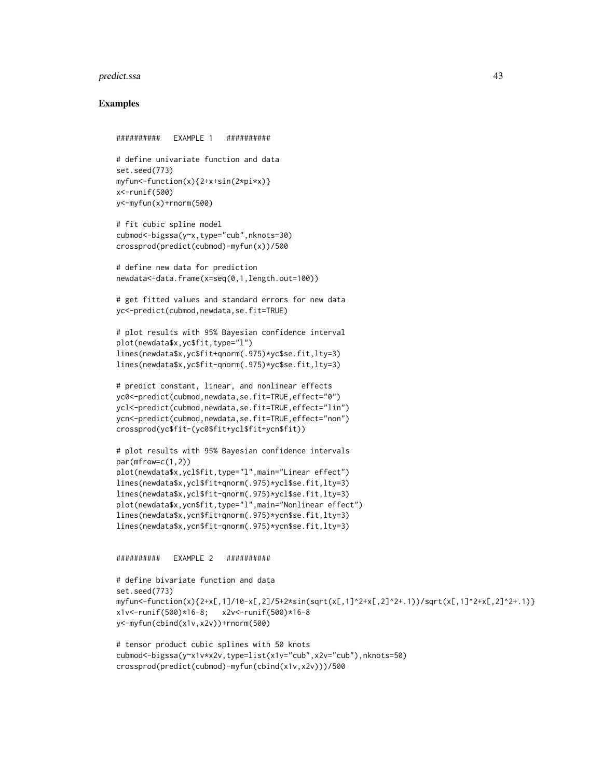#### predict.ssa and the set of the set of the set of the set of the set of the set of the set of the set of the set of the set of the set of the set of the set of the set of the set of the set of the set of the set of the set

#### Examples

########## EXAMPLE 1 ########## # define univariate function and data set.seed(773) myfun<-function(x){2+x+sin(2\*pi\*x)} x<-runif(500) y<-myfun(x)+rnorm(500) # fit cubic spline model cubmod<-bigssa(y~x,type="cub",nknots=30) crossprod(predict(cubmod)-myfun(x))/500 # define new data for prediction newdata<-data.frame(x=seq(0,1,length.out=100)) # get fitted values and standard errors for new data yc<-predict(cubmod,newdata,se.fit=TRUE) # plot results with 95% Bayesian confidence interval plot(newdata\$x,yc\$fit,type="l") lines(newdata\$x,yc\$fit+qnorm(.975)\*yc\$se.fit,lty=3) lines(newdata\$x,yc\$fit-qnorm(.975)\*yc\$se.fit,lty=3) # predict constant, linear, and nonlinear effects yc0<-predict(cubmod,newdata,se.fit=TRUE,effect="0") ycl<-predict(cubmod,newdata,se.fit=TRUE,effect="lin") ycn<-predict(cubmod,newdata,se.fit=TRUE,effect="non") crossprod(yc\$fit-(yc0\$fit+ycl\$fit+ycn\$fit)) # plot results with 95% Bayesian confidence intervals par(mfrow=c(1,2)) plot(newdata\$x,ycl\$fit,type="l",main="Linear effect") lines(newdata\$x,ycl\$fit+qnorm(.975)\*ycl\$se.fit,lty=3) lines(newdata\$x,ycl\$fit-qnorm(.975)\*ycl\$se.fit,lty=3) plot(newdata\$x,ycn\$fit,type="l",main="Nonlinear effect") lines(newdata\$x,ycn\$fit+qnorm(.975)\*ycn\$se.fit,lty=3)

########## EXAMPLE 2 ##########

lines(newdata\$x,ycn\$fit-qnorm(.975)\*ycn\$se.fit,lty=3)

```
# define bivariate function and data
set.seed(773)
myfun<-function(x){2+x[,1]/10-x[,2]/5+2*sin(sqrt(x[,1]^2+x[,2]^2+.1))/sqrt(x[,1]^2+x[,2]^2+.1)}
x1v<-runif(500)*16-8; x2v<-runif(500)*16-8
y<-myfun(cbind(x1v,x2v))+rnorm(500)
```

```
# tensor product cubic splines with 50 knots
cubmod<-bigssa(y~x1v*x2v,type=list(x1v="cub",x2v="cub"),nknots=50)
crossprod(predict(cubmod)-myfun(cbind(x1v,x2v)))/500
```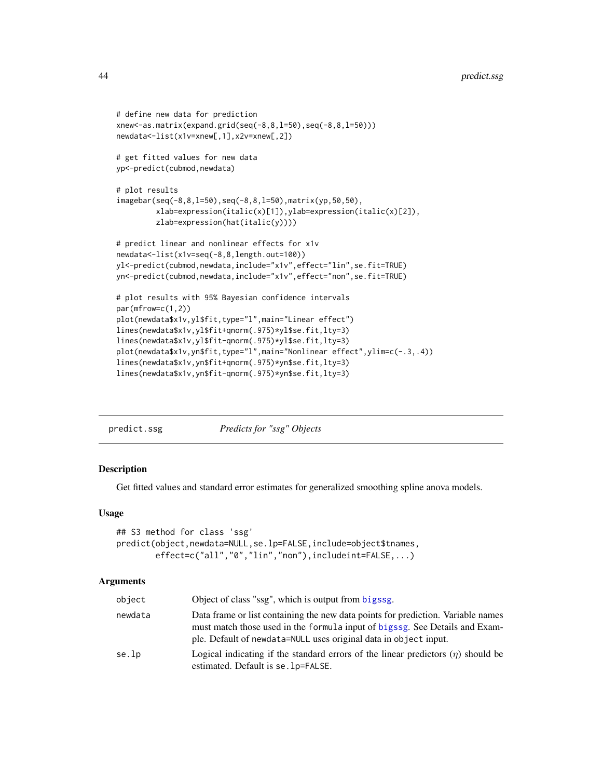```
# define new data for prediction
xnew<-as.matrix(expand.grid(seq(-8,8,l=50),seq(-8,8,l=50)))
newdata<-list(x1v=xnew[,1],x2v=xnew[,2])
# get fitted values for new data
yp<-predict(cubmod,newdata)
# plot results
imagebar(seq(-8,8,l=50),seq(-8,8,l=50),matrix(yp,50,50),
         xlab=expression(italic(x)[1]),ylab=expression(italic(x)[2]),
        zlab=expression(hat(italic(y))))
# predict linear and nonlinear effects for x1v
newdata<-list(x1v=seq(-8,8,length.out=100))
yl<-predict(cubmod,newdata,include="x1v",effect="lin",se.fit=TRUE)
yn<-predict(cubmod,newdata,include="x1v",effect="non",se.fit=TRUE)
# plot results with 95% Bayesian confidence intervals
par(mfrow=c(1,2))
plot(newdata$x1v,yl$fit,type="l",main="Linear effect")
lines(newdata$x1v,yl$fit+qnorm(.975)*yl$se.fit,lty=3)
lines(newdata$x1v,yl$fit-qnorm(.975)*yl$se.fit,lty=3)
plot(newdata$x1v,yn$fit,type="l",main="Nonlinear effect",ylim=c(-.3,.4))
lines(newdata$x1v,yn$fit+qnorm(.975)*yn$se.fit,lty=3)
lines(newdata$x1v,yn$fit-qnorm(.975)*yn$se.fit,lty=3)
```
<span id="page-43-1"></span>

| predict.ssg | Predicts for "ssg" Objects |
|-------------|----------------------------|
|             |                            |

#### Description

Get fitted values and standard error estimates for generalized smoothing spline anova models.

#### Usage

```
## S3 method for class 'ssg'
predict(object,newdata=NULL,se.lp=FALSE,include=object$tnames,
       effect=c("all","0","lin","non"),includeint=FALSE,...)
```
#### Arguments

| object  | Object of class "ssg", which is output from bigssg.                                                                                                                                                                                 |
|---------|-------------------------------------------------------------------------------------------------------------------------------------------------------------------------------------------------------------------------------------|
| newdata | Data frame or list containing the new data points for prediction. Variable names<br>must match those used in the formula input of bigssg. See Details and Exam-<br>ple. Default of newdata=NULL uses original data in object input. |
| se.lp   | Logical indicating if the standard errors of the linear predictors $(\eta)$ should be<br>estimated. Default is se. 1 p=FALSE.                                                                                                       |

<span id="page-43-0"></span>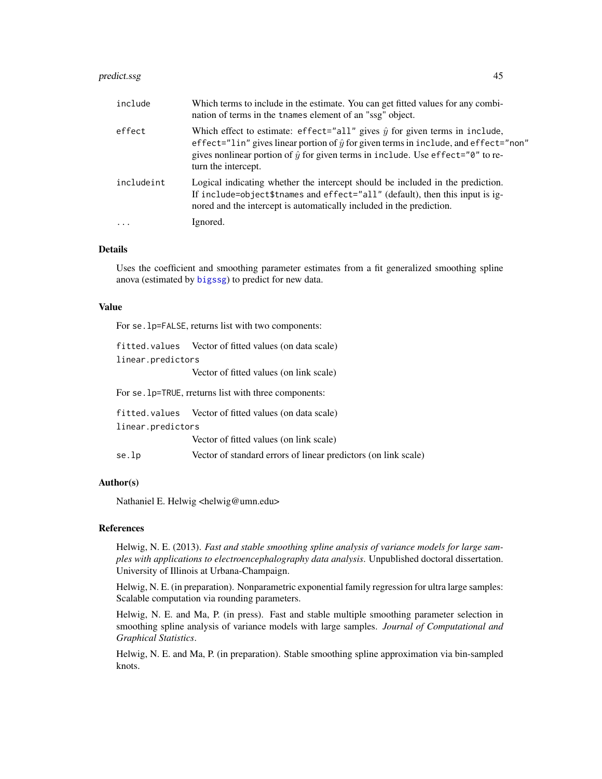#### <span id="page-44-0"></span>predict.ssg and the set of the set of the set of the set of the set of the set of the set of the set of the set of the set of the set of the set of the set of the set of the set of the set of the set of the set of the set

| include    | Which terms to include in the estimate. You can get fitted values for any combi-<br>nation of terms in the thames element of an "ssg" object.                                                                                                                                                               |
|------------|-------------------------------------------------------------------------------------------------------------------------------------------------------------------------------------------------------------------------------------------------------------------------------------------------------------|
| effect     | Which effect to estimate: effect="all" gives $\hat{y}$ for given terms in include,<br>effect="lin" gives linear portion of $\hat{y}$ for given terms in include, and effect="non"<br>gives nonlinear portion of $\hat{y}$ for given terms in include. Use effect=" $\theta$ " to re-<br>turn the intercept. |
| includeint | Logical indicating whether the intercept should be included in the prediction.<br>If include=object\$tnames and effect="all" (default), then this input is ig-<br>nored and the intercept is automatically included in the prediction.                                                                      |
| $\ddotsc$  | Ignored.                                                                                                                                                                                                                                                                                                    |

#### Details

Uses the coefficient and smoothing parameter estimates from a fit generalized smoothing spline anova (estimated by [bigssg](#page-11-1)) to predict for new data.

#### Value

For se.lp=FALSE, returns list with two components:

fitted.values Vector of fitted values (on data scale) linear.predictors Vector of fitted values (on link scale)

For se.lp=TRUE, rreturns list with three components:

fitted.values Vector of fitted values (on data scale)

linear.predictors

Vector of fitted values (on link scale)

se.lp Vector of standard errors of linear predictors (on link scale)

### Author(s)

Nathaniel E. Helwig <helwig@umn.edu>

#### References

Helwig, N. E. (2013). *Fast and stable smoothing spline analysis of variance models for large samples with applications to electroencephalography data analysis*. Unpublished doctoral dissertation. University of Illinois at Urbana-Champaign.

Helwig, N. E. (in preparation). Nonparametric exponential family regression for ultra large samples: Scalable computation via rounding parameters.

Helwig, N. E. and Ma, P. (in press). Fast and stable multiple smoothing parameter selection in smoothing spline analysis of variance models with large samples. *Journal of Computational and Graphical Statistics*.

Helwig, N. E. and Ma, P. (in preparation). Stable smoothing spline approximation via bin-sampled knots.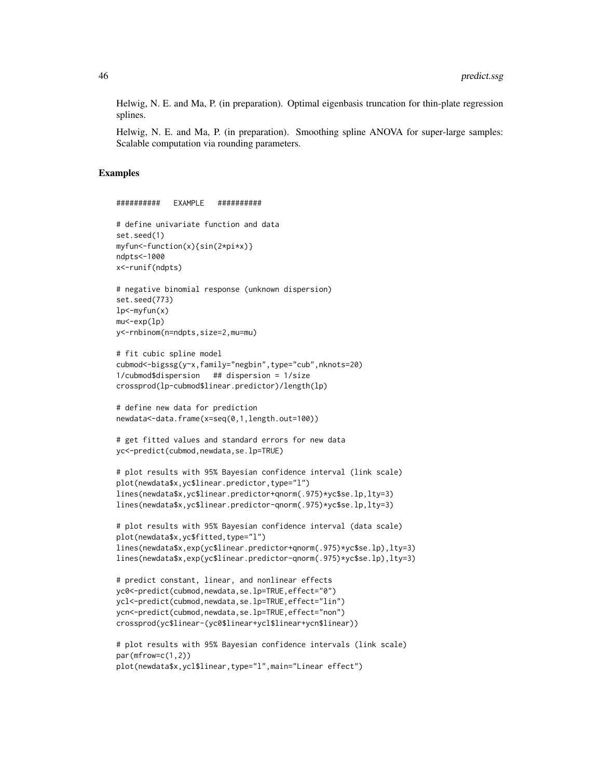Helwig, N. E. and Ma, P. (in preparation). Optimal eigenbasis truncation for thin-plate regression splines.

Helwig, N. E. and Ma, P. (in preparation). Smoothing spline ANOVA for super-large samples: Scalable computation via rounding parameters.

#### Examples

```
########## EXAMPLE ##########
# define univariate function and data
set.seed(1)
myfun<-function(x){sin(2*pi*x)}
ndpts<-1000
x<-runif(ndpts)
# negative binomial response (unknown dispersion)
set.seed(773)
lp<-\myfun(x)mu<-exp(lp)
y<-rnbinom(n=ndpts,size=2,mu=mu)
# fit cubic spline model
cubmod<-bigssg(y~x,family="negbin",type="cub",nknots=20)
1/cubmod$dispersion ## dispersion = 1/size
crossprod(lp-cubmod$linear.predictor)/length(lp)
# define new data for prediction
newdata<-data.frame(x=seq(0,1,length.out=100))
# get fitted values and standard errors for new data
yc<-predict(cubmod,newdata,se.lp=TRUE)
# plot results with 95% Bayesian confidence interval (link scale)
plot(newdata$x,yc$linear.predictor,type="l")
lines(newdata$x,yc$linear.predictor+qnorm(.975)*yc$se.lp,lty=3)
lines(newdata$x,yc$linear.predictor-qnorm(.975)*yc$se.lp,lty=3)
# plot results with 95% Bayesian confidence interval (data scale)
plot(newdata$x,yc$fitted,type="l")
lines(newdata$x,exp(yc$linear.predictor+qnorm(.975)*yc$se.lp),lty=3)
lines(newdata$x,exp(yc$linear.predictor-qnorm(.975)*yc$se.lp),lty=3)
# predict constant, linear, and nonlinear effects
yc0<-predict(cubmod,newdata,se.lp=TRUE,effect="0")
ycl<-predict(cubmod,newdata,se.lp=TRUE,effect="lin")
ycn<-predict(cubmod,newdata,se.lp=TRUE,effect="non")
crossprod(yc$linear-(yc0$linear+ycl$linear+ycn$linear))
# plot results with 95% Bayesian confidence intervals (link scale)
par(mfrow=c(1,2))
plot(newdata$x,ycl$linear,type="l",main="Linear effect")
```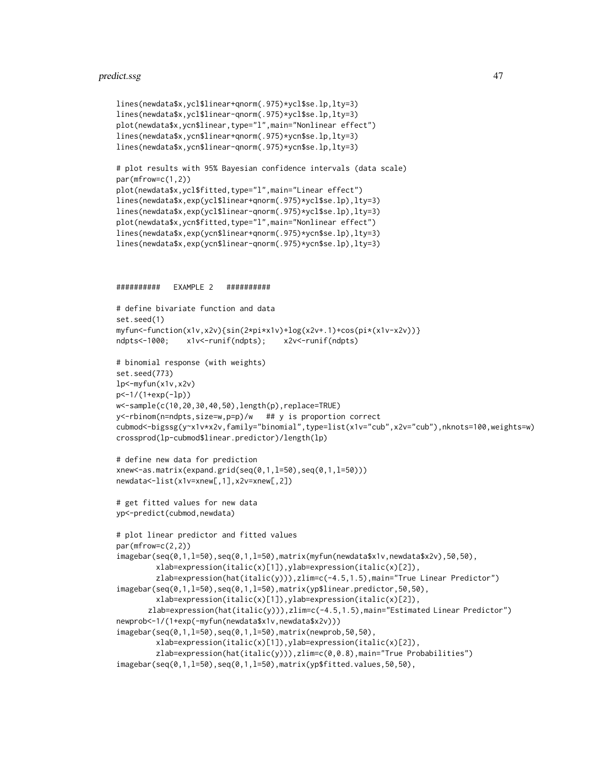#### predict.ssg and the contract of the contract of the contract of the contract of the contract of the contract of the contract of the contract of the contract of the contract of the contract of the contract of the contract o

```
lines(newdata$x,ycl$linear+qnorm(.975)*ycl$se.lp,lty=3)
lines(newdata$x,ycl$linear-qnorm(.975)*ycl$se.lp,lty=3)
plot(newdata$x,ycn$linear,type="l",main="Nonlinear effect")
lines(newdata$x,ycn$linear+qnorm(.975)*ycn$se.lp,lty=3)
lines(newdata$x,ycn$linear-qnorm(.975)*ycn$se.lp,lty=3)
# plot results with 95% Bayesian confidence intervals (data scale)
par(mfrow=c(1,2))
plot(newdata$x,ycl$fitted,type="l",main="Linear effect")
lines(newdata$x,exp(ycl$linear+qnorm(.975)*ycl$se.lp),lty=3)
lines(newdata$x,exp(ycl$linear-qnorm(.975)*ycl$se.lp),lty=3)
plot(newdata$x,ycn$fitted,type="l",main="Nonlinear effect")
lines(newdata$x,exp(ycn$linear+qnorm(.975)*ycn$se.lp),lty=3)
lines(newdata$x,exp(ycn$linear-qnorm(.975)*ycn$se.lp),lty=3)
########## EXAMPLE 2 ##########
# define bivariate function and data
set.seed(1)
myfun<-function(x1v,x2v){sin(2*pi*x1v)+log(x2v+.1)+cos(pi*(x1v-x2v))}
ndpts<-1000; x1v<-runif(ndpts); x2v<-runif(ndpts)
# binomial response (with weights)
set.seed(773)
lp<-myfun(x1v,x2v)
p<-1/(1+exp(-lp))
w<-sample(c(10,20,30,40,50),length(p),replace=TRUE)
y<-rbinom(n=ndpts,size=w,p=p)/w ## y is proportion correct
cubmod<-bigssg(y~x1v*x2v,family="binomial",type=list(x1v="cub",x2v="cub"),nknots=100,weights=w)
crossprod(lp-cubmod$linear.predictor)/length(lp)
# define new data for prediction
xnew<-as.matrix(expand.grid(seq(0,1,l=50),seq(0,1,l=50)))
newdata<-list(x1v=xnew[,1],x2v=xnew[,2])
# get fitted values for new data
yp<-predict(cubmod,newdata)
# plot linear predictor and fitted values
par(mfrow=c(2,2))
imagebar(seq(0,1,l=50),seq(0,1,l=50),matrix(myfun(newdata$x1v,newdata$x2v),50,50),
         xlab=expression(italic(x)[1]),ylab=expression(italic(x)[2]),
         zlab=expression(hat(italic(y))),zlim=c(-4.5,1.5),main="True Linear Predictor")
imagebar(seq(0,1,1=50),seq(0,1,1=50),matrix(yp$linear.predictor,50,50),
         xlab=expression(italic(x)[1]),ylab=expression(italic(x)[2]),
       zlab=expression(hat(italic(y))),zlim=c(-4.5,1.5),main="Estimated Linear Predictor")
newprob<-1/(1+exp(-myfun(newdata$x1v,newdata$x2v)))
imagebar(seq(0,1,l=50),seq(0,1,l=50),matrix(newprob,50,50),
         xlab=expression(italic(x)[1]),ylab=expression(italic(x)[2]),
         zlab=expression(hat(italic(y))),zlim=c(0,0.8),main="True Probabilities")
imagebar(seq(0,1,l=50),seq(0,1,l=50),matrix(yp$fitted.values,50,50),
```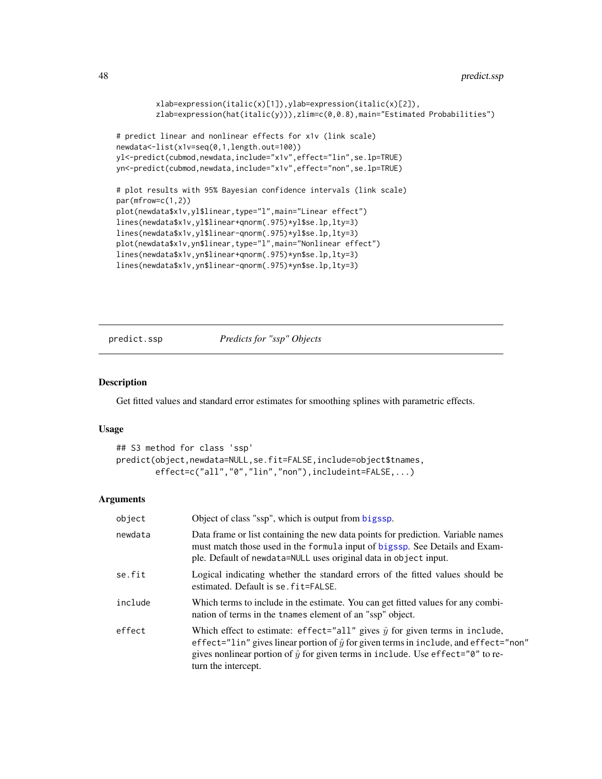```
xlab=expression(italic(x)[1]),ylab=expression(italic(x)[2]),
         zlab=expression(hat(italic(y))),zlim=c(0,0.8),main="Estimated Probabilities")
# predict linear and nonlinear effects for x1v (link scale)
newdata<-list(x1v=seq(0,1,length.out=100))
yl<-predict(cubmod,newdata,include="x1v",effect="lin",se.lp=TRUE)
yn<-predict(cubmod,newdata,include="x1v",effect="non",se.lp=TRUE)
# plot results with 95% Bayesian confidence intervals (link scale)
par(mfrow=c(1,2))
plot(newdata$x1v,yl$linear,type="l",main="Linear effect")
lines(newdata$x1v,yl$linear+qnorm(.975)*yl$se.lp,lty=3)
lines(newdata$x1v,yl$linear-qnorm(.975)*yl$se.lp,lty=3)
plot(newdata$x1v,yn$linear,type="l",main="Nonlinear effect")
lines(newdata$x1v,yn$linear+qnorm(.975)*yn$se.lp,lty=3)
lines(newdata$x1v,yn$linear-qnorm(.975)*yn$se.lp,lty=3)
```
<span id="page-47-1"></span>predict.ssp *Predicts for "ssp" Objects*

#### Description

Get fitted values and standard error estimates for smoothing splines with parametric effects.

#### Usage

```
## S3 method for class 'ssp'
predict(object,newdata=NULL,se.fit=FALSE,include=object$tnames,
       effect=c("all","0","lin","non"),includeint=FALSE,...)
```
# Arguments

| object  | Object of class "ssp", which is output from bigssp.                                                                                                                                                                                                                                                         |
|---------|-------------------------------------------------------------------------------------------------------------------------------------------------------------------------------------------------------------------------------------------------------------------------------------------------------------|
| newdata | Data frame or list containing the new data points for prediction. Variable names<br>must match those used in the formula input of bigssp. See Details and Exam-<br>ple. Default of newdata=NULL uses original data in object input.                                                                         |
| se.fit  | Logical indicating whether the standard errors of the fitted values should be<br>estimated. Default is se. fit=FALSE.                                                                                                                                                                                       |
| include | Which terms to include in the estimate. You can get fitted values for any combi-<br>nation of terms in the thames element of an "ssp" object.                                                                                                                                                               |
| effect  | Which effect to estimate: effect="all" gives $\hat{y}$ for given terms in include,<br>effect="lin" gives linear portion of $\hat{y}$ for given terms in include, and effect="non"<br>gives nonlinear portion of $\hat{y}$ for given terms in include. Use effect=" $\theta$ " to re-<br>turn the intercept. |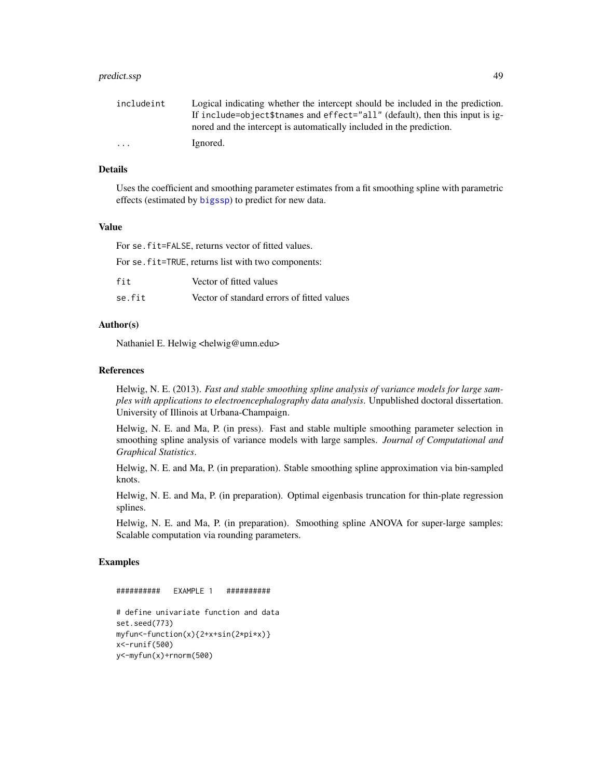#### <span id="page-48-0"></span>predict.ssp **49**

| includeint | Logical indicating whether the intercept should be included in the prediction. |
|------------|--------------------------------------------------------------------------------|
|            | If include=object\$tnames and effect="all" (default), then this input is ig-   |
|            | nored and the intercept is automatically included in the prediction.           |
| $\cdots$   | Ignored.                                                                       |

# Details

Uses the coefficient and smoothing parameter estimates from a fit smoothing spline with parametric effects (estimated by [bigssp](#page-18-1)) to predict for new data.

# Value

For se.fit=FALSE, returns vector of fitted values.

For se.fit=TRUE, returns list with two components:

| fit    | Vector of fitted values                    |
|--------|--------------------------------------------|
| se.fit | Vector of standard errors of fitted values |

# Author(s)

Nathaniel E. Helwig <helwig@umn.edu>

#### References

Helwig, N. E. (2013). *Fast and stable smoothing spline analysis of variance models for large samples with applications to electroencephalography data analysis*. Unpublished doctoral dissertation. University of Illinois at Urbana-Champaign.

Helwig, N. E. and Ma, P. (in press). Fast and stable multiple smoothing parameter selection in smoothing spline analysis of variance models with large samples. *Journal of Computational and Graphical Statistics*.

Helwig, N. E. and Ma, P. (in preparation). Stable smoothing spline approximation via bin-sampled knots.

Helwig, N. E. and Ma, P. (in preparation). Optimal eigenbasis truncation for thin-plate regression splines.

Helwig, N. E. and Ma, P. (in preparation). Smoothing spline ANOVA for super-large samples: Scalable computation via rounding parameters.

# Examples

########## EXAMPLE 1 ##########

```
# define univariate function and data
set.seed(773)
myfun<-function(x){2+x+sin(2*pi*x)}
x<-runif(500)
y<-myfun(x)+rnorm(500)
```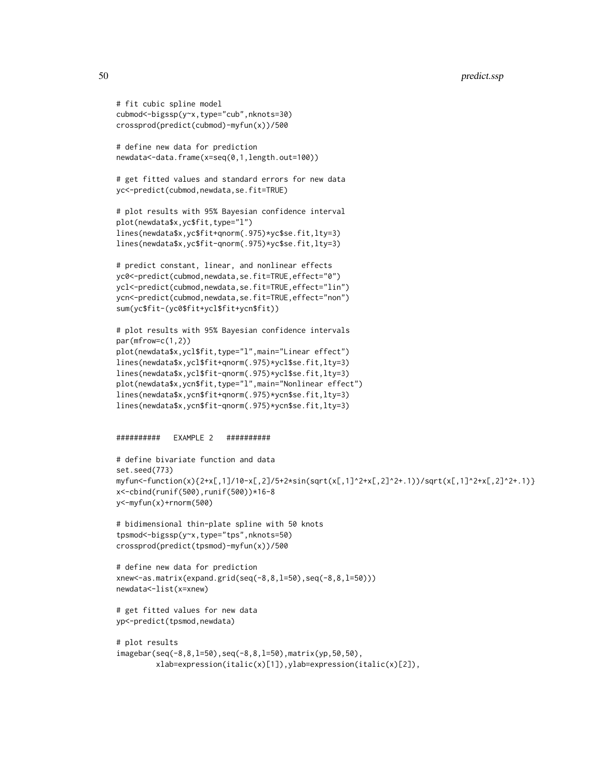```
# fit cubic spline model
cubmod<-bigssp(y~x,type="cub",nknots=30)
crossprod(predict(cubmod)-myfun(x))/500
# define new data for prediction
newdata<-data.frame(x=seq(0,1,length.out=100))
# get fitted values and standard errors for new data
yc<-predict(cubmod,newdata,se.fit=TRUE)
# plot results with 95% Bayesian confidence interval
plot(newdata$x,yc$fit,type="l")
lines(newdata$x,yc$fit+qnorm(.975)*yc$se.fit,lty=3)
lines(newdata$x,yc$fit-qnorm(.975)*yc$se.fit,lty=3)
# predict constant, linear, and nonlinear effects
yc0<-predict(cubmod,newdata,se.fit=TRUE,effect="0")
ycl<-predict(cubmod,newdata,se.fit=TRUE,effect="lin")
ycn<-predict(cubmod,newdata,se.fit=TRUE,effect="non")
sum(yc$fit-(yc0$fit+ycl$fit+ycn$fit))
# plot results with 95% Bayesian confidence intervals
par(mfrow=c(1,2))
plot(newdata$x,ycl$fit,type="l",main="Linear effect")
lines(newdata$x,ycl$fit+qnorm(.975)*ycl$se.fit,lty=3)
lines(newdata$x,ycl$fit-qnorm(.975)*ycl$se.fit,lty=3)
plot(newdata$x,ycn$fit,type="l",main="Nonlinear effect")
lines(newdata$x,ycn$fit+qnorm(.975)*ycn$se.fit,lty=3)
lines(newdata$x,ycn$fit-qnorm(.975)*ycn$se.fit,lty=3)
########## EXAMPLE 2 ##########
# define bivariate function and data
set.seed(773)
myfun<-function(x){2+x[,1]/10-x[,2]/5+2*sin(sqrt(x[,1]^2+x[,2]^2+.1))/sqrt(x[,1]^2+x[,2]^2+.1)}
x<-cbind(runif(500),runif(500))*16-8
y<-myfun(x)+rnorm(500)
# bidimensional thin-plate spline with 50 knots
tpsmod<-bigssp(y~x,type="tps",nknots=50)
crossprod(predict(tpsmod)-myfun(x))/500
# define new data for prediction
xnew<-as.matrix(expand.grid(seq(-8,8,l=50),seq(-8,8,l=50)))
newdata<-list(x=xnew)
# get fitted values for new data
yp<-predict(tpsmod,newdata)
```

```
# plot results
imagebar(seq(-8,8,l=50),seq(-8,8,l=50),matrix(yp,50,50),
        xlab=expression(italic(x)[1]),ylab=expression(italic(x)[2]),
```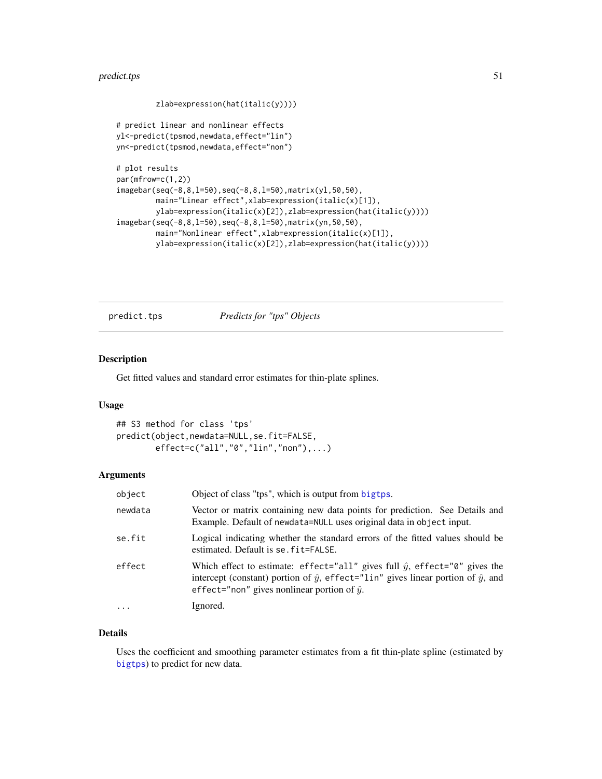# <span id="page-50-0"></span>predict.tps 51

```
zlab=expression(hat(italic(y))))
# predict linear and nonlinear effects
yl<-predict(tpsmod,newdata,effect="lin")
yn<-predict(tpsmod,newdata,effect="non")
# plot results
par(mfrow=c(1,2))
imagebar(seq(-8,8,l=50),seq(-8,8,l=50),matrix(yl,50,50),
        main="Linear effect", xlab=expression(italic(x)[1]),
        ylab=expression(italic(x)[2]),zlab=expression(hat(italic(y))))
imagebar(seq(-8,8,l=50),seq(-8,8,l=50),matrix(yn,50,50),
        main="Nonlinear effect",xlab=expression(italic(x)[1]),
        ylab=expression(italic(x)[2]),zlab=expression(hat(italic(y))))
```
<span id="page-50-1"></span>predict.tps *Predicts for "tps" Objects*

# Description

Get fitted values and standard error estimates for thin-plate splines.

# Usage

```
## S3 method for class 'tps'
predict(object,newdata=NULL,se.fit=FALSE,
       effect=c("all","0","lin","non"),...)
```
# Arguments

| object   | Object of class "tps", which is output from bigtps.                                                                                                                                                                                           |
|----------|-----------------------------------------------------------------------------------------------------------------------------------------------------------------------------------------------------------------------------------------------|
| newdata  | Vector or matrix containing new data points for prediction. See Details and<br>Example. Default of newdata=NULL uses original data in object input.                                                                                           |
| se.fit   | Logical indicating whether the standard errors of the fitted values should be<br>estimated. Default is se. fit=FALSE.                                                                                                                         |
| effect   | Which effect to estimate: effect="all" gives full $\hat{y}$ , effect="0" gives the<br>intercept (constant) portion of $\hat{y}$ , effect="lin" gives linear portion of $\hat{y}$ , and<br>effect="non" gives nonlinear portion of $\hat{y}$ . |
| $\ddots$ | Ignored.                                                                                                                                                                                                                                      |

# Details

Uses the coefficient and smoothing parameter estimates from a fit thin-plate spline (estimated by [bigtps](#page-23-1)) to predict for new data.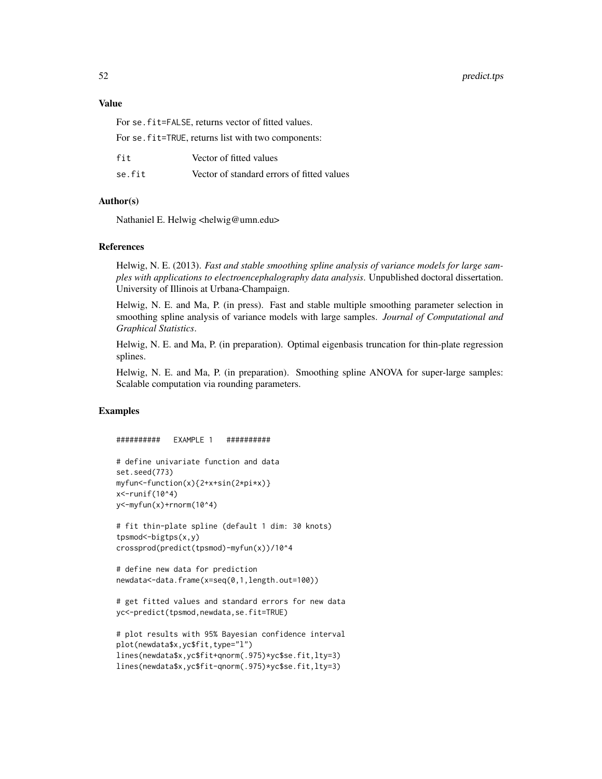# Value

For se.fit=FALSE, returns vector of fitted values.

For se. fit=TRUE, returns list with two components:

| fit    | Vector of fitted values                    |
|--------|--------------------------------------------|
| se.fit | Vector of standard errors of fitted values |

# Author(s)

Nathaniel E. Helwig <helwig@umn.edu>

#### References

Helwig, N. E. (2013). *Fast and stable smoothing spline analysis of variance models for large samples with applications to electroencephalography data analysis*. Unpublished doctoral dissertation. University of Illinois at Urbana-Champaign.

Helwig, N. E. and Ma, P. (in press). Fast and stable multiple smoothing parameter selection in smoothing spline analysis of variance models with large samples. *Journal of Computational and Graphical Statistics*.

Helwig, N. E. and Ma, P. (in preparation). Optimal eigenbasis truncation for thin-plate regression splines.

Helwig, N. E. and Ma, P. (in preparation). Smoothing spline ANOVA for super-large samples: Scalable computation via rounding parameters.

# Examples

########## EXAMPLE 1 ##########

```
# define univariate function and data
set.seed(773)
myfun<-function(x){2+x+sin(2*pi*x)}
x<-runif(10^4)
y<-myfun(x)+rnorm(10^4)
```

```
# fit thin-plate spline (default 1 dim: 30 knots)
tpsmod<-bigtps(x,y)
crossprod(predict(tpsmod)-myfun(x))/10^4
```

```
# define new data for prediction
newdata<-data.frame(x=seq(0,1,length.out=100))
```

```
# get fitted values and standard errors for new data
yc<-predict(tpsmod,newdata,se.fit=TRUE)
```

```
# plot results with 95% Bayesian confidence interval
plot(newdata$x,yc$fit,type="l")
lines(newdata$x,yc$fit+qnorm(.975)*yc$se.fit,lty=3)
lines(newdata$x,yc$fit-qnorm(.975)*yc$se.fit,lty=3)
```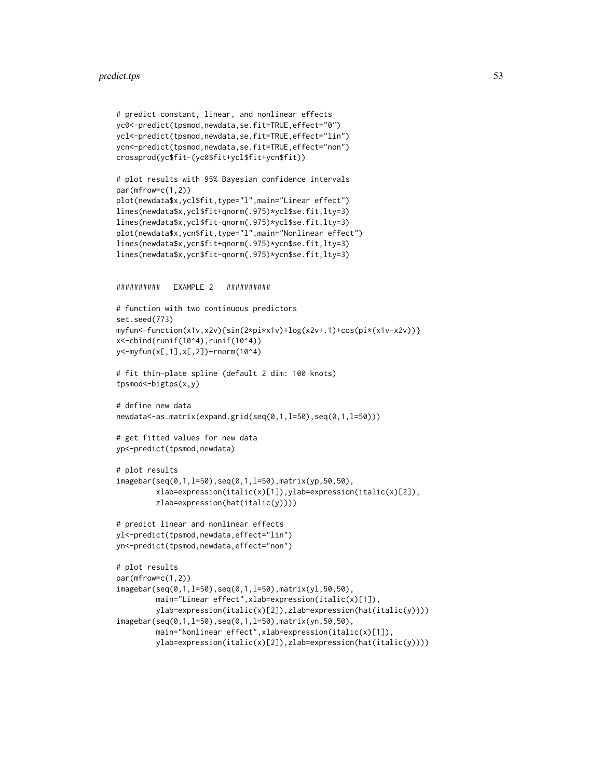#### predict.tps 53

```
# predict constant, linear, and nonlinear effects
yc0<-predict(tpsmod,newdata,se.fit=TRUE,effect="0")
ycl<-predict(tpsmod,newdata,se.fit=TRUE,effect="lin")
ycn<-predict(tpsmod,newdata,se.fit=TRUE,effect="non")
crossprod(yc$fit-(yc0$fit+ycl$fit+ycn$fit))
# plot results with 95% Bayesian confidence intervals
par(mfrow=c(1,2))
plot(newdata$x,ycl$fit,type="l",main="Linear effect")
lines(newdata$x,ycl$fit+qnorm(.975)*ycl$se.fit,lty=3)
lines(newdata$x,ycl$fit-qnorm(.975)*ycl$se.fit,lty=3)
plot(newdata$x,ycn$fit,type="l",main="Nonlinear effect")
lines(newdata$x,ycn$fit+qnorm(.975)*ycn$se.fit,lty=3)
lines(newdata$x,ycn$fit-qnorm(.975)*ycn$se.fit,lty=3)
########## EXAMPLE 2 ##########
# function with two continuous predictors
set.seed(773)
myfun<-function(x1v,x2v){sin(2*pi*x1v)+log(x2v+.1)+cos(pi*(x1v-x2v))}
x<-cbind(runif(10^4),runif(10^4))
y<-myfun(x[,1],x[,2])+rnorm(10^4)
# fit thin-plate spline (default 2 dim: 100 knots)
tpsmod<-bigtps(x,y)
# define new data
newdata<-as.matrix(expand.grid(seq(0,1,l=50),seq(0,1,l=50)))
# get fitted values for new data
yp<-predict(tpsmod,newdata)
# plot results
imagebar(seq(0,1,l=50),seq(0,1,l=50),matrix(yp,50,50),
        xlab=expression(italic(x)[1]),ylab=expression(italic(x)[2]),
        zlab=expression(hat(italic(y))))
# predict linear and nonlinear effects
yl<-predict(tpsmod,newdata,effect="lin")
yn<-predict(tpsmod,newdata,effect="non")
# plot results
par(mfrow=c(1,2))
imagebar(seq(0,1,l=50),seq(0,1,l=50),matrix(yl,50,50),
        main="Linear effect", xlab=expression(italic(x)[1]),
        ylab=expression(italic(x)[2]),zlab=expression(hat(italic(y))))
imagebar(seq(0,1,l=50),seq(0,1,l=50),matrix(yn,50,50),
        main="Nonlinear effect", xlab=expression(italic(x)[1]),
        ylab=expression(italic(x)[2]),zlab=expression(hat(italic(y))))
```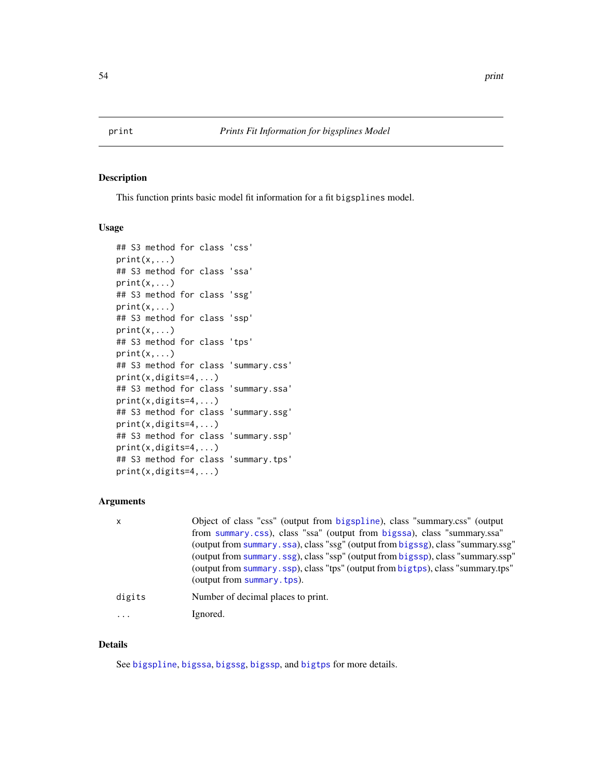<span id="page-53-0"></span>

# Description

This function prints basic model fit information for a fit bigsplines model.

#### Usage

```
## S3 method for class 'css'
print(x, \ldots)## S3 method for class 'ssa'
print(x, \ldots)## S3 method for class 'ssg'
print(x,...)
## S3 method for class 'ssp'
print(x, \ldots)## S3 method for class 'tps'
print(x, \ldots)## S3 method for class 'summary.css'
print(x,digits=4,...)
## S3 method for class 'summary.ssa'
print(x,digits=4,...)
## S3 method for class 'summary.ssg'
print(x,digits=4,...)
## S3 method for class 'summary.ssp'
print(x,digits=4,...)
## S3 method for class 'summary.tps'
print(x,digits=4,...)
```
# Arguments

| x      | Object of class "css" (output from bigspline), class "summary.css" (output<br>from summary.css), class "ssa" (output from bigssa), class "summary.ssa"<br>(output from summary.ssa), class "ssg" (output from bigssg), class "summary.ssg"<br>(output from summary.ssg), class "ssp" (output from bigssp), class "summary.ssp"<br>(output from summary.ssp), class "tps" (output from bigtps), class "summary.tps"<br>(output from summary.tps). |
|--------|--------------------------------------------------------------------------------------------------------------------------------------------------------------------------------------------------------------------------------------------------------------------------------------------------------------------------------------------------------------------------------------------------------------------------------------------------|
| digits | Number of decimal places to print.                                                                                                                                                                                                                                                                                                                                                                                                               |
| .      | Ignored.                                                                                                                                                                                                                                                                                                                                                                                                                                         |

# Details

See [bigspline](#page-2-1), [bigssa](#page-6-1), [bigssg](#page-11-1), [bigssp](#page-18-1), and [bigtps](#page-23-1) for more details.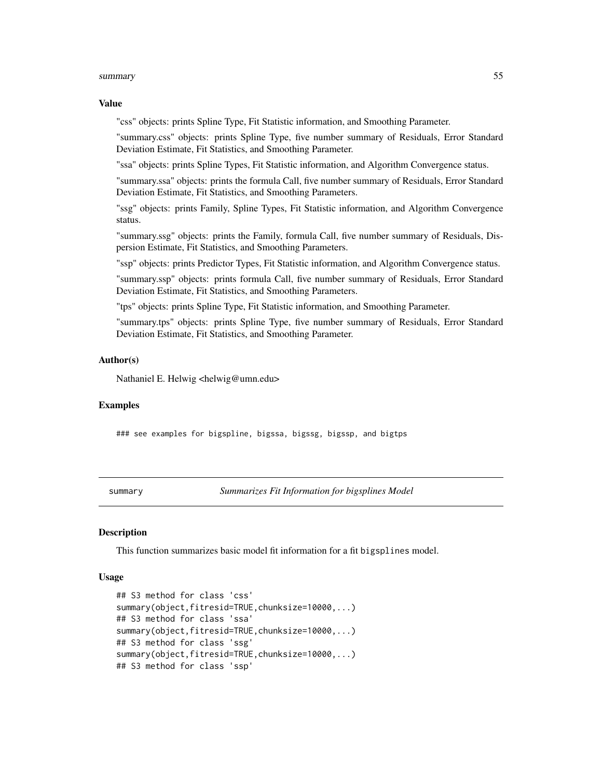### <span id="page-54-0"></span>Value

"css" objects: prints Spline Type, Fit Statistic information, and Smoothing Parameter.

"summary.css" objects: prints Spline Type, five number summary of Residuals, Error Standard Deviation Estimate, Fit Statistics, and Smoothing Parameter.

"ssa" objects: prints Spline Types, Fit Statistic information, and Algorithm Convergence status.

"summary.ssa" objects: prints the formula Call, five number summary of Residuals, Error Standard Deviation Estimate, Fit Statistics, and Smoothing Parameters.

"ssg" objects: prints Family, Spline Types, Fit Statistic information, and Algorithm Convergence status.

"summary.ssg" objects: prints the Family, formula Call, five number summary of Residuals, Dispersion Estimate, Fit Statistics, and Smoothing Parameters.

"ssp" objects: prints Predictor Types, Fit Statistic information, and Algorithm Convergence status.

"summary.ssp" objects: prints formula Call, five number summary of Residuals, Error Standard Deviation Estimate, Fit Statistics, and Smoothing Parameters.

"tps" objects: prints Spline Type, Fit Statistic information, and Smoothing Parameter.

"summary.tps" objects: prints Spline Type, five number summary of Residuals, Error Standard Deviation Estimate, Fit Statistics, and Smoothing Parameter.

#### Author(s)

Nathaniel E. Helwig <helwig@umn.edu>

#### Examples

### see examples for bigspline, bigssa, bigssg, bigssp, and bigtps

summary *Summarizes Fit Information for bigsplines Model*

#### <span id="page-54-1"></span>**Description**

This function summarizes basic model fit information for a fit bigsplines model.

#### Usage

```
## S3 method for class 'css'
summary(object,fitresid=TRUE,chunksize=10000,...)
## S3 method for class 'ssa'
summary(object,fitresid=TRUE,chunksize=10000,...)
## S3 method for class 'ssg'
summary(object,fitresid=TRUE,chunksize=10000,...)
## S3 method for class 'ssp'
```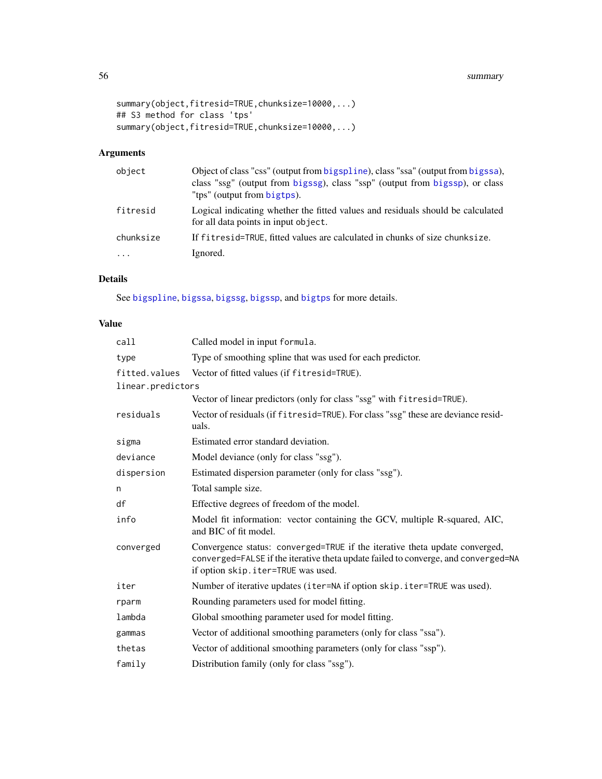```
summary(object,fitresid=TRUE,chunksize=10000,...)
## S3 method for class 'tps'
summary(object,fitresid=TRUE,chunksize=10000,...)
```
# Arguments

| object    | Object of class "css" (output from bigspline), class "ssa" (output from bigssa),<br>class "ssg" (output from bigssg), class "ssp" (output from bigssp), or class<br>"tps" (output from bigtps). |
|-----------|-------------------------------------------------------------------------------------------------------------------------------------------------------------------------------------------------|
| fitresid  | Logical indicating whether the fitted values and residuals should be calculated<br>for all data points in input object.                                                                         |
| chunksize | If fit resider RUE, fitted values are calculated in chunks of size chunksize.                                                                                                                   |
| $\cdot$   | Ignored.                                                                                                                                                                                        |

# Details

See [bigspline](#page-2-1), [bigssa](#page-6-1), [bigssg](#page-11-1), [bigssp](#page-18-1), and [bigtps](#page-23-1) for more details.

# Value

| call              | Called model in input formula.                                                                                                                                                                          |
|-------------------|---------------------------------------------------------------------------------------------------------------------------------------------------------------------------------------------------------|
| type              | Type of smoothing spline that was used for each predictor.                                                                                                                                              |
| fitted.values     | Vector of fitted values (if fitresid=TRUE).                                                                                                                                                             |
| linear.predictors |                                                                                                                                                                                                         |
|                   | Vector of linear predictors (only for class "ssg" with fitresid=TRUE).                                                                                                                                  |
| residuals         | Vector of residuals (if fitresid=TRUE). For class "ssg" these are deviance resid-<br>uals.                                                                                                              |
| sigma             | Estimated error standard deviation.                                                                                                                                                                     |
| deviance          | Model deviance (only for class "ssg").                                                                                                                                                                  |
| dispersion        | Estimated dispersion parameter (only for class "ssg").                                                                                                                                                  |
| n                 | Total sample size.                                                                                                                                                                                      |
| df                | Effective degrees of freedom of the model.                                                                                                                                                              |
| info              | Model fit information: vector containing the GCV, multiple R-squared, AIC,<br>and BIC of fit model.                                                                                                     |
| converged         | Convergence status: converged=TRUE if the iterative theta update converged,<br>converged=FALSE if the iterative theta update failed to converge, and converged=NA<br>if option skip.iter=TRUE was used. |
| iter              | Number of iterative updates (iter=NA if option skip. iter=TRUE was used).                                                                                                                               |
| rparm             | Rounding parameters used for model fitting.                                                                                                                                                             |
| lambda            | Global smoothing parameter used for model fitting.                                                                                                                                                      |
| gammas            | Vector of additional smoothing parameters (only for class "ssa").                                                                                                                                       |
| thetas            | Vector of additional smoothing parameters (only for class "ssp").                                                                                                                                       |
| family            | Distribution family (only for class "ssg").                                                                                                                                                             |

<span id="page-55-0"></span>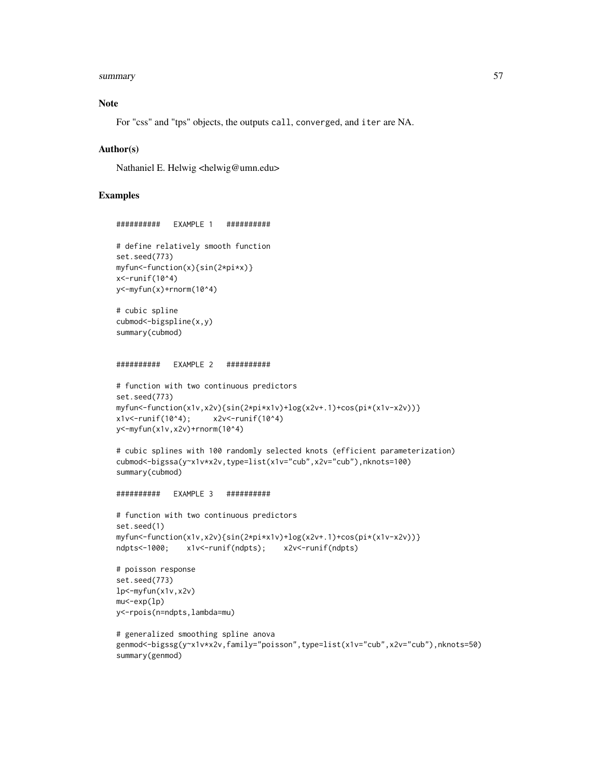# Note

For "css" and "tps" objects, the outputs call, converged, and iter are NA.

#### Author(s)

Nathaniel E. Helwig <helwig@umn.edu>

# Examples

```
########## EXAMPLE 1 ##########
# define relatively smooth function
set.seed(773)
myfun<-function(x){sin(2*pi*x)}
x <-runif(10^4)
y<-myfun(x)+rnorm(10^4)
# cubic spline
cubmod<-bigspline(x,y)
summary(cubmod)
########## EXAMPLE 2 ##########
# function with two continuous predictors
set.seed(773)
myfun<-function(x1v,x2v){sin(2*pi*x1v)+log(x2v+.1)+cos(pi*(x1v-x2v))}
x1v<-runif(10^4); x2v<-runif(10^4)
y<-myfun(x1v,x2v)+rnorm(10^4)
# cubic splines with 100 randomly selected knots (efficient parameterization)
cubmod<-bigssa(y~x1v*x2v,type=list(x1v="cub",x2v="cub"),nknots=100)
summary(cubmod)
########## EXAMPLE 3 ##########
# function with two continuous predictors
set.seed(1)
myfun<-function(x1v,x2v){sin(2*pi*x1v)+log(x2v+.1)+cos(pi*(x1v-x2v))}
ndpts<-1000; x1v<-runif(ndpts); x2v<-runif(ndpts)
# poisson response
set.seed(773)
lp<-myfun(x1v,x2v)
mu<-exp(lp)
y<-rpois(n=ndpts,lambda=mu)
# generalized smoothing spline anova
```

```
genmod<-bigssg(y~x1v*x2v,family="poisson",type=list(x1v="cub",x2v="cub"),nknots=50)
summary(genmod)
```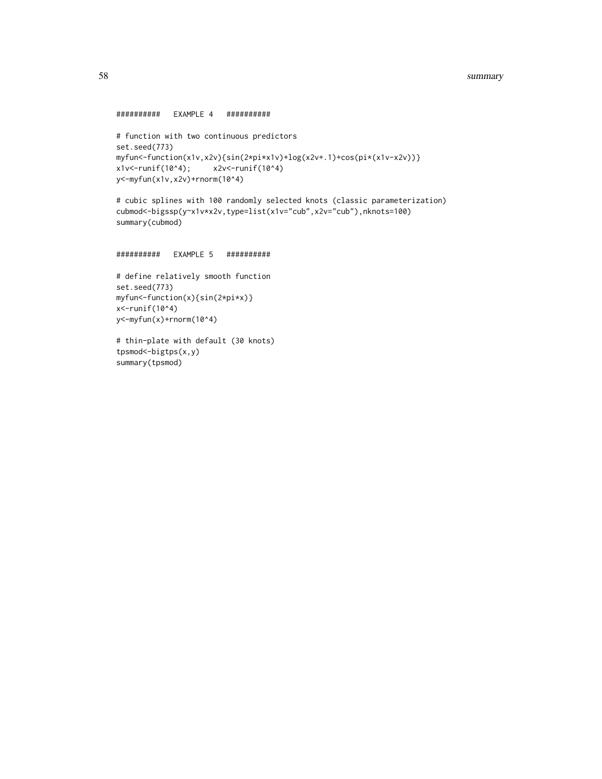```
########## EXAMPLE 4 ##########
```

```
# function with two continuous predictors
set.seed(773)
myfun<-function(x1v,x2v){sin(2*pi*x1v)+log(x2v+.1)+cos(pi*(x1v-x2v))}
x1v<-runif(10^4); x2v<-runif(10^4)y<-myfun(x1v,x2v)+rnorm(10^4)
```
# cubic splines with 100 randomly selected knots (classic parameterization) cubmod<-bigssp(y~x1v\*x2v,type=list(x1v="cub",x2v="cub"),nknots=100) summary(cubmod)

```
########## EXAMPLE 5 ##########
```

```
# define relatively smooth function
set.seed(773)
myfun<-function(x){sin(2*pi*x)}
x<-runif(10^4)
y<-myfun(x)+rnorm(10^4)
```

```
# thin-plate with default (30 knots)
tpsmod<-bigtps(x,y)
summary(tpsmod)
```